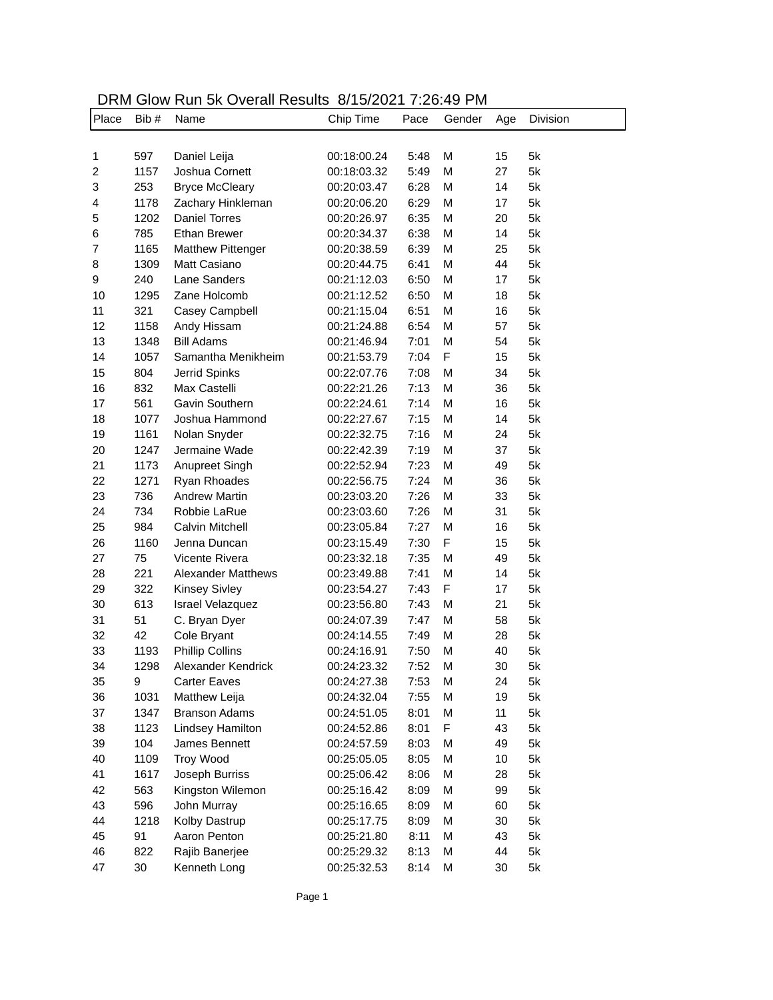| DRM Glow Run 5k Overall Results 8/15/2021 7:26:49 PM |  |
|------------------------------------------------------|--|
|------------------------------------------------------|--|

| Place          | Bib#   | Name                      | Chip Time   | Pace | Gender | Age | Division |
|----------------|--------|---------------------------|-------------|------|--------|-----|----------|
|                |        |                           |             |      |        |     |          |
| 1              | 597    | Daniel Leija              | 00:18:00.24 | 5:48 | M      | 15  | 5k       |
| $\overline{c}$ | 1157   | Joshua Cornett            | 00:18:03.32 | 5:49 | M      | 27  | 5k       |
| 3              | 253    | <b>Bryce McCleary</b>     | 00:20:03.47 | 6:28 | M      | 14  | 5k       |
| 4              | 1178   | Zachary Hinkleman         | 00:20:06.20 | 6:29 | M      | 17  | 5k       |
| 5              | 1202   | <b>Daniel Torres</b>      | 00:20:26.97 | 6:35 | M      | 20  | 5k       |
| 6              | 785    | <b>Ethan Brewer</b>       | 00:20:34.37 | 6:38 | M      | 14  | 5k       |
| $\overline{7}$ | 1165   | <b>Matthew Pittenger</b>  | 00:20:38.59 | 6:39 | M      | 25  | 5k       |
| 8              | 1309   | Matt Casiano              | 00:20:44.75 | 6:41 | M      | 44  | 5k       |
| 9              | 240    | Lane Sanders              | 00:21:12.03 | 6:50 | M      | 17  | 5k       |
| 10             | 1295   | Zane Holcomb              | 00:21:12.52 | 6:50 | M      | 18  | 5k       |
| 11             | 321    | Casey Campbell            | 00:21:15.04 | 6:51 | M      | 16  | 5k       |
| 12             | 1158   | Andy Hissam               | 00:21:24.88 | 6:54 | M      | 57  | 5k       |
| 13             | 1348   | <b>Bill Adams</b>         | 00:21:46.94 | 7:01 | M      | 54  | 5k       |
| 14             | 1057   | Samantha Menikheim        | 00:21:53.79 | 7:04 | F      | 15  | 5k       |
| 15             | 804    | Jerrid Spinks             | 00:22:07.76 | 7:08 | M      | 34  | 5k       |
| 16             | 832    | Max Castelli              | 00:22:21.26 | 7:13 | M      | 36  | 5k       |
| 17             | 561    | Gavin Southern            | 00:22:24.61 | 7:14 | M      | 16  | 5k       |
| 18             | 1077   | Joshua Hammond            | 00:22:27.67 | 7:15 | M      | 14  | 5k       |
| 19             | 1161   | Nolan Snyder              | 00:22:32.75 | 7:16 | M      | 24  | 5k       |
| 20             | 1247   | Jermaine Wade             | 00:22:42.39 | 7:19 | M      | 37  | 5k       |
| 21             | 1173   | Anupreet Singh            | 00:22:52.94 | 7:23 | M      | 49  | 5k       |
| 22             | 1271   | Ryan Rhoades              | 00:22:56.75 | 7:24 | M      | 36  | 5k       |
| 23             | 736    | <b>Andrew Martin</b>      | 00:23:03.20 | 7:26 | M      | 33  | 5k       |
| 24             | 734    | Robbie LaRue              | 00:23:03.60 | 7:26 | M      | 31  | 5k       |
| 25             | 984    | Calvin Mitchell           | 00:23:05.84 | 7:27 | M      | 16  | 5k       |
| 26             | 1160   | Jenna Duncan              | 00:23:15.49 | 7:30 | F      | 15  | 5k       |
| 27             | 75     | Vicente Rivera            | 00:23:32.18 | 7:35 | M      | 49  | 5k       |
| 28             | 221    | <b>Alexander Matthews</b> | 00:23:49.88 | 7:41 | M      | 14  | 5k       |
| 29             | 322    | <b>Kinsey Sivley</b>      | 00:23:54.27 | 7:43 | F      | 17  | 5k       |
| 30             | 613    | <b>Israel Velazquez</b>   | 00:23:56.80 | 7:43 | M      | 21  | 5k       |
| 31             | 51     | C. Bryan Dyer             | 00:24:07.39 | 7:47 | M      | 58  | 5k       |
| 32             | 42     | Cole Bryant               | 00:24:14.55 | 7:49 | M      | 28  | 5k       |
| 33             | 1193   | <b>Phillip Collins</b>    | 00:24:16.91 | 7:50 | M      | 40  | 5k       |
| 34             | 1298   | Alexander Kendrick        | 00:24:23.32 | 7:52 | M      | 30  | 5k       |
| 35             | 9      | <b>Carter Eaves</b>       | 00:24:27.38 | 7:53 | M      | 24  | 5k       |
| 36             | 1031   | Matthew Leija             | 00:24:32.04 | 7:55 | M      | 19  | 5k       |
| 37             | 1347   | <b>Branson Adams</b>      | 00:24:51.05 | 8:01 | M      | 11  | 5k       |
| 38             | 1123   | Lindsey Hamilton          | 00:24:52.86 | 8:01 | F      | 43  | 5k       |
| 39             | 104    | James Bennett             | 00:24:57.59 | 8:03 | M      | 49  | 5k       |
| 40             | 1109   | <b>Troy Wood</b>          | 00:25:05.05 | 8:05 | M      | 10  | 5k       |
| 41             | 1617   | Joseph Burriss            | 00:25:06.42 | 8:06 | M      | 28  | 5k       |
| 42             | 563    | Kingston Wilemon          | 00:25:16.42 | 8:09 | M      | 99  | 5k       |
| 43             | 596    | John Murray               | 00:25:16.65 | 8:09 | M      | 60  | 5k       |
| 44             | 1218   | Kolby Dastrup             | 00:25:17.75 | 8:09 | M      | 30  | 5k       |
| 45             | 91     | Aaron Penton              | 00:25:21.80 | 8:11 | M      | 43  | 5k       |
| 46             | 822    | Rajib Banerjee            | 00:25:29.32 | 8:13 | M      | 44  | 5k       |
| 47             | $30\,$ | Kenneth Long              | 00:25:32.53 | 8:14 | M      | 30  | 5k       |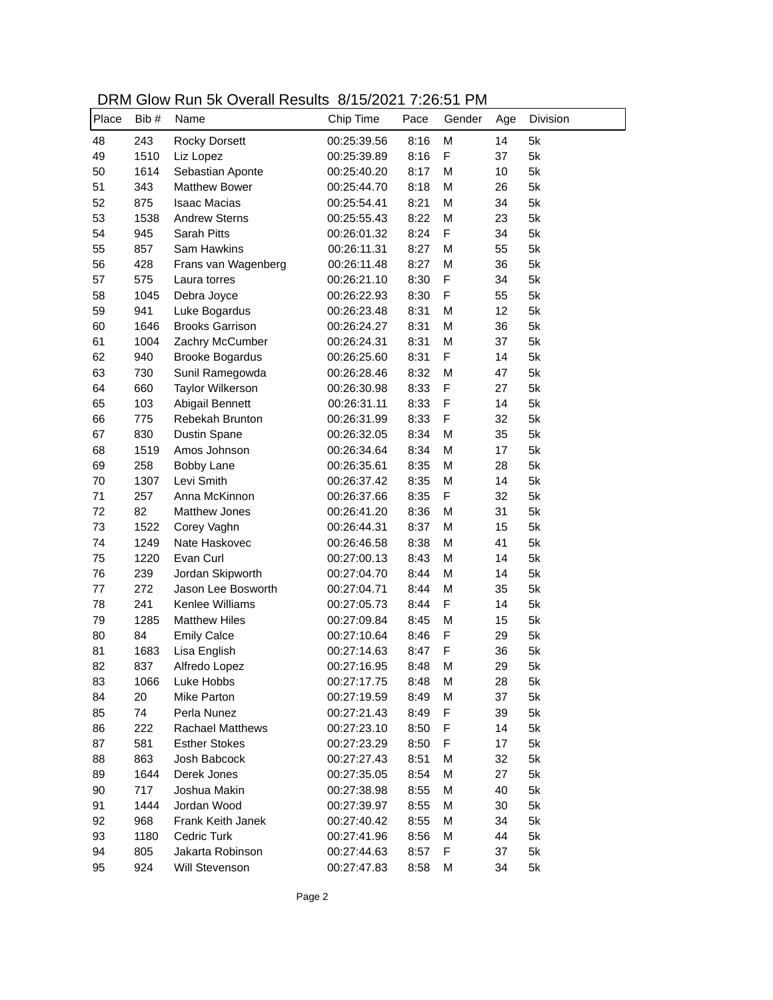| DRM Glow Run 5k Overall Results 8/15/2021 7:26:51 PM |  |
|------------------------------------------------------|--|
|------------------------------------------------------|--|

| Place | Bib# | <u>SION TAGIT OIN OVOIGIT INOUGHO</u><br>Name | Chip Time   | Pace | Gender      | Age | Division |
|-------|------|-----------------------------------------------|-------------|------|-------------|-----|----------|
| 48    | 243  | <b>Rocky Dorsett</b>                          | 00:25:39.56 | 8:16 | M           | 14  | 5k       |
| 49    | 1510 | Liz Lopez                                     | 00:25:39.89 | 8:16 | F           | 37  | 5k       |
| 50    | 1614 | Sebastian Aponte                              | 00:25:40.20 | 8:17 | M           | 10  | 5k       |
| 51    | 343  | <b>Matthew Bower</b>                          | 00:25:44.70 | 8:18 | M           | 26  | 5k       |
| 52    | 875  | <b>Isaac Macias</b>                           | 00:25:54.41 | 8:21 | M           | 34  | 5k       |
| 53    | 1538 | <b>Andrew Sterns</b>                          | 00:25:55.43 | 8:22 | M           | 23  | 5k       |
| 54    | 945  | Sarah Pitts                                   | 00:26:01.32 | 8:24 | F           | 34  | 5k       |
| 55    | 857  | Sam Hawkins                                   | 00:26:11.31 | 8:27 | M           | 55  | 5k       |
| 56    | 428  | Frans van Wagenberg                           | 00:26:11.48 | 8:27 | M           | 36  | 5k       |
| 57    | 575  | Laura torres                                  | 00:26:21.10 | 8:30 | F           | 34  | 5k       |
| 58    | 1045 | Debra Joyce                                   | 00:26:22.93 | 8:30 | F           | 55  | 5k       |
| 59    | 941  | Luke Bogardus                                 | 00:26:23.48 | 8:31 | M           | 12  | 5k       |
| 60    | 1646 | <b>Brooks Garrison</b>                        | 00:26:24.27 | 8:31 | M           | 36  | 5k       |
| 61    | 1004 | Zachry McCumber                               | 00:26:24.31 | 8:31 | M           | 37  | 5k       |
| 62    | 940  | <b>Brooke Bogardus</b>                        | 00:26:25.60 | 8:31 | F           | 14  | 5k       |
| 63    | 730  | Sunil Ramegowda                               | 00:26:28.46 | 8:32 | M           | 47  | 5k       |
| 64    | 660  | Taylor Wilkerson                              | 00:26:30.98 | 8:33 | $\mathsf F$ | 27  | 5k       |
| 65    | 103  | Abigail Bennett                               | 00:26:31.11 | 8:33 | F           | 14  | 5k       |
| 66    | 775  | Rebekah Brunton                               | 00:26:31.99 | 8:33 | F           | 32  | 5k       |
| 67    | 830  | Dustin Spane                                  | 00:26:32.05 | 8:34 | M           | 35  | 5k       |
| 68    | 1519 | Amos Johnson                                  | 00:26:34.64 | 8:34 | M           | 17  | 5k       |
| 69    | 258  | Bobby Lane                                    | 00:26:35.61 | 8:35 | M           | 28  | 5k       |
| 70    | 1307 | Levi Smith                                    | 00:26:37.42 | 8:35 | M           | 14  | 5k       |
| 71    | 257  | Anna McKinnon                                 | 00:26:37.66 | 8:35 | F           | 32  | 5k       |
| 72    | 82   | <b>Matthew Jones</b>                          | 00:26:41.20 | 8:36 | M           | 31  | 5k       |
| 73    | 1522 | Corey Vaghn                                   | 00:26:44.31 | 8:37 | M           | 15  | 5k       |
| 74    | 1249 | Nate Haskovec                                 | 00:26:46.58 | 8:38 | M           | 41  | 5k       |
| 75    | 1220 | Evan Curl                                     | 00:27:00.13 | 8:43 | M           | 14  | 5k       |
| 76    | 239  | Jordan Skipworth                              | 00:27:04.70 | 8:44 | M           | 14  | 5k       |
| 77    | 272  | Jason Lee Bosworth                            | 00:27:04.71 | 8:44 | M           | 35  | 5k       |
| 78    | 241  | Kenlee Williams                               | 00:27:05.73 | 8:44 | F           | 14  | 5k       |
| 79    | 1285 | <b>Matthew Hiles</b>                          | 00:27:09.84 | 8:45 | M           | 15  | 5k       |
| 80    | 84   | <b>Emily Calce</b>                            | 00:27:10.64 | 8:46 | F           | 29  | 5k       |
| 81    | 1683 | Lisa English                                  | 00:27:14.63 | 8:47 | F           | 36  | 5k       |
| 82    | 837  | Alfredo Lopez                                 | 00:27:16.95 | 8:48 | M           | 29  | 5k       |
| 83    | 1066 | Luke Hobbs                                    | 00:27:17.75 | 8:48 | M           | 28  | 5k       |
| 84    | 20   | Mike Parton                                   | 00:27:19.59 | 8:49 | M           | 37  | 5k       |
| 85    | 74   | Perla Nunez                                   | 00:27:21.43 | 8:49 | F           | 39  | 5k       |
| 86    | 222  | <b>Rachael Matthews</b>                       | 00:27:23.10 | 8:50 | F           | 14  | 5k       |
| 87    | 581  | <b>Esther Stokes</b>                          | 00:27:23.29 | 8:50 | F           | 17  | 5k       |
| 88    | 863  | Josh Babcock                                  | 00:27:27.43 | 8:51 | M           | 32  | 5k       |
| 89    | 1644 | Derek Jones                                   | 00:27:35.05 | 8:54 | M           | 27  | 5k       |
| 90    | 717  | Joshua Makin                                  | 00:27:38.98 | 8:55 | M           | 40  | 5k       |
| 91    | 1444 | Jordan Wood                                   | 00:27:39.97 | 8:55 | M           | 30  | 5k       |
| 92    | 968  | Frank Keith Janek                             | 00:27:40.42 | 8:55 | M           | 34  | 5k       |
| 93    | 1180 | Cedric Turk                                   | 00:27:41.96 | 8:56 | M           | 44  | 5k       |
| 94    | 805  | Jakarta Robinson                              | 00:27:44.63 | 8:57 | F           | 37  | 5k       |
| 95    | 924  | Will Stevenson                                | 00:27:47.83 | 8:58 | M           | 34  | 5k       |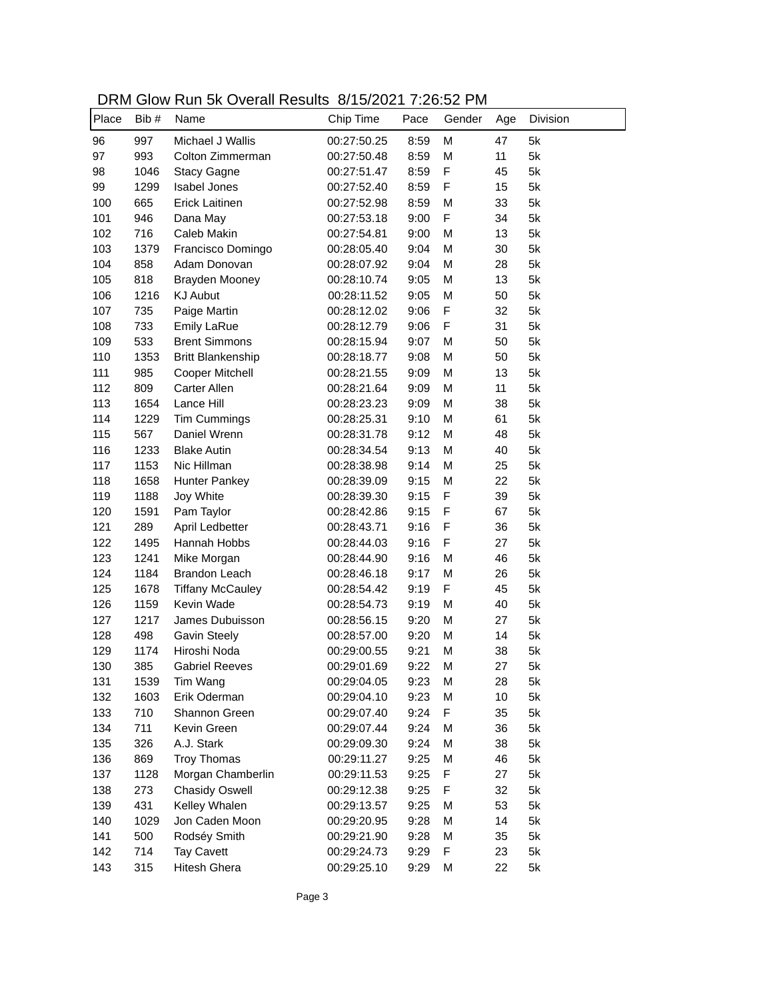| DRM Glow Run 5k Overall Results 8/15/2021 7:26:52 PM |  |
|------------------------------------------------------|--|
|------------------------------------------------------|--|

| Place | Bib # | Name                     | Chip Time   | Pace | Gender | Age | Division |
|-------|-------|--------------------------|-------------|------|--------|-----|----------|
| 96    | 997   | Michael J Wallis         | 00:27:50.25 | 8:59 | M      | 47  | 5k       |
| 97    | 993   | Colton Zimmerman         | 00:27:50.48 | 8:59 | M      | 11  | 5k       |
| 98    | 1046  | <b>Stacy Gagne</b>       | 00:27:51.47 | 8:59 | F      | 45  | 5k       |
| 99    | 1299  | <b>Isabel Jones</b>      | 00:27:52.40 | 8:59 | F      | 15  | 5k       |
| 100   | 665   | Erick Laitinen           | 00:27:52.98 | 8:59 | M      | 33  | 5k       |
| 101   | 946   | Dana May                 | 00:27:53.18 | 9:00 | F      | 34  | 5k       |
| 102   | 716   | Caleb Makin              | 00:27:54.81 | 9:00 | M      | 13  | 5k       |
| 103   | 1379  | Francisco Domingo        | 00:28:05.40 | 9:04 | M      | 30  | 5k       |
| 104   | 858   | Adam Donovan             | 00:28:07.92 | 9:04 | M      | 28  | 5k       |
| 105   | 818   | Brayden Mooney           | 00:28:10.74 | 9:05 | M      | 13  | 5k       |
| 106   | 1216  | <b>KJ Aubut</b>          | 00:28:11.52 | 9:05 | M      | 50  | 5k       |
| 107   | 735   | Paige Martin             | 00:28:12.02 | 9:06 | F      | 32  | 5k       |
| 108   | 733   | <b>Emily LaRue</b>       | 00:28:12.79 | 9:06 | F      | 31  | 5k       |
| 109   | 533   | <b>Brent Simmons</b>     | 00:28:15.94 | 9:07 | M      | 50  | 5k       |
| 110   | 1353  | <b>Britt Blankenship</b> | 00:28:18.77 | 9:08 | M      | 50  | 5k       |
| 111   | 985   | Cooper Mitchell          | 00:28:21.55 | 9:09 | M      | 13  | 5k       |
| 112   | 809   | Carter Allen             | 00:28:21.64 | 9:09 | M      | 11  | 5k       |
| 113   | 1654  | Lance Hill               | 00:28:23.23 | 9:09 | M      | 38  | 5k       |
| 114   | 1229  | Tim Cummings             | 00:28:25.31 | 9:10 | M      | 61  | 5k       |
| 115   | 567   | Daniel Wrenn             | 00:28:31.78 | 9:12 | M      | 48  | 5k       |
| 116   | 1233  | <b>Blake Autin</b>       | 00:28:34.54 | 9:13 | M      | 40  | 5k       |
| 117   | 1153  | Nic Hillman              | 00:28:38.98 | 9:14 | M      | 25  | 5k       |
| 118   | 1658  | Hunter Pankey            | 00:28:39.09 | 9:15 | M      | 22  | 5k       |
| 119   | 1188  | Joy White                | 00:28:39.30 | 9:15 | F      | 39  | 5k       |
| 120   | 1591  | Pam Taylor               | 00:28:42.86 | 9:15 | F      | 67  | 5k       |
| 121   | 289   | April Ledbetter          | 00:28:43.71 | 9:16 | F      | 36  | 5k       |
| 122   | 1495  | Hannah Hobbs             | 00:28:44.03 | 9:16 | F      | 27  | 5k       |
| 123   | 1241  | Mike Morgan              | 00:28:44.90 | 9:16 | M      | 46  | 5k       |
| 124   | 1184  | <b>Brandon Leach</b>     | 00:28:46.18 | 9:17 | M      | 26  | 5k       |
| 125   | 1678  | <b>Tiffany McCauley</b>  | 00:28:54.42 | 9:19 | F      | 45  | 5k       |
| 126   | 1159  | Kevin Wade               | 00:28:54.73 | 9:19 | M      | 40  | 5k       |
| 127   | 1217  | James Dubuisson          | 00:28:56.15 | 9:20 | M      | 27  | 5k       |
| 128   | 498   | <b>Gavin Steely</b>      | 00:28:57.00 | 9:20 | M      | 14  | 5k       |
| 129   | 1174  | Hiroshi Noda             | 00:29:00.55 | 9:21 | M      | 38  | 5k       |
| 130   | 385   | <b>Gabriel Reeves</b>    | 00:29:01.69 | 9:22 | M      | 27  | 5k       |
| 131   | 1539  | Tim Wang                 | 00:29:04.05 | 9:23 | M      | 28  | 5k       |
| 132   | 1603  | Erik Oderman             | 00:29:04.10 | 9:23 | M      | 10  | 5k       |
| 133   | 710   | Shannon Green            | 00:29:07.40 | 9:24 | F      | 35  | 5k       |
| 134   | 711   | Kevin Green              | 00:29:07.44 | 9:24 | M      | 36  | 5k       |
| 135   | 326   | A.J. Stark               | 00:29:09.30 | 9:24 | M      | 38  | 5k       |
| 136   | 869   | <b>Troy Thomas</b>       | 00:29:11.27 | 9:25 | M      | 46  | 5k       |
| 137   | 1128  | Morgan Chamberlin        | 00:29:11.53 | 9:25 | F      | 27  | 5k       |
| 138   | 273   | <b>Chasidy Oswell</b>    | 00:29:12.38 | 9:25 | F      | 32  | 5k       |
| 139   | 431   | Kelley Whalen            | 00:29:13.57 | 9:25 | M      | 53  | 5k       |
| 140   | 1029  | Jon Caden Moon           | 00:29:20.95 | 9:28 | M      | 14  | 5k       |
| 141   | 500   | Rodséy Smith             | 00:29:21.90 | 9:28 | M      | 35  | 5k       |
| 142   | 714   | <b>Tay Cavett</b>        | 00:29:24.73 | 9:29 | F      | 23  | 5k       |
| 143   | 315   | Hitesh Ghera             | 00:29:25.10 | 9:29 | M      | 22  | 5k       |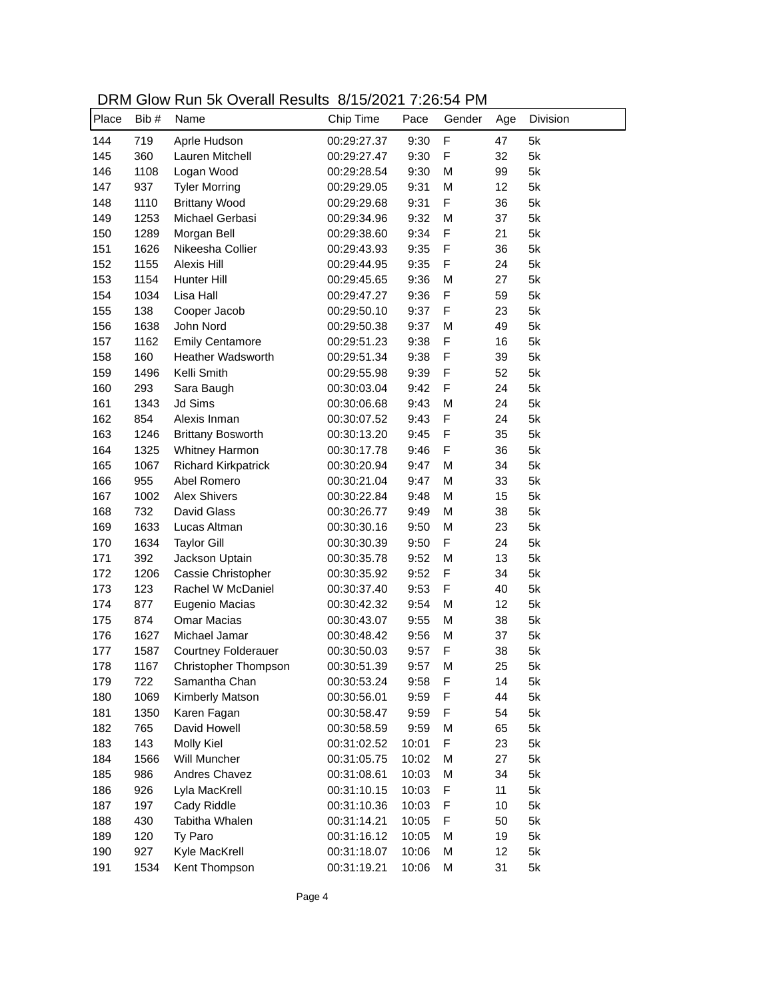DRM Glow Run 5k Overall Results 8/15/2021 7:26:54 PM

| Place | Bib# | Name                       | 0, 10, 20 2 1 . 20. 0 1 1 1 1 1 .<br>Chip Time | Pace  | Gender | Age | Division |
|-------|------|----------------------------|------------------------------------------------|-------|--------|-----|----------|
| 144   | 719  | Aprle Hudson               | 00:29:27.37                                    | 9:30  | F      | 47  | 5k       |
| 145   | 360  | Lauren Mitchell            | 00:29:27.47                                    | 9:30  | F      | 32  | 5k       |
| 146   | 1108 | Logan Wood                 | 00:29:28.54                                    | 9:30  | M      | 99  | 5k       |
| 147   | 937  | <b>Tyler Morring</b>       | 00:29:29.05                                    | 9:31  | M      | 12  | 5k       |
| 148   | 1110 | <b>Brittany Wood</b>       | 00:29:29.68                                    | 9:31  | F      | 36  | 5k       |
| 149   | 1253 | Michael Gerbasi            | 00:29:34.96                                    | 9:32  | M      | 37  | 5k       |
| 150   | 1289 | Morgan Bell                | 00:29:38.60                                    | 9:34  | F      | 21  | 5k       |
| 151   | 1626 | Nikeesha Collier           | 00:29:43.93                                    | 9:35  | F      | 36  | 5k       |
| 152   | 1155 | Alexis Hill                | 00:29:44.95                                    | 9:35  | F      | 24  | 5k       |
| 153   | 1154 | Hunter Hill                | 00:29:45.65                                    | 9:36  | M      | 27  | 5k       |
| 154   | 1034 | Lisa Hall                  | 00:29:47.27                                    | 9:36  | F      | 59  | 5k       |
| 155   | 138  | Cooper Jacob               | 00:29:50.10                                    | 9:37  | F      | 23  | 5k       |
| 156   | 1638 | John Nord                  | 00:29:50.38                                    | 9:37  | M      | 49  | 5k       |
| 157   | 1162 | <b>Emily Centamore</b>     | 00:29:51.23                                    | 9:38  | F      | 16  | 5k       |
| 158   | 160  | <b>Heather Wadsworth</b>   | 00:29:51.34                                    | 9:38  | F      | 39  | 5k       |
| 159   | 1496 | Kelli Smith                | 00:29:55.98                                    | 9:39  | F      | 52  | 5k       |
| 160   | 293  | Sara Baugh                 | 00:30:03.04                                    | 9:42  | F      | 24  | 5k       |
| 161   | 1343 | Jd Sims                    | 00:30:06.68                                    | 9:43  | M      | 24  | 5k       |
| 162   | 854  | Alexis Inman               | 00:30:07.52                                    | 9:43  | F      | 24  | 5k       |
| 163   | 1246 | <b>Brittany Bosworth</b>   | 00:30:13.20                                    | 9:45  | F      | 35  | 5k       |
| 164   | 1325 | Whitney Harmon             | 00:30:17.78                                    | 9:46  | F      | 36  | 5k       |
| 165   | 1067 | <b>Richard Kirkpatrick</b> | 00:30:20.94                                    | 9:47  | M      | 34  | 5k       |
| 166   | 955  | Abel Romero                | 00:30:21.04                                    | 9:47  | M      | 33  | 5k       |
| 167   | 1002 | <b>Alex Shivers</b>        | 00:30:22.84                                    | 9:48  | M      | 15  | 5k       |
| 168   | 732  | David Glass                | 00:30:26.77                                    | 9:49  | M      | 38  | 5k       |
| 169   | 1633 | Lucas Altman               | 00:30:30.16                                    | 9:50  | M      | 23  | 5k       |
| 170   | 1634 | <b>Taylor Gill</b>         | 00:30:30.39                                    | 9:50  | F      | 24  | 5k       |
| 171   | 392  | Jackson Uptain             | 00:30:35.78                                    | 9:52  | M      | 13  | 5k       |
| 172   | 1206 | Cassie Christopher         | 00:30:35.92                                    | 9:52  | F      | 34  | 5k       |
| 173   | 123  | Rachel W McDaniel          | 00:30:37.40                                    | 9:53  | F      | 40  | 5k       |
| 174   | 877  | Eugenio Macias             | 00:30:42.32                                    | 9:54  | M      | 12  | 5k       |
| 175   | 874  | <b>Omar Macias</b>         | 00:30:43.07                                    | 9:55  | M      | 38  | 5k       |
| 176   | 1627 | Michael Jamar              | 00:30:48.42                                    | 9:56  | M      | 37  | 5k       |
| 177   | 1587 | <b>Courtney Folderauer</b> | 00:30:50.03                                    | 9:57  | F      | 38  | 5k       |
| 178   | 1167 | Christopher Thompson       | 00:30:51.39                                    | 9:57  | М      | 25  | 5k       |
| 179   | 722  | Samantha Chan              | 00:30:53.24                                    | 9:58  | F      | 14  | 5k       |
| 180   | 1069 | Kimberly Matson            | 00:30:56.01                                    | 9:59  | F      | 44  | 5k       |
| 181   | 1350 | Karen Fagan                | 00:30:58.47                                    | 9:59  | F      | 54  | 5k       |
| 182   | 765  | David Howell               | 00:30:58.59                                    | 9:59  | М      | 65  | 5k       |
| 183   | 143  | Molly Kiel                 | 00:31:02.52                                    | 10:01 | F      | 23  | 5k       |
| 184   | 1566 | Will Muncher               | 00:31:05.75                                    | 10:02 | M      | 27  | 5k       |
| 185   | 986  | Andres Chavez              | 00:31:08.61                                    | 10:03 | М      | 34  | 5k       |
| 186   | 926  | Lyla MacKrell              | 00:31:10.15                                    | 10:03 | F      | 11  | 5k       |
| 187   | 197  | Cady Riddle                | 00:31:10.36                                    | 10:03 | F      | 10  | 5k       |
| 188   | 430  | Tabitha Whalen             | 00:31:14.21                                    | 10:05 | F      | 50  | 5k       |
| 189   | 120  | Ty Paro                    | 00:31:16.12                                    | 10:05 | М      | 19  | 5k       |
| 190   | 927  | Kyle MacKrell              | 00:31:18.07                                    | 10:06 | M      | 12  | 5k       |
| 191   | 1534 | Kent Thompson              | 00:31:19.21                                    | 10:06 | М      | 31  | 5k       |
|       |      |                            |                                                |       |        |     |          |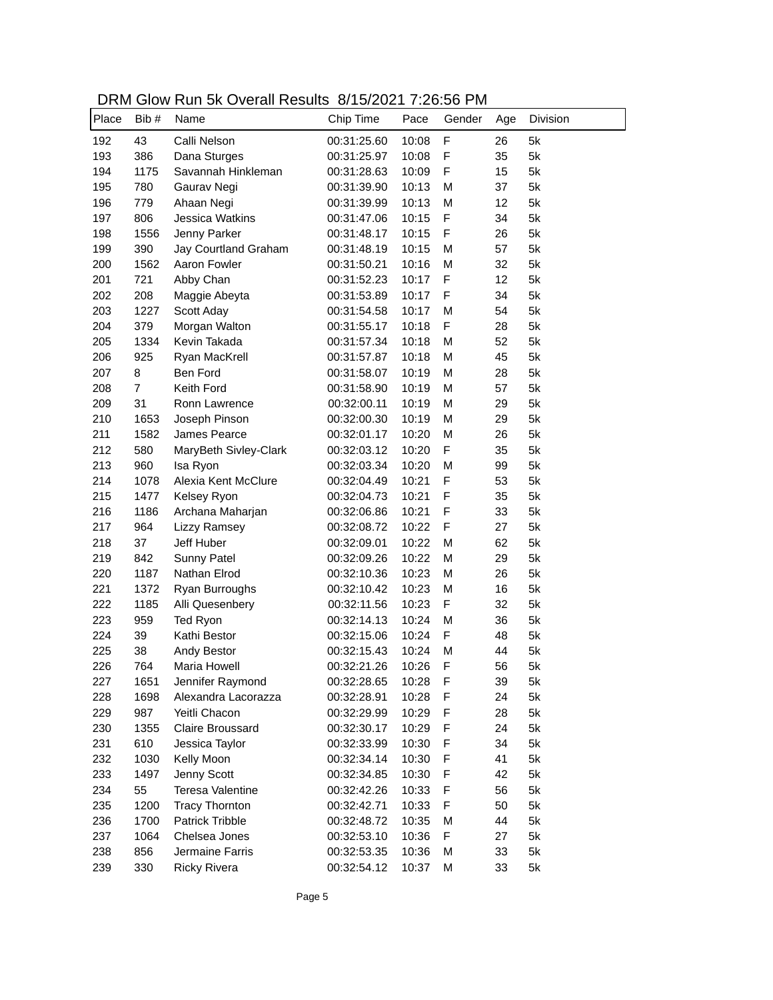| DRM Glow Run 5k Overall Results 8/15/2021 7:26:56 PM |  |
|------------------------------------------------------|--|
|------------------------------------------------------|--|

| Place | Bib #          | 310 W TWIT ON OVOIGHT NOOGHO OF TO/EUET TIEU.OU<br>Name | Chip Time   | Pace  | Gender | Age | Division |
|-------|----------------|---------------------------------------------------------|-------------|-------|--------|-----|----------|
| 192   | 43             | Calli Nelson                                            | 00:31:25.60 | 10:08 | F      | 26  | 5k       |
| 193   | 386            | Dana Sturges                                            | 00:31:25.97 | 10:08 | F      | 35  | 5k       |
| 194   | 1175           | Savannah Hinkleman                                      | 00:31:28.63 | 10:09 | F      | 15  | 5k       |
| 195   | 780            | Gaurav Negi                                             | 00:31:39.90 | 10:13 | M      | 37  | 5k       |
| 196   | 779            | Ahaan Negi                                              | 00:31:39.99 | 10:13 | M      | 12  | 5k       |
| 197   | 806            | Jessica Watkins                                         | 00:31:47.06 | 10:15 | F      | 34  | 5k       |
| 198   | 1556           | Jenny Parker                                            | 00:31:48.17 | 10:15 | F      | 26  | 5k       |
| 199   | 390            | Jay Courtland Graham                                    | 00:31:48.19 | 10:15 | Μ      | 57  | 5k       |
| 200   | 1562           | Aaron Fowler                                            | 00:31:50.21 | 10:16 | Μ      | 32  | 5k       |
| 201   | 721            | Abby Chan                                               | 00:31:52.23 | 10:17 | F      | 12  | 5k       |
| 202   | 208            | Maggie Abeyta                                           | 00:31:53.89 | 10:17 | F      | 34  | 5k       |
| 203   | 1227           | Scott Aday                                              | 00:31:54.58 | 10:17 | M      | 54  | 5k       |
| 204   | 379            | Morgan Walton                                           | 00:31:55.17 | 10:18 | F      | 28  | 5k       |
| 205   | 1334           | Kevin Takada                                            | 00:31:57.34 | 10:18 | М      | 52  | 5k       |
| 206   | 925            | Ryan MacKrell                                           | 00:31:57.87 | 10:18 | М      | 45  | 5k       |
| 207   | 8              | Ben Ford                                                | 00:31:58.07 | 10:19 | M      | 28  | 5k       |
| 208   | $\overline{7}$ | Keith Ford                                              | 00:31:58.90 | 10:19 | M      | 57  | 5k       |
| 209   | 31             | Ronn Lawrence                                           | 00:32:00.11 | 10:19 | M      | 29  | 5k       |
| 210   | 1653           | Joseph Pinson                                           | 00:32:00.30 | 10:19 | M      | 29  | 5k       |
| 211   | 1582           | James Pearce                                            | 00:32:01.17 | 10:20 | M      | 26  | 5k       |
| 212   | 580            | MaryBeth Sivley-Clark                                   | 00:32:03.12 | 10:20 | F      | 35  | 5k       |
| 213   | 960            | Isa Ryon                                                | 00:32:03.34 | 10:20 | M      | 99  | 5k       |
| 214   | 1078           | Alexia Kent McClure                                     | 00:32:04.49 | 10:21 | F      | 53  | 5k       |
| 215   | 1477           | Kelsey Ryon                                             | 00:32:04.73 | 10:21 | F      | 35  | 5k       |
| 216   | 1186           | Archana Maharjan                                        | 00:32:06.86 | 10:21 | F      | 33  | 5k       |
| 217   | 964            | <b>Lizzy Ramsey</b>                                     | 00:32:08.72 | 10:22 | F      | 27  | 5k       |
| 218   | 37             | Jeff Huber                                              | 00:32:09.01 | 10:22 | M      | 62  | 5k       |
| 219   | 842            | Sunny Patel                                             | 00:32:09.26 | 10:22 | M      | 29  | 5k       |
| 220   | 1187           | Nathan Elrod                                            | 00:32:10.36 | 10:23 | M      | 26  | 5k       |
| 221   | 1372           | Ryan Burroughs                                          | 00:32:10.42 | 10:23 | Μ      | 16  | 5k       |
| 222   | 1185           | Alli Quesenbery                                         | 00:32:11.56 | 10:23 | F      | 32  | 5k       |
| 223   | 959            | Ted Ryon                                                | 00:32:14.13 | 10:24 | Μ      | 36  | 5k       |
| 224   | 39             | Kathi Bestor                                            | 00:32:15.06 | 10:24 | F      | 48  | 5k       |
| 225   | 38             | Andy Bestor                                             | 00:32:15.43 | 10:24 | M      | 44  | 5k       |
| 226   | 764            | Maria Howell                                            | 00:32:21.26 | 10:26 | F      | 56  | 5k       |
| 227   | 1651           | Jennifer Raymond                                        | 00:32:28.65 | 10:28 | F      | 39  | 5k       |
| 228   | 1698           | Alexandra Lacorazza                                     | 00:32:28.91 | 10:28 | F      | 24  | 5k       |
| 229   | 987            | Yeitli Chacon                                           | 00:32:29.99 | 10:29 | F      | 28  | 5k       |
| 230   | 1355           | Claire Broussard                                        | 00:32:30.17 | 10:29 | F      | 24  | 5k       |
| 231   | 610            | Jessica Taylor                                          | 00:32:33.99 | 10:30 | F      | 34  | 5k       |
| 232   | 1030           | Kelly Moon                                              | 00:32:34.14 | 10:30 | F      | 41  | 5k       |
| 233   | 1497           | Jenny Scott                                             | 00:32:34.85 | 10:30 | F      | 42  | 5k       |
| 234   | 55             | Teresa Valentine                                        | 00:32:42.26 | 10:33 | F      | 56  | 5k       |
| 235   | 1200           | <b>Tracy Thornton</b>                                   | 00:32:42.71 | 10:33 | F      | 50  | 5k       |
| 236   | 1700           | <b>Patrick Tribble</b>                                  | 00:32:48.72 | 10:35 | М      | 44  | 5k       |
| 237   | 1064           | Chelsea Jones                                           | 00:32:53.10 | 10:36 | F      | 27  | 5k       |
| 238   | 856            | Jermaine Farris                                         | 00:32:53.35 | 10:36 | Μ      | 33  | 5k       |
| 239   | 330            | <b>Ricky Rivera</b>                                     | 00:32:54.12 | 10:37 | Μ      | 33  | 5k       |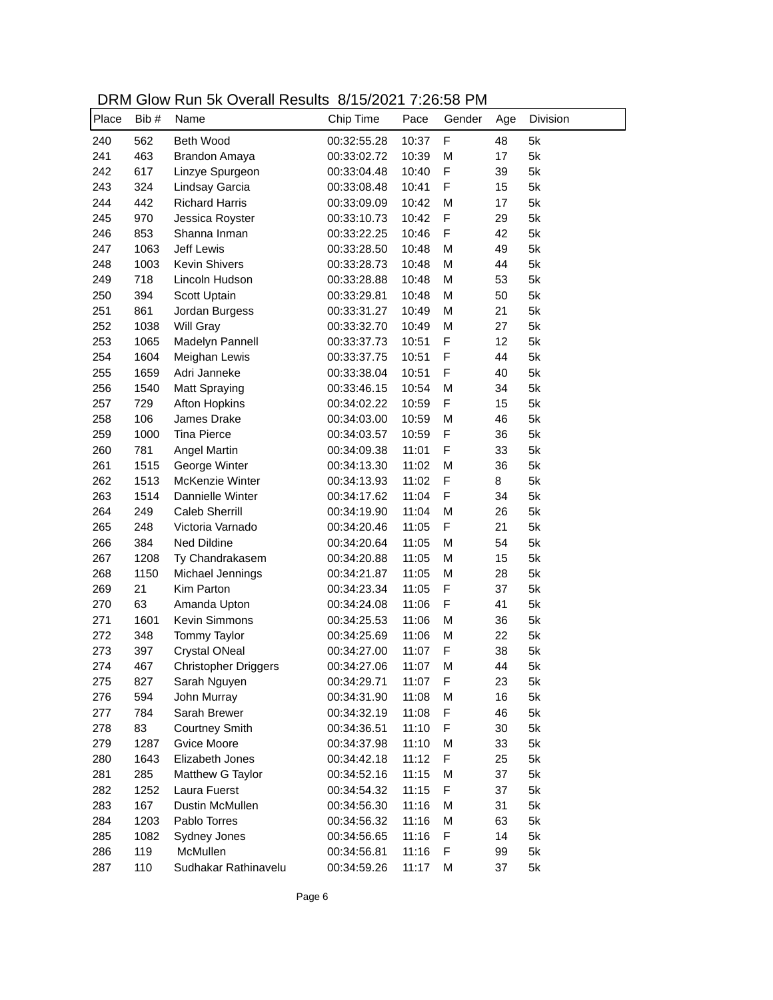| DRM Glow Run 5k Overall Results 8/15/2021 7:26:58 PM |  |
|------------------------------------------------------|--|
|------------------------------------------------------|--|

| Place | Bib# | Name                  | 0.101202113200<br>Chip Time | Pace  | Gender      | Age | Division |
|-------|------|-----------------------|-----------------------------|-------|-------------|-----|----------|
|       |      |                       |                             |       |             |     |          |
| 240   | 562  | Beth Wood             | 00:32:55.28                 | 10:37 | $\mathsf F$ | 48  | 5k       |
| 241   | 463  | Brandon Amaya         | 00:33:02.72                 | 10:39 | M           | 17  | 5k       |
| 242   | 617  | Linzye Spurgeon       | 00:33:04.48                 | 10:40 | F           | 39  | 5k       |
| 243   | 324  | Lindsay Garcia        | 00:33:08.48                 | 10:41 | F           | 15  | 5k       |
| 244   | 442  | <b>Richard Harris</b> | 00:33:09.09                 | 10:42 | M           | 17  | 5k       |
| 245   | 970  | Jessica Royster       | 00:33:10.73                 | 10:42 | F           | 29  | 5k       |
| 246   | 853  | Shanna Inman          | 00:33:22.25                 | 10:46 | F           | 42  | 5k       |
| 247   | 1063 | Jeff Lewis            | 00:33:28.50                 | 10:48 | M           | 49  | 5k       |
| 248   | 1003 | <b>Kevin Shivers</b>  | 00:33:28.73                 | 10:48 | M           | 44  | 5k       |
| 249   | 718  | Lincoln Hudson        | 00:33:28.88                 | 10:48 | M           | 53  | 5k       |
| 250   | 394  | Scott Uptain          | 00:33:29.81                 | 10:48 | M           | 50  | 5k       |
| 251   | 861  | Jordan Burgess        | 00:33:31.27                 | 10:49 | M           | 21  | 5k       |
| 252   | 1038 | Will Gray             | 00:33:32.70                 | 10:49 | M           | 27  | 5k       |
| 253   | 1065 | Madelyn Pannell       | 00:33:37.73                 | 10:51 | F           | 12  | 5k       |
| 254   | 1604 | Meighan Lewis         | 00:33:37.75                 | 10:51 | F           | 44  | 5k       |
| 255   | 1659 | Adri Janneke          | 00:33:38.04                 | 10:51 | F           | 40  | 5k       |
| 256   | 1540 | Matt Spraying         | 00:33:46.15                 | 10:54 | M           | 34  | 5k       |
| 257   | 729  | <b>Afton Hopkins</b>  | 00:34:02.22                 | 10:59 | F           | 15  | 5k       |
| 258   | 106  | James Drake           | 00:34:03.00                 | 10:59 | M           | 46  | 5k       |
| 259   | 1000 | <b>Tina Pierce</b>    | 00:34:03.57                 | 10:59 | F           | 36  | 5k       |
| 260   | 781  | Angel Martin          | 00:34:09.38                 | 11:01 | F           | 33  | 5k       |
| 261   | 1515 | George Winter         | 00:34:13.30                 | 11:02 | M           | 36  | 5k       |
| 262   | 1513 | McKenzie Winter       | 00:34:13.93                 | 11:02 | F           | 8   | 5k       |
| 263   | 1514 | Dannielle Winter      | 00:34:17.62                 | 11:04 | F           | 34  | 5k       |
| 264   | 249  | <b>Caleb Sherrill</b> | 00:34:19.90                 | 11:04 | M           | 26  | 5k       |
| 265   | 248  | Victoria Varnado      | 00:34:20.46                 | 11:05 | F           | 21  | 5k       |
| 266   | 384  | Ned Dildine           | 00:34:20.64                 | 11:05 | M           | 54  | 5k       |
| 267   | 1208 | Ty Chandrakasem       | 00:34:20.88                 | 11:05 | M           | 15  | 5k       |
| 268   | 1150 | Michael Jennings      | 00:34:21.87                 | 11:05 | M           | 28  | 5k       |
| 269   | 21   | Kim Parton            | 00:34:23.34                 | 11:05 | F           | 37  | 5k       |
| 270   | 63   | Amanda Upton          | 00:34:24.08                 | 11:06 | F           | 41  | 5k       |
| 271   | 1601 | Kevin Simmons         | 00:34:25.53                 | 11:06 | M           | 36  | 5k       |
| 272   | 348  | <b>Tommy Taylor</b>   | 00:34:25.69                 | 11:06 | M           | 22  | 5k       |
| 273   | 397  | <b>Crystal ONeal</b>  | 00:34:27.00                 | 11:07 | F           | 38  | 5k       |
| 274   | 467  | Christopher Driggers  | 00:34:27.06                 | 11:07 | M           | 44  | 5k       |
| 275   | 827  | Sarah Nguyen          | 00:34:29.71                 | 11:07 | F           | 23  | 5k       |
| 276   | 594  | John Murray           | 00:34:31.90                 | 11:08 | M           | 16  | 5k       |
| 277   | 784  | Sarah Brewer          | 00:34:32.19                 | 11:08 | F           | 46  | 5k       |
| 278   | 83   | <b>Courtney Smith</b> | 00:34:36.51                 | 11:10 | F           | 30  | 5k       |
| 279   | 1287 | Gvice Moore           | 00:34:37.98                 | 11:10 | M           | 33  | 5k       |
| 280   | 1643 | Elizabeth Jones       | 00:34:42.18                 | 11:12 | F           | 25  | 5k       |
| 281   | 285  | Matthew G Taylor      | 00:34:52.16                 | 11:15 | M           | 37  | 5k       |
| 282   | 1252 | Laura Fuerst          | 00:34:54.32                 | 11:15 | F           | 37  | 5k       |
| 283   | 167  | Dustin McMullen       | 00:34:56.30                 | 11:16 | M           | 31  | 5k       |
| 284   | 1203 | Pablo Torres          | 00:34:56.32                 | 11:16 | M           | 63  | 5k       |
| 285   | 1082 | Sydney Jones          | 00:34:56.65                 | 11:16 | F           | 14  | 5k       |
| 286   | 119  | McMullen              | 00:34:56.81                 | 11:16 | F           | 99  | 5k       |
| 287   | 110  | Sudhakar Rathinavelu  | 00:34:59.26                 | 11:17 | M           | 37  | 5k       |
|       |      |                       |                             |       |             |     |          |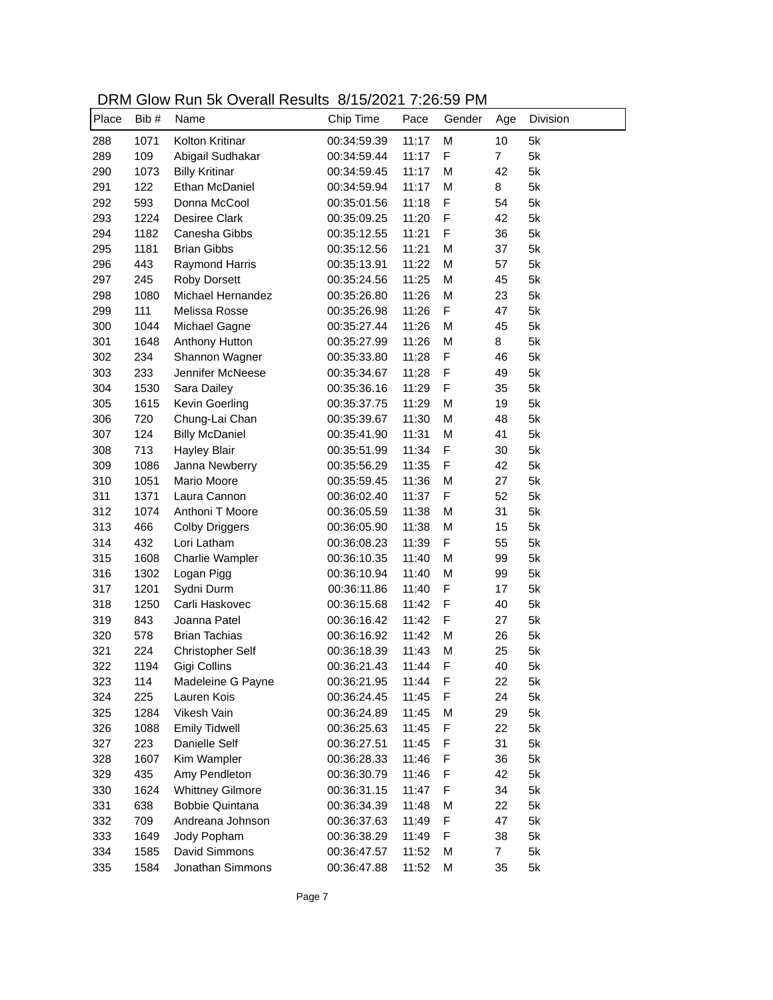| DRM Glow Run 5k Overall Results 8/15/2021 7:26:59 PM |  |
|------------------------------------------------------|--|
|------------------------------------------------------|--|

| M<br>Kolton Kritinar<br>10<br>5k<br>288<br>1071<br>00:34:59.39<br>11:17<br>F<br>289<br>109<br>Abigail Sudhakar<br>11:17<br>$\overline{7}$<br>5k<br>00:34:59.44<br>5k<br>290<br><b>Billy Kritinar</b><br>11:17<br>M<br>42<br>1073<br>00:34:59.45<br>5k<br>291<br>122<br>Ethan McDaniel<br>11:17<br>M<br>8<br>00:34:59.94<br>F<br>5k<br>292<br>593<br>Donna McCool<br>00:35:01.56<br>11:18<br>54<br>F<br>293<br>1224<br><b>Desiree Clark</b><br>11:20<br>42<br>5k<br>00:35:09.25<br>F<br>294<br>Canesha Gibbs<br>11:21<br>36<br>5k<br>1182<br>00:35:12.55<br>295<br>1181<br><b>Brian Gibbs</b><br>11:21<br>M<br>37<br>5k<br>00:35:12.56<br>296<br>11:22<br>M<br>57<br>5k<br>443<br><b>Raymond Harris</b><br>00:35:13.91<br>297<br>245<br>Roby Dorsett<br>00:35:24.56<br>11:25<br>M<br>45<br>5k<br>298<br>1080<br>Michael Hernandez<br>11:26<br>M<br>23<br>5k<br>00:35:26.80<br>299<br>111<br>Melissa Rosse<br>11:26<br>F<br>47<br>5k<br>00:35:26.98<br>300<br>1044<br>11:26<br>M<br>45<br>5k<br>Michael Gagne<br>00:35:27.44<br>301<br>11:26<br>M<br>8<br>5k<br>1648<br>Anthony Hutton<br>00:35:27.99<br>F<br>302<br>Shannon Wagner<br>11:28<br>5k<br>234<br>00:35:33.80<br>46<br>303<br>233<br>Jennifer McNeese<br>11:28<br>F<br>49<br>5k<br>00:35:34.67<br>304<br>Sara Dailey<br>F<br>35<br>5k<br>1530<br>00:35:36.16<br>11:29<br>305<br>Kevin Goerling<br>M<br>19<br>5k<br>1615<br>00:35:37.75<br>11:29<br>306<br>Chung-Lai Chan<br>M<br>48<br>5k<br>720<br>00:35:39.67<br>11:30<br>307<br>M<br>41<br>5k<br>124<br><b>Billy McDaniel</b><br>00:35:41.90<br>11:31<br>F<br>308<br>30<br>5k<br>713<br><b>Hayley Blair</b><br>00:35:51.99<br>11:34<br>F<br>309<br>Janna Newberry<br>11:35<br>42<br>5k<br>1086<br>00:35:56.29<br>310<br>Mario Moore<br>11:36<br>M<br>27<br>5k<br>1051<br>00:35:59.45<br>F<br>311<br>11:37<br>52<br>5k<br>1371<br>Laura Cannon<br>00:36:02.40<br>31<br>312<br>Anthoni T Moore<br>11:38<br>M<br>5k<br>1074<br>00:36:05.59<br>5k<br>313<br>11:38<br>M<br>15<br>466<br><b>Colby Driggers</b><br>00:36:05.90<br>F<br>5k<br>314<br>432<br>Lori Latham<br>11:39<br>55<br>00:36:08.23<br>5k<br>315<br>M<br>99<br>1608<br>Charlie Wampler<br>00:36:10.35<br>11:40<br>5k<br>316<br>11:40<br>M<br>99<br>1302<br>Logan Pigg<br>00:36:10.94<br>F<br>5k<br>317<br>1201<br>Sydni Durm<br>00:36:11.86<br>11:40<br>17<br>F<br>318<br>Carli Haskovec<br>11:42<br>40<br>5k<br>1250<br>00:36:15.68<br>F<br>5k<br>319<br>11:42<br>27<br>843<br>Joanna Patel<br>00:36:16.42<br>320<br><b>Brian Tachias</b><br>11:42<br>M<br>26<br>5k<br>578<br>00:36:16.92<br>25<br>321<br>224<br>11:43<br>M<br>5k<br><b>Christopher Self</b><br>00:36:18.39<br>322<br>40<br>1194<br>Gigi Collins<br>00:36:21.43<br>11:44<br>F<br>5k<br>323<br>114<br>11:44<br>F<br>22<br>5k<br>Madeleine G Payne<br>00:36:21.95<br>324<br>11:45<br>F<br>24<br>5k<br>225<br>Lauren Kois<br>00:36:24.45<br>Vikesh Vain<br>5k<br>325<br>1284<br>11:45<br>M<br>29<br>00:36:24.89<br>F<br>5k<br>326<br>1088<br><b>Emily Tidwell</b><br>11:45<br>22<br>00:36:25.63<br>327<br>5k<br>223<br>Danielle Self<br>11:45<br>F<br>31<br>00:36:27.51<br>328<br>1607<br>Kim Wampler<br>5k<br>00:36:28.33<br>11:46<br>F<br>36<br>329<br>42<br>435<br>Amy Pendleton<br>11:46<br>F<br>5k<br>00:36:30.79<br><b>Whittney Gilmore</b><br>F<br>34<br>330<br>1624<br>11:47<br>5k<br>00:36:31.15<br>331<br>638<br><b>Bobbie Quintana</b><br>00:36:34.39<br>11:48<br>M<br>22<br>5k<br>Andreana Johnson<br>F<br>332<br>709<br>47<br>5k<br>00:36:37.63<br>11:49<br>F<br>333<br>Jody Popham<br>00:36:38.29<br>38<br>5k<br>1649<br>11:49<br>334<br>David Simmons<br>1585<br>00:36:47.57<br>11:52<br>M<br>7<br>5k<br>335<br>Jonathan Simmons<br>1584<br>11:52<br>M<br>35<br>5k<br>00:36:47.88 | Place | Bib# | Name | Chip Time | Pace | Gender | Age | Division |
|--------------------------------------------------------------------------------------------------------------------------------------------------------------------------------------------------------------------------------------------------------------------------------------------------------------------------------------------------------------------------------------------------------------------------------------------------------------------------------------------------------------------------------------------------------------------------------------------------------------------------------------------------------------------------------------------------------------------------------------------------------------------------------------------------------------------------------------------------------------------------------------------------------------------------------------------------------------------------------------------------------------------------------------------------------------------------------------------------------------------------------------------------------------------------------------------------------------------------------------------------------------------------------------------------------------------------------------------------------------------------------------------------------------------------------------------------------------------------------------------------------------------------------------------------------------------------------------------------------------------------------------------------------------------------------------------------------------------------------------------------------------------------------------------------------------------------------------------------------------------------------------------------------------------------------------------------------------------------------------------------------------------------------------------------------------------------------------------------------------------------------------------------------------------------------------------------------------------------------------------------------------------------------------------------------------------------------------------------------------------------------------------------------------------------------------------------------------------------------------------------------------------------------------------------------------------------------------------------------------------------------------------------------------------------------------------------------------------------------------------------------------------------------------------------------------------------------------------------------------------------------------------------------------------------------------------------------------------------------------------------------------------------------------------------------------------------------------------------------------------------------------------------------------------------------------------------------------------------------------------------------------------------------------------------------------------------------------------------------------------------------------------------------------------------------------------------------------------------------------------------------------------------------------------------------------------------------------------------------------------------------------------------------------------------------------------------------------------------------------|-------|------|------|-----------|------|--------|-----|----------|
|                                                                                                                                                                                                                                                                                                                                                                                                                                                                                                                                                                                                                                                                                                                                                                                                                                                                                                                                                                                                                                                                                                                                                                                                                                                                                                                                                                                                                                                                                                                                                                                                                                                                                                                                                                                                                                                                                                                                                                                                                                                                                                                                                                                                                                                                                                                                                                                                                                                                                                                                                                                                                                                                                                                                                                                                                                                                                                                                                                                                                                                                                                                                                                                                                                                                                                                                                                                                                                                                                                                                                                                                                                                                                                                                      |       |      |      |           |      |        |     |          |
|                                                                                                                                                                                                                                                                                                                                                                                                                                                                                                                                                                                                                                                                                                                                                                                                                                                                                                                                                                                                                                                                                                                                                                                                                                                                                                                                                                                                                                                                                                                                                                                                                                                                                                                                                                                                                                                                                                                                                                                                                                                                                                                                                                                                                                                                                                                                                                                                                                                                                                                                                                                                                                                                                                                                                                                                                                                                                                                                                                                                                                                                                                                                                                                                                                                                                                                                                                                                                                                                                                                                                                                                                                                                                                                                      |       |      |      |           |      |        |     |          |
|                                                                                                                                                                                                                                                                                                                                                                                                                                                                                                                                                                                                                                                                                                                                                                                                                                                                                                                                                                                                                                                                                                                                                                                                                                                                                                                                                                                                                                                                                                                                                                                                                                                                                                                                                                                                                                                                                                                                                                                                                                                                                                                                                                                                                                                                                                                                                                                                                                                                                                                                                                                                                                                                                                                                                                                                                                                                                                                                                                                                                                                                                                                                                                                                                                                                                                                                                                                                                                                                                                                                                                                                                                                                                                                                      |       |      |      |           |      |        |     |          |
|                                                                                                                                                                                                                                                                                                                                                                                                                                                                                                                                                                                                                                                                                                                                                                                                                                                                                                                                                                                                                                                                                                                                                                                                                                                                                                                                                                                                                                                                                                                                                                                                                                                                                                                                                                                                                                                                                                                                                                                                                                                                                                                                                                                                                                                                                                                                                                                                                                                                                                                                                                                                                                                                                                                                                                                                                                                                                                                                                                                                                                                                                                                                                                                                                                                                                                                                                                                                                                                                                                                                                                                                                                                                                                                                      |       |      |      |           |      |        |     |          |
|                                                                                                                                                                                                                                                                                                                                                                                                                                                                                                                                                                                                                                                                                                                                                                                                                                                                                                                                                                                                                                                                                                                                                                                                                                                                                                                                                                                                                                                                                                                                                                                                                                                                                                                                                                                                                                                                                                                                                                                                                                                                                                                                                                                                                                                                                                                                                                                                                                                                                                                                                                                                                                                                                                                                                                                                                                                                                                                                                                                                                                                                                                                                                                                                                                                                                                                                                                                                                                                                                                                                                                                                                                                                                                                                      |       |      |      |           |      |        |     |          |
|                                                                                                                                                                                                                                                                                                                                                                                                                                                                                                                                                                                                                                                                                                                                                                                                                                                                                                                                                                                                                                                                                                                                                                                                                                                                                                                                                                                                                                                                                                                                                                                                                                                                                                                                                                                                                                                                                                                                                                                                                                                                                                                                                                                                                                                                                                                                                                                                                                                                                                                                                                                                                                                                                                                                                                                                                                                                                                                                                                                                                                                                                                                                                                                                                                                                                                                                                                                                                                                                                                                                                                                                                                                                                                                                      |       |      |      |           |      |        |     |          |
|                                                                                                                                                                                                                                                                                                                                                                                                                                                                                                                                                                                                                                                                                                                                                                                                                                                                                                                                                                                                                                                                                                                                                                                                                                                                                                                                                                                                                                                                                                                                                                                                                                                                                                                                                                                                                                                                                                                                                                                                                                                                                                                                                                                                                                                                                                                                                                                                                                                                                                                                                                                                                                                                                                                                                                                                                                                                                                                                                                                                                                                                                                                                                                                                                                                                                                                                                                                                                                                                                                                                                                                                                                                                                                                                      |       |      |      |           |      |        |     |          |
|                                                                                                                                                                                                                                                                                                                                                                                                                                                                                                                                                                                                                                                                                                                                                                                                                                                                                                                                                                                                                                                                                                                                                                                                                                                                                                                                                                                                                                                                                                                                                                                                                                                                                                                                                                                                                                                                                                                                                                                                                                                                                                                                                                                                                                                                                                                                                                                                                                                                                                                                                                                                                                                                                                                                                                                                                                                                                                                                                                                                                                                                                                                                                                                                                                                                                                                                                                                                                                                                                                                                                                                                                                                                                                                                      |       |      |      |           |      |        |     |          |
|                                                                                                                                                                                                                                                                                                                                                                                                                                                                                                                                                                                                                                                                                                                                                                                                                                                                                                                                                                                                                                                                                                                                                                                                                                                                                                                                                                                                                                                                                                                                                                                                                                                                                                                                                                                                                                                                                                                                                                                                                                                                                                                                                                                                                                                                                                                                                                                                                                                                                                                                                                                                                                                                                                                                                                                                                                                                                                                                                                                                                                                                                                                                                                                                                                                                                                                                                                                                                                                                                                                                                                                                                                                                                                                                      |       |      |      |           |      |        |     |          |
|                                                                                                                                                                                                                                                                                                                                                                                                                                                                                                                                                                                                                                                                                                                                                                                                                                                                                                                                                                                                                                                                                                                                                                                                                                                                                                                                                                                                                                                                                                                                                                                                                                                                                                                                                                                                                                                                                                                                                                                                                                                                                                                                                                                                                                                                                                                                                                                                                                                                                                                                                                                                                                                                                                                                                                                                                                                                                                                                                                                                                                                                                                                                                                                                                                                                                                                                                                                                                                                                                                                                                                                                                                                                                                                                      |       |      |      |           |      |        |     |          |
|                                                                                                                                                                                                                                                                                                                                                                                                                                                                                                                                                                                                                                                                                                                                                                                                                                                                                                                                                                                                                                                                                                                                                                                                                                                                                                                                                                                                                                                                                                                                                                                                                                                                                                                                                                                                                                                                                                                                                                                                                                                                                                                                                                                                                                                                                                                                                                                                                                                                                                                                                                                                                                                                                                                                                                                                                                                                                                                                                                                                                                                                                                                                                                                                                                                                                                                                                                                                                                                                                                                                                                                                                                                                                                                                      |       |      |      |           |      |        |     |          |
|                                                                                                                                                                                                                                                                                                                                                                                                                                                                                                                                                                                                                                                                                                                                                                                                                                                                                                                                                                                                                                                                                                                                                                                                                                                                                                                                                                                                                                                                                                                                                                                                                                                                                                                                                                                                                                                                                                                                                                                                                                                                                                                                                                                                                                                                                                                                                                                                                                                                                                                                                                                                                                                                                                                                                                                                                                                                                                                                                                                                                                                                                                                                                                                                                                                                                                                                                                                                                                                                                                                                                                                                                                                                                                                                      |       |      |      |           |      |        |     |          |
|                                                                                                                                                                                                                                                                                                                                                                                                                                                                                                                                                                                                                                                                                                                                                                                                                                                                                                                                                                                                                                                                                                                                                                                                                                                                                                                                                                                                                                                                                                                                                                                                                                                                                                                                                                                                                                                                                                                                                                                                                                                                                                                                                                                                                                                                                                                                                                                                                                                                                                                                                                                                                                                                                                                                                                                                                                                                                                                                                                                                                                                                                                                                                                                                                                                                                                                                                                                                                                                                                                                                                                                                                                                                                                                                      |       |      |      |           |      |        |     |          |
|                                                                                                                                                                                                                                                                                                                                                                                                                                                                                                                                                                                                                                                                                                                                                                                                                                                                                                                                                                                                                                                                                                                                                                                                                                                                                                                                                                                                                                                                                                                                                                                                                                                                                                                                                                                                                                                                                                                                                                                                                                                                                                                                                                                                                                                                                                                                                                                                                                                                                                                                                                                                                                                                                                                                                                                                                                                                                                                                                                                                                                                                                                                                                                                                                                                                                                                                                                                                                                                                                                                                                                                                                                                                                                                                      |       |      |      |           |      |        |     |          |
|                                                                                                                                                                                                                                                                                                                                                                                                                                                                                                                                                                                                                                                                                                                                                                                                                                                                                                                                                                                                                                                                                                                                                                                                                                                                                                                                                                                                                                                                                                                                                                                                                                                                                                                                                                                                                                                                                                                                                                                                                                                                                                                                                                                                                                                                                                                                                                                                                                                                                                                                                                                                                                                                                                                                                                                                                                                                                                                                                                                                                                                                                                                                                                                                                                                                                                                                                                                                                                                                                                                                                                                                                                                                                                                                      |       |      |      |           |      |        |     |          |
|                                                                                                                                                                                                                                                                                                                                                                                                                                                                                                                                                                                                                                                                                                                                                                                                                                                                                                                                                                                                                                                                                                                                                                                                                                                                                                                                                                                                                                                                                                                                                                                                                                                                                                                                                                                                                                                                                                                                                                                                                                                                                                                                                                                                                                                                                                                                                                                                                                                                                                                                                                                                                                                                                                                                                                                                                                                                                                                                                                                                                                                                                                                                                                                                                                                                                                                                                                                                                                                                                                                                                                                                                                                                                                                                      |       |      |      |           |      |        |     |          |
|                                                                                                                                                                                                                                                                                                                                                                                                                                                                                                                                                                                                                                                                                                                                                                                                                                                                                                                                                                                                                                                                                                                                                                                                                                                                                                                                                                                                                                                                                                                                                                                                                                                                                                                                                                                                                                                                                                                                                                                                                                                                                                                                                                                                                                                                                                                                                                                                                                                                                                                                                                                                                                                                                                                                                                                                                                                                                                                                                                                                                                                                                                                                                                                                                                                                                                                                                                                                                                                                                                                                                                                                                                                                                                                                      |       |      |      |           |      |        |     |          |
|                                                                                                                                                                                                                                                                                                                                                                                                                                                                                                                                                                                                                                                                                                                                                                                                                                                                                                                                                                                                                                                                                                                                                                                                                                                                                                                                                                                                                                                                                                                                                                                                                                                                                                                                                                                                                                                                                                                                                                                                                                                                                                                                                                                                                                                                                                                                                                                                                                                                                                                                                                                                                                                                                                                                                                                                                                                                                                                                                                                                                                                                                                                                                                                                                                                                                                                                                                                                                                                                                                                                                                                                                                                                                                                                      |       |      |      |           |      |        |     |          |
|                                                                                                                                                                                                                                                                                                                                                                                                                                                                                                                                                                                                                                                                                                                                                                                                                                                                                                                                                                                                                                                                                                                                                                                                                                                                                                                                                                                                                                                                                                                                                                                                                                                                                                                                                                                                                                                                                                                                                                                                                                                                                                                                                                                                                                                                                                                                                                                                                                                                                                                                                                                                                                                                                                                                                                                                                                                                                                                                                                                                                                                                                                                                                                                                                                                                                                                                                                                                                                                                                                                                                                                                                                                                                                                                      |       |      |      |           |      |        |     |          |
|                                                                                                                                                                                                                                                                                                                                                                                                                                                                                                                                                                                                                                                                                                                                                                                                                                                                                                                                                                                                                                                                                                                                                                                                                                                                                                                                                                                                                                                                                                                                                                                                                                                                                                                                                                                                                                                                                                                                                                                                                                                                                                                                                                                                                                                                                                                                                                                                                                                                                                                                                                                                                                                                                                                                                                                                                                                                                                                                                                                                                                                                                                                                                                                                                                                                                                                                                                                                                                                                                                                                                                                                                                                                                                                                      |       |      |      |           |      |        |     |          |
|                                                                                                                                                                                                                                                                                                                                                                                                                                                                                                                                                                                                                                                                                                                                                                                                                                                                                                                                                                                                                                                                                                                                                                                                                                                                                                                                                                                                                                                                                                                                                                                                                                                                                                                                                                                                                                                                                                                                                                                                                                                                                                                                                                                                                                                                                                                                                                                                                                                                                                                                                                                                                                                                                                                                                                                                                                                                                                                                                                                                                                                                                                                                                                                                                                                                                                                                                                                                                                                                                                                                                                                                                                                                                                                                      |       |      |      |           |      |        |     |          |
|                                                                                                                                                                                                                                                                                                                                                                                                                                                                                                                                                                                                                                                                                                                                                                                                                                                                                                                                                                                                                                                                                                                                                                                                                                                                                                                                                                                                                                                                                                                                                                                                                                                                                                                                                                                                                                                                                                                                                                                                                                                                                                                                                                                                                                                                                                                                                                                                                                                                                                                                                                                                                                                                                                                                                                                                                                                                                                                                                                                                                                                                                                                                                                                                                                                                                                                                                                                                                                                                                                                                                                                                                                                                                                                                      |       |      |      |           |      |        |     |          |
|                                                                                                                                                                                                                                                                                                                                                                                                                                                                                                                                                                                                                                                                                                                                                                                                                                                                                                                                                                                                                                                                                                                                                                                                                                                                                                                                                                                                                                                                                                                                                                                                                                                                                                                                                                                                                                                                                                                                                                                                                                                                                                                                                                                                                                                                                                                                                                                                                                                                                                                                                                                                                                                                                                                                                                                                                                                                                                                                                                                                                                                                                                                                                                                                                                                                                                                                                                                                                                                                                                                                                                                                                                                                                                                                      |       |      |      |           |      |        |     |          |
|                                                                                                                                                                                                                                                                                                                                                                                                                                                                                                                                                                                                                                                                                                                                                                                                                                                                                                                                                                                                                                                                                                                                                                                                                                                                                                                                                                                                                                                                                                                                                                                                                                                                                                                                                                                                                                                                                                                                                                                                                                                                                                                                                                                                                                                                                                                                                                                                                                                                                                                                                                                                                                                                                                                                                                                                                                                                                                                                                                                                                                                                                                                                                                                                                                                                                                                                                                                                                                                                                                                                                                                                                                                                                                                                      |       |      |      |           |      |        |     |          |
|                                                                                                                                                                                                                                                                                                                                                                                                                                                                                                                                                                                                                                                                                                                                                                                                                                                                                                                                                                                                                                                                                                                                                                                                                                                                                                                                                                                                                                                                                                                                                                                                                                                                                                                                                                                                                                                                                                                                                                                                                                                                                                                                                                                                                                                                                                                                                                                                                                                                                                                                                                                                                                                                                                                                                                                                                                                                                                                                                                                                                                                                                                                                                                                                                                                                                                                                                                                                                                                                                                                                                                                                                                                                                                                                      |       |      |      |           |      |        |     |          |
|                                                                                                                                                                                                                                                                                                                                                                                                                                                                                                                                                                                                                                                                                                                                                                                                                                                                                                                                                                                                                                                                                                                                                                                                                                                                                                                                                                                                                                                                                                                                                                                                                                                                                                                                                                                                                                                                                                                                                                                                                                                                                                                                                                                                                                                                                                                                                                                                                                                                                                                                                                                                                                                                                                                                                                                                                                                                                                                                                                                                                                                                                                                                                                                                                                                                                                                                                                                                                                                                                                                                                                                                                                                                                                                                      |       |      |      |           |      |        |     |          |
|                                                                                                                                                                                                                                                                                                                                                                                                                                                                                                                                                                                                                                                                                                                                                                                                                                                                                                                                                                                                                                                                                                                                                                                                                                                                                                                                                                                                                                                                                                                                                                                                                                                                                                                                                                                                                                                                                                                                                                                                                                                                                                                                                                                                                                                                                                                                                                                                                                                                                                                                                                                                                                                                                                                                                                                                                                                                                                                                                                                                                                                                                                                                                                                                                                                                                                                                                                                                                                                                                                                                                                                                                                                                                                                                      |       |      |      |           |      |        |     |          |
|                                                                                                                                                                                                                                                                                                                                                                                                                                                                                                                                                                                                                                                                                                                                                                                                                                                                                                                                                                                                                                                                                                                                                                                                                                                                                                                                                                                                                                                                                                                                                                                                                                                                                                                                                                                                                                                                                                                                                                                                                                                                                                                                                                                                                                                                                                                                                                                                                                                                                                                                                                                                                                                                                                                                                                                                                                                                                                                                                                                                                                                                                                                                                                                                                                                                                                                                                                                                                                                                                                                                                                                                                                                                                                                                      |       |      |      |           |      |        |     |          |
|                                                                                                                                                                                                                                                                                                                                                                                                                                                                                                                                                                                                                                                                                                                                                                                                                                                                                                                                                                                                                                                                                                                                                                                                                                                                                                                                                                                                                                                                                                                                                                                                                                                                                                                                                                                                                                                                                                                                                                                                                                                                                                                                                                                                                                                                                                                                                                                                                                                                                                                                                                                                                                                                                                                                                                                                                                                                                                                                                                                                                                                                                                                                                                                                                                                                                                                                                                                                                                                                                                                                                                                                                                                                                                                                      |       |      |      |           |      |        |     |          |
|                                                                                                                                                                                                                                                                                                                                                                                                                                                                                                                                                                                                                                                                                                                                                                                                                                                                                                                                                                                                                                                                                                                                                                                                                                                                                                                                                                                                                                                                                                                                                                                                                                                                                                                                                                                                                                                                                                                                                                                                                                                                                                                                                                                                                                                                                                                                                                                                                                                                                                                                                                                                                                                                                                                                                                                                                                                                                                                                                                                                                                                                                                                                                                                                                                                                                                                                                                                                                                                                                                                                                                                                                                                                                                                                      |       |      |      |           |      |        |     |          |
|                                                                                                                                                                                                                                                                                                                                                                                                                                                                                                                                                                                                                                                                                                                                                                                                                                                                                                                                                                                                                                                                                                                                                                                                                                                                                                                                                                                                                                                                                                                                                                                                                                                                                                                                                                                                                                                                                                                                                                                                                                                                                                                                                                                                                                                                                                                                                                                                                                                                                                                                                                                                                                                                                                                                                                                                                                                                                                                                                                                                                                                                                                                                                                                                                                                                                                                                                                                                                                                                                                                                                                                                                                                                                                                                      |       |      |      |           |      |        |     |          |
|                                                                                                                                                                                                                                                                                                                                                                                                                                                                                                                                                                                                                                                                                                                                                                                                                                                                                                                                                                                                                                                                                                                                                                                                                                                                                                                                                                                                                                                                                                                                                                                                                                                                                                                                                                                                                                                                                                                                                                                                                                                                                                                                                                                                                                                                                                                                                                                                                                                                                                                                                                                                                                                                                                                                                                                                                                                                                                                                                                                                                                                                                                                                                                                                                                                                                                                                                                                                                                                                                                                                                                                                                                                                                                                                      |       |      |      |           |      |        |     |          |
|                                                                                                                                                                                                                                                                                                                                                                                                                                                                                                                                                                                                                                                                                                                                                                                                                                                                                                                                                                                                                                                                                                                                                                                                                                                                                                                                                                                                                                                                                                                                                                                                                                                                                                                                                                                                                                                                                                                                                                                                                                                                                                                                                                                                                                                                                                                                                                                                                                                                                                                                                                                                                                                                                                                                                                                                                                                                                                                                                                                                                                                                                                                                                                                                                                                                                                                                                                                                                                                                                                                                                                                                                                                                                                                                      |       |      |      |           |      |        |     |          |
|                                                                                                                                                                                                                                                                                                                                                                                                                                                                                                                                                                                                                                                                                                                                                                                                                                                                                                                                                                                                                                                                                                                                                                                                                                                                                                                                                                                                                                                                                                                                                                                                                                                                                                                                                                                                                                                                                                                                                                                                                                                                                                                                                                                                                                                                                                                                                                                                                                                                                                                                                                                                                                                                                                                                                                                                                                                                                                                                                                                                                                                                                                                                                                                                                                                                                                                                                                                                                                                                                                                                                                                                                                                                                                                                      |       |      |      |           |      |        |     |          |
|                                                                                                                                                                                                                                                                                                                                                                                                                                                                                                                                                                                                                                                                                                                                                                                                                                                                                                                                                                                                                                                                                                                                                                                                                                                                                                                                                                                                                                                                                                                                                                                                                                                                                                                                                                                                                                                                                                                                                                                                                                                                                                                                                                                                                                                                                                                                                                                                                                                                                                                                                                                                                                                                                                                                                                                                                                                                                                                                                                                                                                                                                                                                                                                                                                                                                                                                                                                                                                                                                                                                                                                                                                                                                                                                      |       |      |      |           |      |        |     |          |
|                                                                                                                                                                                                                                                                                                                                                                                                                                                                                                                                                                                                                                                                                                                                                                                                                                                                                                                                                                                                                                                                                                                                                                                                                                                                                                                                                                                                                                                                                                                                                                                                                                                                                                                                                                                                                                                                                                                                                                                                                                                                                                                                                                                                                                                                                                                                                                                                                                                                                                                                                                                                                                                                                                                                                                                                                                                                                                                                                                                                                                                                                                                                                                                                                                                                                                                                                                                                                                                                                                                                                                                                                                                                                                                                      |       |      |      |           |      |        |     |          |
|                                                                                                                                                                                                                                                                                                                                                                                                                                                                                                                                                                                                                                                                                                                                                                                                                                                                                                                                                                                                                                                                                                                                                                                                                                                                                                                                                                                                                                                                                                                                                                                                                                                                                                                                                                                                                                                                                                                                                                                                                                                                                                                                                                                                                                                                                                                                                                                                                                                                                                                                                                                                                                                                                                                                                                                                                                                                                                                                                                                                                                                                                                                                                                                                                                                                                                                                                                                                                                                                                                                                                                                                                                                                                                                                      |       |      |      |           |      |        |     |          |
|                                                                                                                                                                                                                                                                                                                                                                                                                                                                                                                                                                                                                                                                                                                                                                                                                                                                                                                                                                                                                                                                                                                                                                                                                                                                                                                                                                                                                                                                                                                                                                                                                                                                                                                                                                                                                                                                                                                                                                                                                                                                                                                                                                                                                                                                                                                                                                                                                                                                                                                                                                                                                                                                                                                                                                                                                                                                                                                                                                                                                                                                                                                                                                                                                                                                                                                                                                                                                                                                                                                                                                                                                                                                                                                                      |       |      |      |           |      |        |     |          |
|                                                                                                                                                                                                                                                                                                                                                                                                                                                                                                                                                                                                                                                                                                                                                                                                                                                                                                                                                                                                                                                                                                                                                                                                                                                                                                                                                                                                                                                                                                                                                                                                                                                                                                                                                                                                                                                                                                                                                                                                                                                                                                                                                                                                                                                                                                                                                                                                                                                                                                                                                                                                                                                                                                                                                                                                                                                                                                                                                                                                                                                                                                                                                                                                                                                                                                                                                                                                                                                                                                                                                                                                                                                                                                                                      |       |      |      |           |      |        |     |          |
|                                                                                                                                                                                                                                                                                                                                                                                                                                                                                                                                                                                                                                                                                                                                                                                                                                                                                                                                                                                                                                                                                                                                                                                                                                                                                                                                                                                                                                                                                                                                                                                                                                                                                                                                                                                                                                                                                                                                                                                                                                                                                                                                                                                                                                                                                                                                                                                                                                                                                                                                                                                                                                                                                                                                                                                                                                                                                                                                                                                                                                                                                                                                                                                                                                                                                                                                                                                                                                                                                                                                                                                                                                                                                                                                      |       |      |      |           |      |        |     |          |
|                                                                                                                                                                                                                                                                                                                                                                                                                                                                                                                                                                                                                                                                                                                                                                                                                                                                                                                                                                                                                                                                                                                                                                                                                                                                                                                                                                                                                                                                                                                                                                                                                                                                                                                                                                                                                                                                                                                                                                                                                                                                                                                                                                                                                                                                                                                                                                                                                                                                                                                                                                                                                                                                                                                                                                                                                                                                                                                                                                                                                                                                                                                                                                                                                                                                                                                                                                                                                                                                                                                                                                                                                                                                                                                                      |       |      |      |           |      |        |     |          |
|                                                                                                                                                                                                                                                                                                                                                                                                                                                                                                                                                                                                                                                                                                                                                                                                                                                                                                                                                                                                                                                                                                                                                                                                                                                                                                                                                                                                                                                                                                                                                                                                                                                                                                                                                                                                                                                                                                                                                                                                                                                                                                                                                                                                                                                                                                                                                                                                                                                                                                                                                                                                                                                                                                                                                                                                                                                                                                                                                                                                                                                                                                                                                                                                                                                                                                                                                                                                                                                                                                                                                                                                                                                                                                                                      |       |      |      |           |      |        |     |          |
|                                                                                                                                                                                                                                                                                                                                                                                                                                                                                                                                                                                                                                                                                                                                                                                                                                                                                                                                                                                                                                                                                                                                                                                                                                                                                                                                                                                                                                                                                                                                                                                                                                                                                                                                                                                                                                                                                                                                                                                                                                                                                                                                                                                                                                                                                                                                                                                                                                                                                                                                                                                                                                                                                                                                                                                                                                                                                                                                                                                                                                                                                                                                                                                                                                                                                                                                                                                                                                                                                                                                                                                                                                                                                                                                      |       |      |      |           |      |        |     |          |
|                                                                                                                                                                                                                                                                                                                                                                                                                                                                                                                                                                                                                                                                                                                                                                                                                                                                                                                                                                                                                                                                                                                                                                                                                                                                                                                                                                                                                                                                                                                                                                                                                                                                                                                                                                                                                                                                                                                                                                                                                                                                                                                                                                                                                                                                                                                                                                                                                                                                                                                                                                                                                                                                                                                                                                                                                                                                                                                                                                                                                                                                                                                                                                                                                                                                                                                                                                                                                                                                                                                                                                                                                                                                                                                                      |       |      |      |           |      |        |     |          |
|                                                                                                                                                                                                                                                                                                                                                                                                                                                                                                                                                                                                                                                                                                                                                                                                                                                                                                                                                                                                                                                                                                                                                                                                                                                                                                                                                                                                                                                                                                                                                                                                                                                                                                                                                                                                                                                                                                                                                                                                                                                                                                                                                                                                                                                                                                                                                                                                                                                                                                                                                                                                                                                                                                                                                                                                                                                                                                                                                                                                                                                                                                                                                                                                                                                                                                                                                                                                                                                                                                                                                                                                                                                                                                                                      |       |      |      |           |      |        |     |          |
|                                                                                                                                                                                                                                                                                                                                                                                                                                                                                                                                                                                                                                                                                                                                                                                                                                                                                                                                                                                                                                                                                                                                                                                                                                                                                                                                                                                                                                                                                                                                                                                                                                                                                                                                                                                                                                                                                                                                                                                                                                                                                                                                                                                                                                                                                                                                                                                                                                                                                                                                                                                                                                                                                                                                                                                                                                                                                                                                                                                                                                                                                                                                                                                                                                                                                                                                                                                                                                                                                                                                                                                                                                                                                                                                      |       |      |      |           |      |        |     |          |
|                                                                                                                                                                                                                                                                                                                                                                                                                                                                                                                                                                                                                                                                                                                                                                                                                                                                                                                                                                                                                                                                                                                                                                                                                                                                                                                                                                                                                                                                                                                                                                                                                                                                                                                                                                                                                                                                                                                                                                                                                                                                                                                                                                                                                                                                                                                                                                                                                                                                                                                                                                                                                                                                                                                                                                                                                                                                                                                                                                                                                                                                                                                                                                                                                                                                                                                                                                                                                                                                                                                                                                                                                                                                                                                                      |       |      |      |           |      |        |     |          |
|                                                                                                                                                                                                                                                                                                                                                                                                                                                                                                                                                                                                                                                                                                                                                                                                                                                                                                                                                                                                                                                                                                                                                                                                                                                                                                                                                                                                                                                                                                                                                                                                                                                                                                                                                                                                                                                                                                                                                                                                                                                                                                                                                                                                                                                                                                                                                                                                                                                                                                                                                                                                                                                                                                                                                                                                                                                                                                                                                                                                                                                                                                                                                                                                                                                                                                                                                                                                                                                                                                                                                                                                                                                                                                                                      |       |      |      |           |      |        |     |          |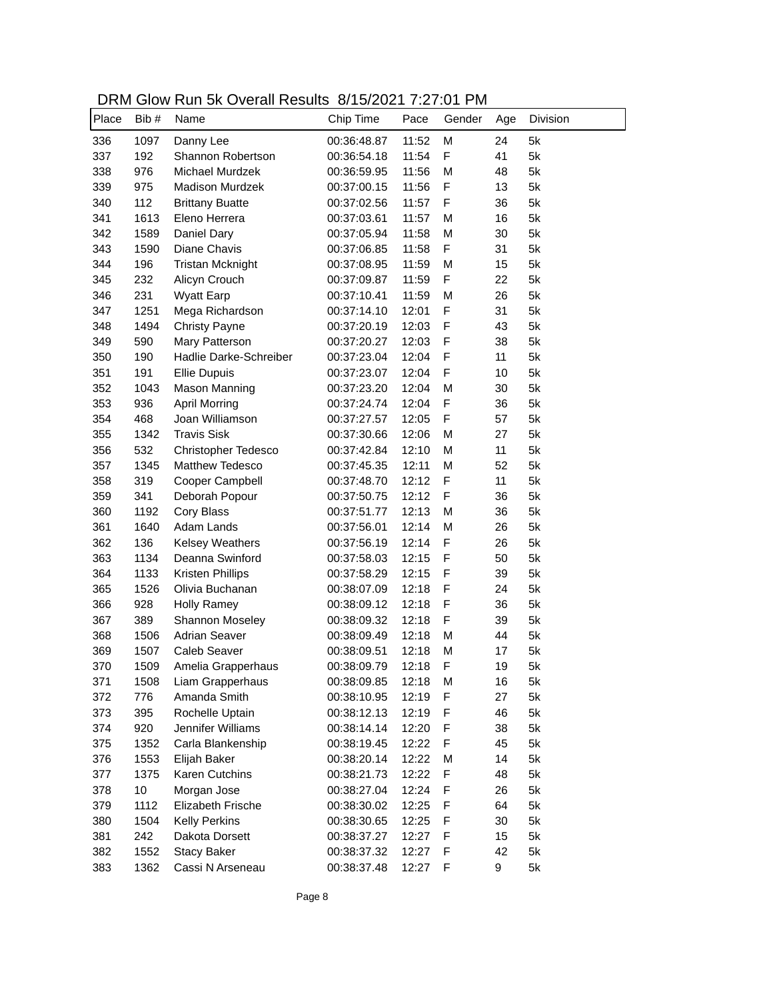| DRM Glow Run 5k Overall Results 8/15/2021 7:27:01 PM |  |
|------------------------------------------------------|--|
|------------------------------------------------------|--|

| Place | Bib# | <b>NOTE ON OVOIGHT NOOGHO</b><br>Name | 0.1012021132101<br>Chip Time | Pace  | Gender       | Age | Division |
|-------|------|---------------------------------------|------------------------------|-------|--------------|-----|----------|
| 336   | 1097 | Danny Lee                             | 00:36:48.87                  | 11:52 | M            | 24  | 5k       |
| 337   | 192  | Shannon Robertson                     | 00:36:54.18                  | 11:54 | F            | 41  | 5k       |
| 338   | 976  | <b>Michael Murdzek</b>                | 00:36:59.95                  | 11:56 | M            | 48  | 5k       |
| 339   | 975  | <b>Madison Murdzek</b>                | 00:37:00.15                  | 11:56 | F            | 13  | 5k       |
| 340   | 112  | <b>Brittany Buatte</b>                | 00:37:02.56                  | 11:57 | F            | 36  | 5k       |
| 341   | 1613 | Eleno Herrera                         | 00:37:03.61                  | 11:57 | M            | 16  | 5k       |
| 342   | 1589 | Daniel Dary                           | 00:37:05.94                  | 11:58 | M            | 30  | 5k       |
| 343   | 1590 | Diane Chavis                          | 00:37:06.85                  | 11:58 | F            | 31  | 5k       |
| 344   | 196  | <b>Tristan Mcknight</b>               | 00:37:08.95                  | 11:59 | M            | 15  | 5k       |
| 345   | 232  | Alicyn Crouch                         | 00:37:09.87                  | 11:59 | F            | 22  | 5k       |
| 346   | 231  | <b>Wyatt Earp</b>                     | 00:37:10.41                  | 11:59 | M            | 26  | 5k       |
| 347   | 1251 | Mega Richardson                       | 00:37:14.10                  | 12:01 | F            | 31  | 5k       |
| 348   | 1494 |                                       |                              | 12:03 | F            | 43  | 5k       |
| 349   | 590  | <b>Christy Payne</b>                  | 00:37:20.19                  |       | F            | 38  | 5k       |
|       |      | Mary Patterson                        | 00:37:20.27                  | 12:03 |              |     |          |
| 350   | 190  | Hadlie Darke-Schreiber                | 00:37:23.04                  | 12:04 | F            | 11  | 5k       |
| 351   | 191  | <b>Ellie Dupuis</b>                   | 00:37:23.07                  | 12:04 | F            | 10  | 5k       |
| 352   | 1043 | <b>Mason Manning</b>                  | 00:37:23.20                  | 12:04 | M            | 30  | 5k       |
| 353   | 936  | <b>April Morring</b>                  | 00:37:24.74                  | 12:04 | F            | 36  | 5k       |
| 354   | 468  | Joan Williamson                       | 00:37:27.57                  | 12:05 | F            | 57  | 5k       |
| 355   | 1342 | <b>Travis Sisk</b>                    | 00:37:30.66                  | 12:06 | M            | 27  | 5k       |
| 356   | 532  | <b>Christopher Tedesco</b>            | 00:37:42.84                  | 12:10 | M            | 11  | 5k       |
| 357   | 1345 | Matthew Tedesco                       | 00:37:45.35                  | 12:11 | M            | 52  | 5k       |
| 358   | 319  | Cooper Campbell                       | 00:37:48.70                  | 12:12 | F            | 11  | 5k       |
| 359   | 341  | Deborah Popour                        | 00:37:50.75                  | 12:12 | F            | 36  | 5k       |
| 360   | 1192 | Cory Blass                            | 00:37:51.77                  | 12:13 | M            | 36  | 5k       |
| 361   | 1640 | Adam Lands                            | 00:37:56.01                  | 12:14 | M            | 26  | 5k       |
| 362   | 136  | <b>Kelsey Weathers</b>                | 00:37:56.19                  | 12:14 | F            | 26  | 5k       |
| 363   | 1134 | Deanna Swinford                       | 00:37:58.03                  | 12:15 | F            | 50  | 5k       |
| 364   | 1133 | Kristen Phillips                      | 00:37:58.29                  | 12:15 | $\mathsf{F}$ | 39  | 5k       |
| 365   | 1526 | Olivia Buchanan                       | 00:38:07.09                  | 12:18 | F            | 24  | 5k       |
| 366   | 928  | <b>Holly Ramey</b>                    | 00:38:09.12                  | 12:18 | F            | 36  | 5k       |
| 367   | 389  | Shannon Moseley                       | 00:38:09.32                  | 12:18 | F            | 39  | 5k       |
| 368   | 1506 | <b>Adrian Seaver</b>                  | 00:38:09.49                  | 12:18 | M            | 44  | 5k       |
| 369   | 1507 | <b>Caleb Seaver</b>                   | 00:38:09.51                  | 12:18 | M            | 17  | 5k       |
| 370   | 1509 | Amelia Grapperhaus                    | 00:38:09.79                  | 12:18 | F            | 19  | 5k       |
| 371   | 1508 | Liam Grapperhaus                      | 00:38:09.85                  | 12:18 | M            | 16  | 5k       |
| 372   | 776  | Amanda Smith                          | 00:38:10.95                  | 12:19 | F            | 27  | 5k       |
| 373   | 395  | Rochelle Uptain                       | 00:38:12.13                  | 12:19 | F            | 46  | 5k       |
| 374   | 920  | Jennifer Williams                     | 00:38:14.14                  | 12:20 | F            | 38  | 5k       |
| 375   | 1352 | Carla Blankenship                     | 00:38:19.45                  | 12:22 | F            | 45  | 5k       |
| 376   | 1553 | Elijah Baker                          | 00:38:20.14                  | 12:22 | M            | 14  | 5k       |
| 377   | 1375 | Karen Cutchins                        | 00:38:21.73                  | 12:22 | F            | 48  | 5k       |
| 378   | 10   | Morgan Jose                           | 00:38:27.04                  | 12:24 | F            | 26  | 5k       |
| 379   | 1112 | Elizabeth Frische                     | 00:38:30.02                  | 12:25 | F            | 64  | 5k       |
| 380   | 1504 | <b>Kelly Perkins</b>                  | 00:38:30.65                  | 12:25 | F            | 30  | 5k       |
| 381   | 242  | Dakota Dorsett                        | 00:38:37.27                  | 12:27 | F            | 15  | 5k       |
| 382   | 1552 | <b>Stacy Baker</b>                    | 00:38:37.32                  | 12:27 | F            | 42  | 5k       |
| 383   | 1362 | Cassi N Arseneau                      | 00:38:37.48                  | 12:27 | F            | 9   | 5k       |
|       |      |                                       |                              |       |              |     |          |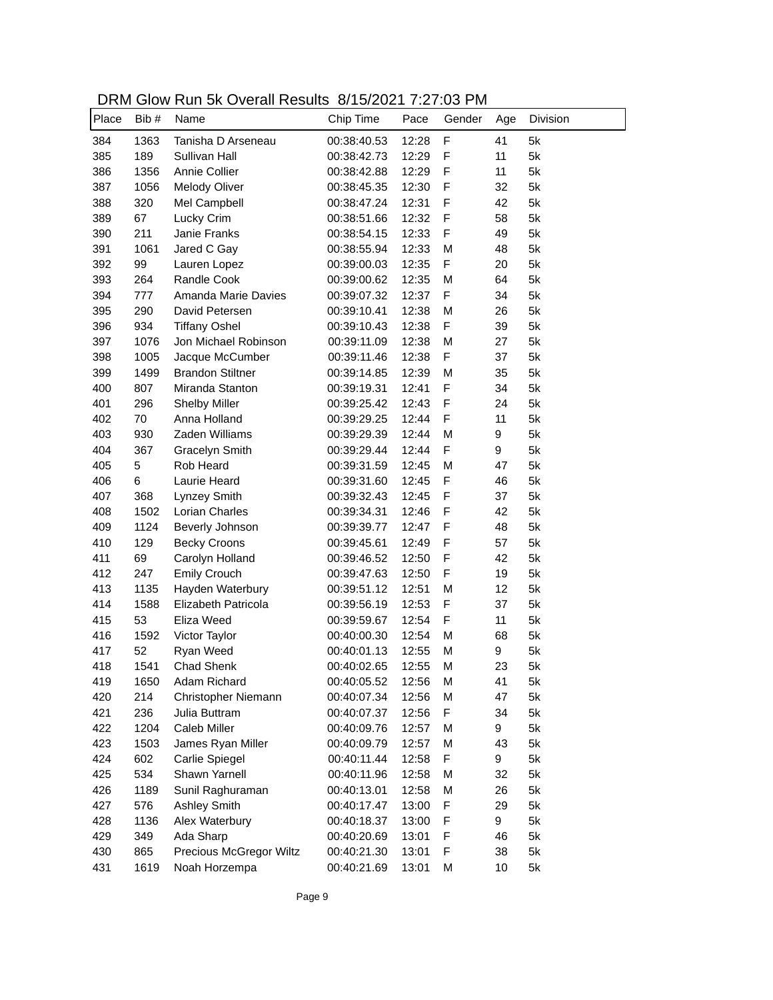| DRM Glow Run 5k Overall Results 8/15/2021 7:27:03 PM |  |
|------------------------------------------------------|--|
|------------------------------------------------------|--|

| Place | Bib # | <u>SIOW INGHI OIN OVOIGHT NOOGING</u><br>Name | 0.1012021132100<br>Chip Time | Pace  | Gender       | Age | Division |
|-------|-------|-----------------------------------------------|------------------------------|-------|--------------|-----|----------|
| 384   | 1363  | Tanisha D Arseneau                            | 00:38:40.53                  | 12:28 | $\mathsf F$  | 41  | 5k       |
| 385   | 189   | Sullivan Hall                                 | 00:38:42.73                  | 12:29 | $\mathsf{F}$ | 11  | 5k       |
| 386   | 1356  | Annie Collier                                 | 00:38:42.88                  | 12:29 | $\mathsf{F}$ | 11  | 5k       |
| 387   | 1056  | Melody Oliver                                 | 00:38:45.35                  | 12:30 | F            | 32  | 5k       |
| 388   | 320   | Mel Campbell                                  | 00:38:47.24                  | 12:31 | F            | 42  | 5k       |
| 389   | 67    | Lucky Crim                                    | 00:38:51.66                  | 12:32 | F            | 58  | 5k       |
| 390   | 211   | Janie Franks                                  | 00:38:54.15                  | 12:33 | F            | 49  | 5k       |
| 391   | 1061  | Jared C Gay                                   | 00:38:55.94                  | 12:33 | M            | 48  | 5k       |
| 392   | 99    | Lauren Lopez                                  | 00:39:00.03                  | 12:35 | F            | 20  | 5k       |
| 393   | 264   | Randle Cook                                   | 00:39:00.62                  | 12:35 | M            | 64  | 5k       |
| 394   | 777   | Amanda Marie Davies                           | 00:39:07.32                  | 12:37 | F            | 34  | 5k       |
| 395   | 290   | David Petersen                                | 00:39:10.41                  | 12:38 | M            | 26  | 5k       |
| 396   | 934   | <b>Tiffany Oshel</b>                          | 00:39:10.43                  | 12:38 | F            | 39  | 5k       |
| 397   | 1076  | Jon Michael Robinson                          | 00:39:11.09                  | 12:38 | M            | 27  | 5k       |
| 398   | 1005  | Jacque McCumber                               | 00:39:11.46                  | 12:38 | F            | 37  | 5k       |
| 399   | 1499  | <b>Brandon Stiltner</b>                       | 00:39:14.85                  | 12:39 | M            | 35  | 5k       |
| 400   | 807   | Miranda Stanton                               | 00:39:19.31                  | 12:41 | F            | 34  | 5k       |
| 401   | 296   | <b>Shelby Miller</b>                          | 00:39:25.42                  | 12:43 | F            | 24  | 5k       |
| 402   | 70    | Anna Holland                                  | 00:39:29.25                  | 12:44 | F            | 11  | 5k       |
| 403   | 930   | Zaden Williams                                | 00:39:29.39                  | 12:44 | M            | 9   | 5k       |
| 404   | 367   | Gracelyn Smith                                | 00:39:29.44                  | 12:44 | F            | 9   | 5k       |
| 405   | 5     | Rob Heard                                     | 00:39:31.59                  | 12:45 | M            | 47  | 5k       |
| 406   | 6     | Laurie Heard                                  | 00:39:31.60                  | 12:45 | F            | 46  | 5k       |
| 407   | 368   | Lynzey Smith                                  | 00:39:32.43                  | 12:45 | F            | 37  | 5k       |
| 408   | 1502  | Lorian Charles                                | 00:39:34.31                  | 12:46 | F            | 42  | 5k       |
| 409   | 1124  | Beverly Johnson                               | 00:39:39.77                  | 12:47 | $\mathsf{F}$ | 48  | 5k       |
| 410   | 129   | <b>Becky Croons</b>                           | 00:39:45.61                  | 12:49 | $\mathsf{F}$ | 57  | 5k       |
| 411   | 69    | Carolyn Holland                               | 00:39:46.52                  | 12:50 | $\mathsf{F}$ | 42  | 5k       |
| 412   | 247   | <b>Emily Crouch</b>                           | 00:39:47.63                  | 12:50 | F            | 19  | 5k       |
| 413   | 1135  | Hayden Waterbury                              | 00:39:51.12                  | 12:51 | M            | 12  | 5k       |
| 414   | 1588  | Elizabeth Patricola                           | 00:39:56.19                  | 12:53 | $\mathsf{F}$ | 37  | 5k       |
| 415   | 53    | Eliza Weed                                    | 00:39:59.67                  | 12:54 | F            | 11  | 5k       |
| 416   | 1592  | Victor Taylor                                 | 00:40:00.30                  | 12:54 | M            | 68  | 5k       |
| 417   | 52    | Ryan Weed                                     | 00:40:01.13                  | 12:55 | M            | 9   | 5k       |
| 418   | 1541  | <b>Chad Shenk</b>                             | 00:40:02.65                  | 12:55 | М            | 23  | 5k       |
| 419   | 1650  | Adam Richard                                  | 00:40:05.52                  | 12:56 | M            | 41  | 5k       |
| 420   | 214   | Christopher Niemann                           | 00:40:07.34                  | 12:56 | M            | 47  | 5k       |
| 421   | 236   | Julia Buttram                                 | 00:40:07.37                  | 12:56 | F            | 34  | 5k       |
| 422   | 1204  | Caleb Miller                                  | 00:40:09.76                  | 12:57 | M            | 9   | 5k       |
| 423   | 1503  | James Ryan Miller                             | 00:40:09.79                  | 12:57 | M            | 43  | 5k       |
| 424   | 602   | Carlie Spiegel                                | 00:40:11.44                  | 12:58 | F            | 9   | 5k       |
| 425   | 534   | Shawn Yarnell                                 | 00:40:11.96                  | 12:58 | M            | 32  | 5k       |
| 426   | 1189  | Sunil Raghuraman                              | 00:40:13.01                  | 12:58 | M            | 26  | 5k       |
| 427   | 576   | <b>Ashley Smith</b>                           | 00:40:17.47                  | 13:00 | F            | 29  | 5k       |
| 428   | 1136  | Alex Waterbury                                | 00:40:18.37                  | 13:00 | F            | 9   | 5k       |
| 429   | 349   | Ada Sharp                                     | 00:40:20.69                  | 13:01 | F            | 46  | 5k       |
| 430   | 865   | Precious McGregor Wiltz                       | 00:40:21.30                  | 13:01 | F            | 38  | 5k       |
| 431   | 1619  | Noah Horzempa                                 | 00:40:21.69                  | 13:01 | M            | 10  | 5k       |
|       |       |                                               |                              |       |              |     |          |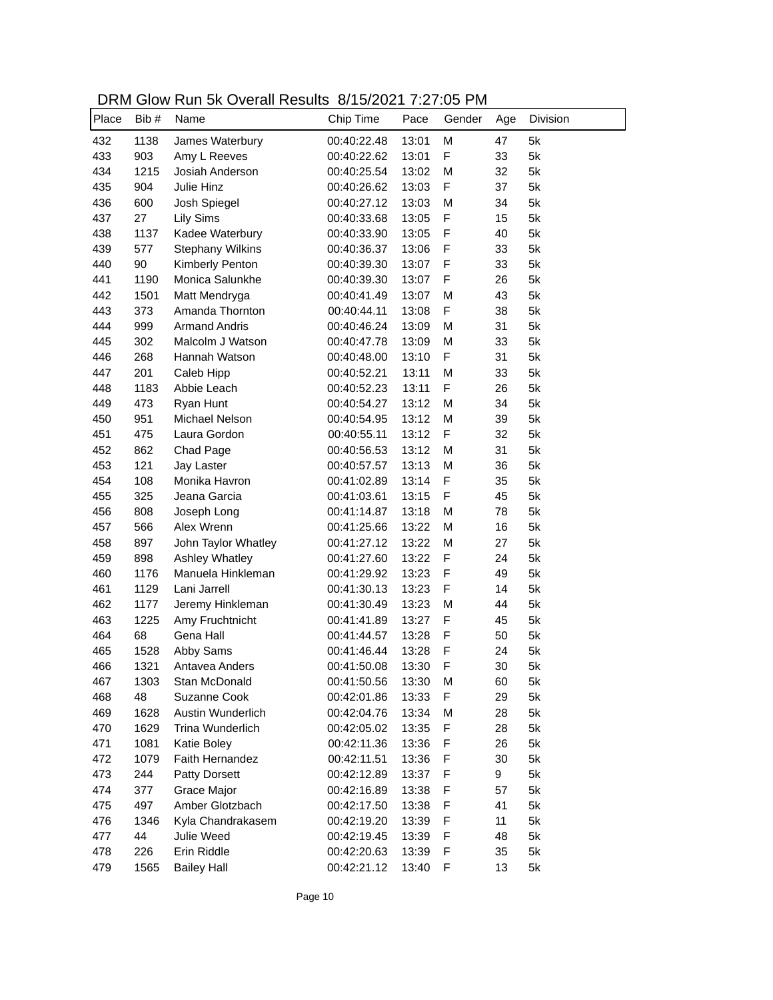| DRM Glow Run 5k Overall Results 8/15/2021 7:27:05 PM |  |
|------------------------------------------------------|--|
|------------------------------------------------------|--|

| Place | Bib# | <u>SIOW INGHI OIN OVOIGHT NOOGING</u><br>Name | 0.1012021132100<br>Chip Time | Pace  | Gender       | Age | Division |
|-------|------|-----------------------------------------------|------------------------------|-------|--------------|-----|----------|
| 432   | 1138 | James Waterbury                               | 00:40:22.48                  | 13:01 | M            | 47  | 5k       |
| 433   | 903  | Amy L Reeves                                  | 00:40:22.62                  | 13:01 | F            | 33  | 5k       |
| 434   | 1215 | Josiah Anderson                               | 00:40:25.54                  | 13:02 | M            | 32  | 5k       |
| 435   | 904  | Julie Hinz                                    | 00:40:26.62                  | 13:03 | F            | 37  | 5k       |
| 436   | 600  | Josh Spiegel                                  | 00:40:27.12                  | 13:03 | M            | 34  | 5k       |
| 437   | 27   | <b>Lily Sims</b>                              | 00:40:33.68                  | 13:05 | F            | 15  | 5k       |
| 438   | 1137 | Kadee Waterbury                               | 00:40:33.90                  | 13:05 | F            | 40  | 5k       |
| 439   | 577  | <b>Stephany Wilkins</b>                       | 00:40:36.37                  | 13:06 | F            | 33  | 5k       |
| 440   | 90   | Kimberly Penton                               | 00:40:39.30                  | 13:07 | F            | 33  | 5k       |
| 441   | 1190 | Monica Salunkhe                               | 00:40:39.30                  | 13:07 | F            | 26  | 5k       |
| 442   | 1501 | Matt Mendryga                                 | 00:40:41.49                  | 13:07 | M            | 43  | 5k       |
| 443   | 373  | Amanda Thornton                               | 00:40:44.11                  | 13:08 | F            | 38  | 5k       |
| 444   | 999  | <b>Armand Andris</b>                          | 00:40:46.24                  | 13:09 | M            | 31  | 5k       |
| 445   | 302  | Malcolm J Watson                              | 00:40:47.78                  | 13:09 | M            | 33  | 5k       |
| 446   | 268  | Hannah Watson                                 | 00:40:48.00                  | 13:10 | F            | 31  | 5k       |
| 447   | 201  | Caleb Hipp                                    | 00:40:52.21                  | 13:11 | M            | 33  | 5k       |
| 448   | 1183 | Abbie Leach                                   | 00:40:52.23                  | 13:11 | F            | 26  | 5k       |
| 449   | 473  | Ryan Hunt                                     | 00:40:54.27                  | 13:12 | M            | 34  | 5k       |
| 450   | 951  | Michael Nelson                                | 00:40:54.95                  | 13:12 | M            | 39  | 5k       |
| 451   | 475  | Laura Gordon                                  | 00:40:55.11                  | 13:12 | F            | 32  | 5k       |
| 452   | 862  | Chad Page                                     | 00:40:56.53                  | 13:12 | M            | 31  | 5k       |
| 453   | 121  | Jay Laster                                    | 00:40:57.57                  | 13:13 | M            | 36  | 5k       |
| 454   | 108  | Monika Havron                                 | 00:41:02.89                  | 13:14 | F            | 35  | 5k       |
| 455   | 325  | Jeana Garcia                                  | 00:41:03.61                  | 13:15 | F            | 45  | 5k       |
| 456   | 808  | Joseph Long                                   | 00:41:14.87                  | 13:18 | M            | 78  | 5k       |
| 457   | 566  | Alex Wrenn                                    | 00:41:25.66                  | 13:22 | M            | 16  | 5k       |
| 458   | 897  | John Taylor Whatley                           | 00:41:27.12                  | 13:22 | M            | 27  | 5k       |
| 459   | 898  | Ashley Whatley                                | 00:41:27.60                  | 13:22 | F            | 24  | 5k       |
| 460   | 1176 | Manuela Hinkleman                             | 00:41:29.92                  | 13:23 | $\mathsf{F}$ | 49  | 5k       |
| 461   | 1129 | Lani Jarrell                                  | 00:41:30.13                  | 13:23 | F            | 14  | 5k       |
| 462   | 1177 | Jeremy Hinkleman                              | 00:41:30.49                  | 13:23 | M            | 44  | 5k       |
| 463   | 1225 | Amy Fruchtnicht                               | 00:41:41.89                  | 13:27 | F            | 45  | 5k       |
| 464   | 68   | Gena Hall                                     | 00:41:44.57                  | 13:28 | F            | 50  | 5k       |
| 465   | 1528 | Abby Sams                                     | 00:41:46.44                  | 13:28 | F            | 24  | 5k       |
| 466   | 1321 | Antavea Anders                                | 00:41:50.08                  | 13:30 | F            | 30  | 5k       |
| 467   | 1303 | Stan McDonald                                 | 00:41:50.56                  | 13:30 | M            | 60  | 5k       |
| 468   | 48   | Suzanne Cook                                  | 00:42:01.86                  | 13:33 | F            | 29  | 5k       |
| 469   | 1628 | Austin Wunderlich                             | 00:42:04.76                  | 13:34 | M            | 28  | 5k       |
| 470   | 1629 | Trina Wunderlich                              | 00:42:05.02                  | 13:35 | F            | 28  | 5k       |
| 471   | 1081 | Katie Boley                                   | 00:42:11.36                  | 13:36 | F            | 26  | 5k       |
| 472   | 1079 | Faith Hernandez                               | 00:42:11.51                  | 13:36 | F            | 30  | 5k       |
| 473   | 244  | <b>Patty Dorsett</b>                          | 00:42:12.89                  | 13:37 | F            | 9   | 5k       |
| 474   | 377  | Grace Major                                   | 00:42:16.89                  | 13:38 | F            | 57  | 5k       |
| 475   | 497  | Amber Glotzbach                               | 00:42:17.50                  | 13:38 | F            | 41  | 5k       |
| 476   | 1346 | Kyla Chandrakasem                             | 00:42:19.20                  | 13:39 | F            | 11  | 5k       |
| 477   | 44   | Julie Weed                                    | 00:42:19.45                  | 13:39 | F            | 48  | 5k       |
| 478   | 226  | Erin Riddle                                   | 00:42:20.63                  | 13:39 | F            | 35  | 5k       |
| 479   | 1565 | <b>Bailey Hall</b>                            | 00:42:21.12                  | 13:40 | F            | 13  | 5k       |
|       |      |                                               |                              |       |              |     |          |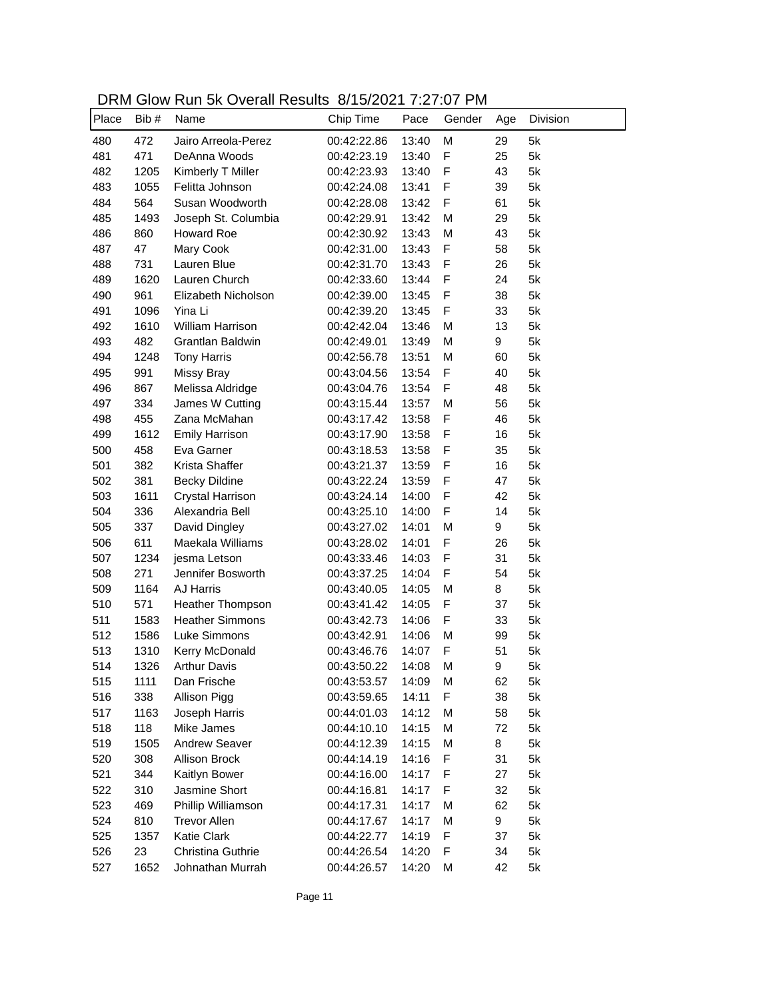| DRM Glow Run 5k Overall Results 8/15/2021 7:27:07 PM |  |
|------------------------------------------------------|--|
|------------------------------------------------------|--|

| Place | Bib# | Name                   | 0.1012021132101<br>Chip Time | Pace           | Gender | Age      | Division |
|-------|------|------------------------|------------------------------|----------------|--------|----------|----------|
| 480   | 472  | Jairo Arreola-Perez    | 00:42:22.86                  | 13:40          | M      | 29       | 5k       |
| 481   | 471  | DeAnna Woods           | 00:42:23.19                  | 13:40          | F      | 25       | 5k       |
| 482   | 1205 | Kimberly T Miller      | 00:42:23.93                  | 13:40          | F      | 43       | 5k       |
| 483   | 1055 | Felitta Johnson        | 00:42:24.08                  | 13:41          | F      | 39       | 5k       |
| 484   | 564  | Susan Woodworth        | 00:42:28.08                  | 13:42          | F      | 61       | 5k       |
| 485   | 1493 | Joseph St. Columbia    | 00:42:29.91                  | 13:42          | M      | 29       | 5k       |
| 486   | 860  | <b>Howard Roe</b>      | 00:42:30.92                  | 13:43          | M      | 43       | 5k       |
| 487   | 47   | Mary Cook              | 00:42:31.00                  | 13:43          | F      | 58       | 5k       |
| 488   | 731  | Lauren Blue            | 00:42:31.70                  | 13:43          | F      | 26       | 5k       |
| 489   | 1620 | Lauren Church          | 00:42:33.60                  | 13:44          | F      | 24       | 5k       |
| 490   | 961  | Elizabeth Nicholson    | 00:42:39.00                  | 13:45          | F      | 38       | 5k       |
| 491   | 1096 | Yina Li                | 00:42:39.20                  | 13:45          | F      | 33       | 5k       |
| 492   | 1610 | William Harrison       | 00:42:42.04                  | 13:46          | M      | 13       | 5k       |
| 493   | 482  | Grantlan Baldwin       | 00:42:49.01                  | 13:49          | M      | 9        | 5k       |
| 494   | 1248 | <b>Tony Harris</b>     | 00:42:56.78                  | 13:51          | M      | 60       | 5k       |
| 495   | 991  | <b>Missy Bray</b>      | 00:43:04.56                  | 13:54          | F      | 40       | 5k       |
| 496   | 867  | Melissa Aldridge       | 00:43:04.76                  | 13:54          | F      | 48       | 5k       |
| 497   | 334  | James W Cutting        | 00:43:15.44                  | 13:57          | M      | 56       | 5k       |
| 498   | 455  | Zana McMahan           | 00:43:17.42                  |                | F      | 46       | 5k       |
| 499   | 1612 | <b>Emily Harrison</b>  | 00:43:17.90                  | 13:58<br>13:58 | F      | 16       | 5k       |
| 500   | 458  | Eva Garner             | 00:43:18.53                  |                | F      | 35       | 5k       |
|       |      | Krista Shaffer         |                              | 13:58          | F      |          |          |
| 501   | 382  |                        | 00:43:21.37                  | 13:59          | F      | 16       | 5k       |
| 502   | 381  | <b>Becky Dildine</b>   | 00:43:22.24                  | 13:59          |        | 47       | 5k       |
| 503   | 1611 | Crystal Harrison       | 00:43:24.14                  | 14:00          | F<br>F | 42<br>14 | 5k<br>5k |
| 504   | 336  | Alexandria Bell        | 00:43:25.10                  | 14:00          |        |          | 5k       |
| 505   | 337  | David Dingley          | 00:43:27.02                  | 14:01          | M      | 9        |          |
| 506   | 611  | Maekala Williams       | 00:43:28.02                  | 14:01          | F      | 26       | 5k<br>5k |
| 507   | 1234 | jesma Letson           | 00:43:33.46                  | 14:03          | F      | 31       |          |
| 508   | 271  | Jennifer Bosworth      | 00:43:37.25                  | 14:04          | F      | 54       | 5k       |
| 509   | 1164 | AJ Harris              | 00:43:40.05                  | 14:05          | M      | 8        | 5k       |
| 510   | 571  | Heather Thompson       | 00:43:41.42                  | 14:05          | F      | 37       | 5k       |
| 511   | 1583 | <b>Heather Simmons</b> | 00:43:42.73                  | 14:06          | F      | 33       | 5k       |
| 512   | 1586 | Luke Simmons           | 00:43:42.91                  | 14:06          | M      | 99       | 5k       |
| 513   | 1310 | Kerry McDonald         | 00:43:46.76                  | 14:07          | F      | 51       | 5k       |
| 514   | 1326 | <b>Arthur Davis</b>    | 00:43:50.22                  | 14:08          | М      | 9        | 5k       |
| 515   | 1111 | Dan Frische            | 00:43:53.57                  | 14:09          | M      | 62       | 5k       |
| 516   | 338  | Allison Pigg           | 00:43:59.65                  | 14:11          | F      | 38       | 5k       |
| 517   | 1163 | Joseph Harris          | 00:44:01.03                  | 14:12          | М      | 58       | 5k       |
| 518   | 118  | Mike James             | 00:44:10.10                  | 14:15          | M      | 72       | 5k       |
| 519   | 1505 | Andrew Seaver          | 00:44:12.39                  | 14:15          | M      | 8        | 5k       |
| 520   | 308  | Allison Brock          | 00:44:14.19                  | 14:16          | F      | 31       | 5k       |
| 521   | 344  | Kaitlyn Bower          | 00:44:16.00                  | 14:17          | F      | 27       | 5k       |
| 522   | 310  | Jasmine Short          | 00:44:16.81                  | 14:17          | F      | 32       | 5k       |
| 523   | 469  | Phillip Williamson     | 00:44:17.31                  | 14:17          | Μ      | 62       | 5k       |
| 524   | 810  | <b>Trevor Allen</b>    | 00:44:17.67                  | 14:17          | Μ      | 9        | 5k       |
| 525   | 1357 | Katie Clark            | 00:44:22.77                  | 14:19          | F      | 37       | 5k       |
| 526   | 23   | Christina Guthrie      | 00:44:26.54                  | 14:20          | F      | 34       | 5k       |
| 527   | 1652 | Johnathan Murrah       | 00:44:26.57                  | 14:20          | M      | 42       | 5k       |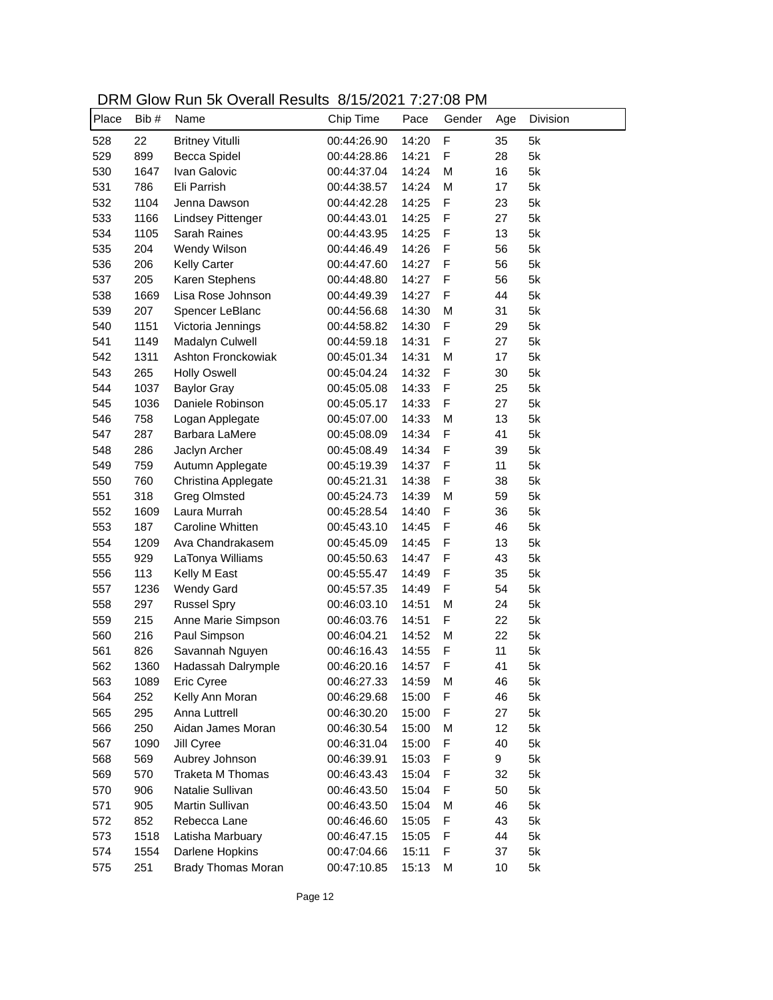| DRM Glow Run 5k Overall Results 8/15/2021 7:27:08 PM |  |
|------------------------------------------------------|--|
|------------------------------------------------------|--|

| Place | Bib# | Name                      | Chip Time   | Pace  | Gender       | Age | Division |
|-------|------|---------------------------|-------------|-------|--------------|-----|----------|
| 528   | 22   | <b>Britney Vitulli</b>    | 00:44:26.90 | 14:20 | $\mathsf{F}$ | 35  | 5k       |
| 529   | 899  | Becca Spidel              | 00:44:28.86 | 14:21 | F            | 28  | 5k       |
| 530   | 1647 | Ivan Galovic              | 00:44:37.04 | 14:24 | M            | 16  | 5k       |
| 531   | 786  | Eli Parrish               | 00:44:38.57 | 14:24 | M            | 17  | 5k       |
| 532   | 1104 | Jenna Dawson              | 00:44:42.28 | 14:25 | F            | 23  | 5k       |
| 533   | 1166 | <b>Lindsey Pittenger</b>  | 00:44:43.01 | 14:25 | F            | 27  | 5k       |
| 534   | 1105 | Sarah Raines              | 00:44:43.95 | 14:25 | F            | 13  | 5k       |
| 535   | 204  | Wendy Wilson              | 00:44:46.49 | 14:26 | F            | 56  | 5k       |
| 536   | 206  | <b>Kelly Carter</b>       | 00:44:47.60 | 14:27 | F            | 56  | 5k       |
| 537   | 205  | Karen Stephens            | 00:44:48.80 | 14:27 | F            | 56  | 5k       |
| 538   | 1669 | Lisa Rose Johnson         | 00:44:49.39 | 14:27 | F            | 44  | 5k       |
| 539   | 207  | Spencer LeBlanc           | 00:44:56.68 | 14:30 | M            | 31  | 5k       |
| 540   | 1151 | Victoria Jennings         | 00:44:58.82 | 14:30 | F            | 29  | 5k       |
| 541   | 1149 | Madalyn Culwell           | 00:44:59.18 | 14:31 | F            | 27  | 5k       |
| 542   | 1311 | Ashton Fronckowiak        | 00:45:01.34 | 14:31 | M            | 17  | 5k       |
| 543   | 265  | <b>Holly Oswell</b>       | 00:45:04.24 | 14:32 | F            | 30  | 5k       |
| 544   | 1037 | <b>Baylor Gray</b>        | 00:45:05.08 | 14:33 | F            | 25  | 5k       |
| 545   | 1036 | Daniele Robinson          | 00:45:05.17 | 14:33 | F            | 27  | 5k       |
| 546   | 758  | Logan Applegate           | 00:45:07.00 | 14:33 | M            | 13  | 5k       |
| 547   | 287  | Barbara LaMere            | 00:45:08.09 | 14:34 | $\mathsf F$  | 41  | 5k       |
| 548   | 286  | Jaclyn Archer             | 00:45:08.49 | 14:34 | $\mathsf F$  | 39  | 5k       |
| 549   | 759  | Autumn Applegate          | 00:45:19.39 | 14:37 | $\mathsf F$  | 11  | 5k       |
| 550   | 760  | Christina Applegate       | 00:45:21.31 | 14:38 | $\mathsf F$  | 38  | 5k       |
| 551   | 318  | <b>Greg Olmsted</b>       | 00:45:24.73 | 14:39 | M            | 59  | 5k       |
| 552   | 1609 | Laura Murrah              | 00:45:28.54 | 14:40 | $\mathsf F$  | 36  | 5k       |
| 553   | 187  | Caroline Whitten          | 00:45:43.10 | 14:45 | $\mathsf F$  | 46  | 5k       |
| 554   | 1209 | Ava Chandrakasem          | 00:45:45.09 | 14:45 | $\mathsf F$  | 13  | 5k       |
| 555   | 929  | LaTonya Williams          | 00:45:50.63 | 14:47 | $\mathsf F$  | 43  | 5k       |
| 556   | 113  | Kelly M East              | 00:45:55.47 | 14:49 | $\mathsf F$  | 35  | 5k       |
| 557   | 1236 | <b>Wendy Gard</b>         | 00:45:57.35 | 14:49 | F            | 54  | 5k       |
| 558   | 297  | <b>Russel Spry</b>        | 00:46:03.10 | 14:51 | M            | 24  | 5k       |
| 559   | 215  | Anne Marie Simpson        | 00:46:03.76 | 14:51 | F            | 22  | 5k       |
| 560   | 216  | Paul Simpson              | 00:46:04.21 | 14:52 | M            | 22  | 5k       |
| 561   | 826  | Savannah Nguyen           | 00:46:16.43 | 14:55 | F            | 11  | 5k       |
| 562   | 1360 | Hadassah Dalrymple        | 00:46:20.16 | 14:57 | F            | 41  | 5k       |
| 563   | 1089 | Eric Cyree                | 00:46:27.33 | 14:59 | M            | 46  | 5k       |
| 564   | 252  | Kelly Ann Moran           | 00:46:29.68 | 15:00 | F            | 46  | 5k       |
| 565   | 295  | Anna Luttrell             | 00:46:30.20 | 15:00 | F            | 27  | 5k       |
| 566   | 250  | Aidan James Moran         | 00:46:30.54 | 15:00 | M            | 12  | 5k       |
| 567   | 1090 | Jill Cyree                | 00:46:31.04 | 15:00 | F            | 40  | 5k       |
| 568   | 569  | Aubrey Johnson            | 00:46:39.91 | 15:03 | F            | 9   | 5k       |
| 569   | 570  | Traketa M Thomas          | 00:46:43.43 | 15:04 | F            | 32  | 5k       |
| 570   | 906  | Natalie Sullivan          | 00:46:43.50 | 15:04 | F            | 50  | 5k       |
| 571   | 905  | Martin Sullivan           | 00:46:43.50 | 15:04 | M            | 46  | 5k       |
| 572   | 852  | Rebecca Lane              | 00:46:46.60 | 15:05 | F            | 43  | 5k       |
| 573   | 1518 | Latisha Marbuary          | 00:46:47.15 | 15:05 | F            | 44  | 5k       |
|       | 1554 | Darlene Hopkins           |             |       | F            | 37  | 5k       |
| 574   |      |                           | 00:47:04.66 | 15:11 |              |     |          |
| 575   | 251  | <b>Brady Thomas Moran</b> | 00:47:10.85 | 15:13 | M            | 10  | 5k       |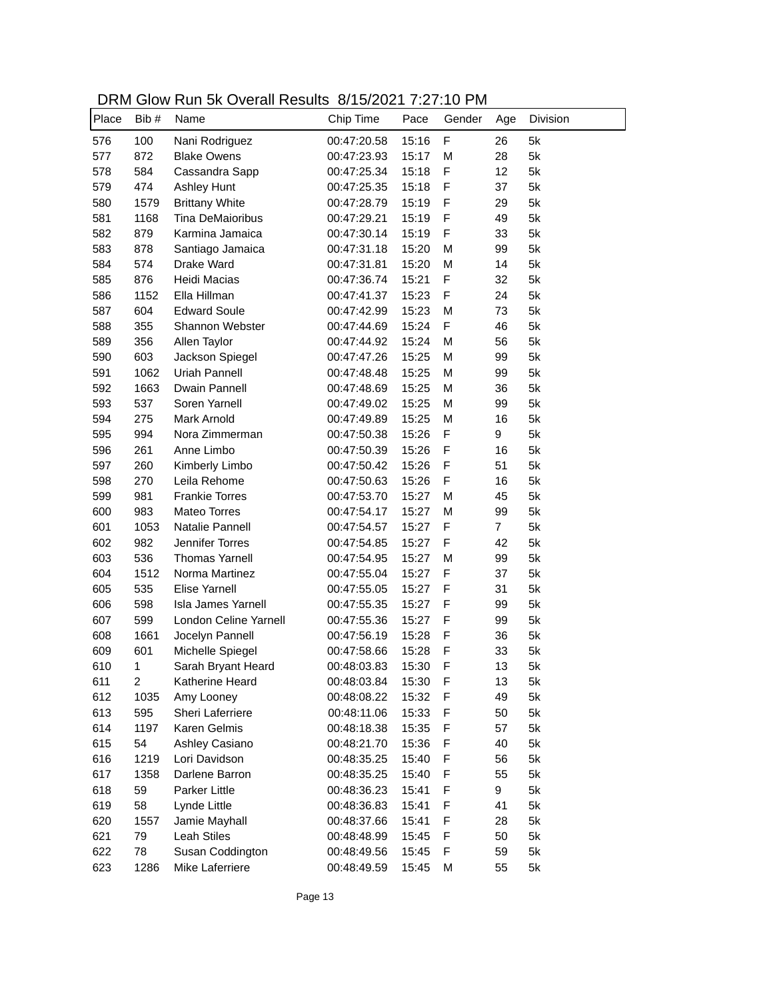| DRM Glow Run 5k Overall Results 8/15/2021 7:27:10 PM |  |
|------------------------------------------------------|--|
|------------------------------------------------------|--|

| Place | Bib# | <b>NOTE ON OVOIGHT NOOGHO</b><br>Name | 0.1012021132110<br>Chip Time | Pace  | Gender      | Age            | Division |
|-------|------|---------------------------------------|------------------------------|-------|-------------|----------------|----------|
|       |      |                                       |                              |       |             |                |          |
| 576   | 100  | Nani Rodriguez                        | 00:47:20.58                  | 15:16 | F           | 26             | 5k       |
| 577   | 872  | <b>Blake Owens</b>                    | 00:47:23.93                  | 15:17 | M           | 28             | 5k       |
| 578   | 584  | Cassandra Sapp                        | 00:47:25.34                  | 15:18 | F           | 12             | 5k       |
| 579   | 474  | <b>Ashley Hunt</b>                    | 00:47:25.35                  | 15:18 | $\mathsf F$ | 37             | 5k       |
| 580   | 1579 | <b>Brittany White</b>                 | 00:47:28.79                  | 15:19 | F           | 29             | 5k       |
| 581   | 1168 | Tina DeMaioribus                      | 00:47:29.21                  | 15:19 | F           | 49             | 5k       |
| 582   | 879  | Karmina Jamaica                       | 00:47:30.14                  | 15:19 | F           | 33             | 5k       |
| 583   | 878  | Santiago Jamaica                      | 00:47:31.18                  | 15:20 | M           | 99             | 5k       |
| 584   | 574  | Drake Ward                            | 00:47:31.81                  | 15:20 | M           | 14             | 5k       |
| 585   | 876  | Heidi Macias                          | 00:47:36.74                  | 15:21 | F           | 32             | 5k       |
| 586   | 1152 | Ella Hillman                          | 00:47:41.37                  | 15:23 | F           | 24             | 5k       |
| 587   | 604  | <b>Edward Soule</b>                   | 00:47:42.99                  | 15:23 | M           | 73             | 5k       |
| 588   | 355  | Shannon Webster                       | 00:47:44.69                  | 15:24 | F           | 46             | 5k       |
| 589   | 356  | Allen Taylor                          | 00:47:44.92                  | 15:24 | M           | 56             | 5k       |
| 590   | 603  | Jackson Spiegel                       | 00:47:47.26                  | 15:25 | M           | 99             | 5k       |
| 591   | 1062 | Uriah Pannell                         | 00:47:48.48                  | 15:25 | M           | 99             | 5k       |
| 592   | 1663 | Dwain Pannell                         | 00:47:48.69                  | 15:25 | M           | 36             | 5k       |
| 593   | 537  | Soren Yarnell                         | 00:47:49.02                  | 15:25 | M           | 99             | 5k       |
| 594   | 275  | <b>Mark Arnold</b>                    | 00:47:49.89                  | 15:25 | M           | 16             | 5k       |
| 595   | 994  | Nora Zimmerman                        | 00:47:50.38                  | 15:26 | $\mathsf F$ | 9              | 5k       |
| 596   | 261  | Anne Limbo                            | 00:47:50.39                  | 15:26 | $\mathsf F$ | 16             | 5k       |
| 597   | 260  | Kimberly Limbo                        | 00:47:50.42                  | 15:26 | $\mathsf F$ | 51             | 5k       |
| 598   | 270  | Leila Rehome                          | 00:47:50.63                  | 15:26 | F           | 16             | 5k       |
| 599   | 981  | <b>Frankie Torres</b>                 | 00:47:53.70                  | 15:27 | M           | 45             | 5k       |
| 600   | 983  | Mateo Torres                          | 00:47:54.17                  | 15:27 | M           | 99             | 5k       |
| 601   | 1053 | Natalie Pannell                       | 00:47:54.57                  | 15:27 | F           | $\overline{7}$ | 5k       |
| 602   | 982  | Jennifer Torres                       | 00:47:54.85                  | 15:27 | F           | 42             | 5k       |
| 603   | 536  | <b>Thomas Yarnell</b>                 | 00:47:54.95                  | 15:27 | M           | 99             | 5k       |
| 604   | 1512 | Norma Martinez                        | 00:47:55.04                  | 15:27 | F           | 37             | 5k       |
| 605   | 535  | <b>Elise Yarnell</b>                  | 00:47:55.05                  | 15:27 | $\mathsf F$ | 31             | 5k       |
| 606   | 598  | Isla James Yarnell                    | 00:47:55.35                  | 15:27 | $\mathsf F$ | 99             | 5k       |
| 607   | 599  | London Celine Yarnell                 | 00:47:55.36                  | 15:27 | F           | 99             | 5k       |
| 608   | 1661 | Jocelyn Pannell                       | 00:47:56.19                  | 15:28 | F           | 36             | 5k       |
| 609   | 601  | Michelle Spiegel                      | 00:47:58.66                  | 15:28 | F           | 33             | 5k       |
| 610   | 1.   | Sarah Brvant Heard                    | 00:48:03.83                  | 15:30 | F           | 13             | 5k       |
| 611   | 2    | Katherine Heard                       | 00:48:03.84                  | 15:30 | F           | 13             | 5k       |
| 612   | 1035 | Amy Looney                            | 00:48:08.22                  | 15:32 | F           | 49             | 5k       |
| 613   | 595  | Sheri Laferriere                      | 00:48:11.06                  | 15:33 | F           | 50             | 5k       |
| 614   | 1197 | Karen Gelmis                          | 00:48:18.38                  | 15:35 | F           | 57             | 5k       |
| 615   | 54   | Ashley Casiano                        | 00:48:21.70                  | 15:36 | F           | 40             | 5k       |
| 616   | 1219 | Lori Davidson                         | 00:48:35.25                  | 15:40 | F           | 56             | 5k       |
| 617   | 1358 | Darlene Barron                        | 00:48:35.25                  | 15:40 | F           | 55             | 5k       |
| 618   | 59   | Parker Little                         | 00:48:36.23                  |       | F           | 9              | 5k       |
|       | 58   |                                       | 00:48:36.83                  | 15:41 | F           |                |          |
| 619   |      | Lynde Little<br>Jamie Mayhall         |                              | 15:41 |             | 41             | 5k       |
| 620   | 1557 |                                       | 00:48:37.66                  | 15:41 | F           | 28             | 5k       |
| 621   | 79   | Leah Stiles                           | 00:48:48.99                  | 15:45 | F           | 50             | 5k       |
| 622   | 78   | Susan Coddington                      | 00:48:49.56                  | 15:45 | F           | 59             | 5k       |
| 623   | 1286 | Mike Laferriere                       | 00:48:49.59                  | 15:45 | M           | 55             | 5k       |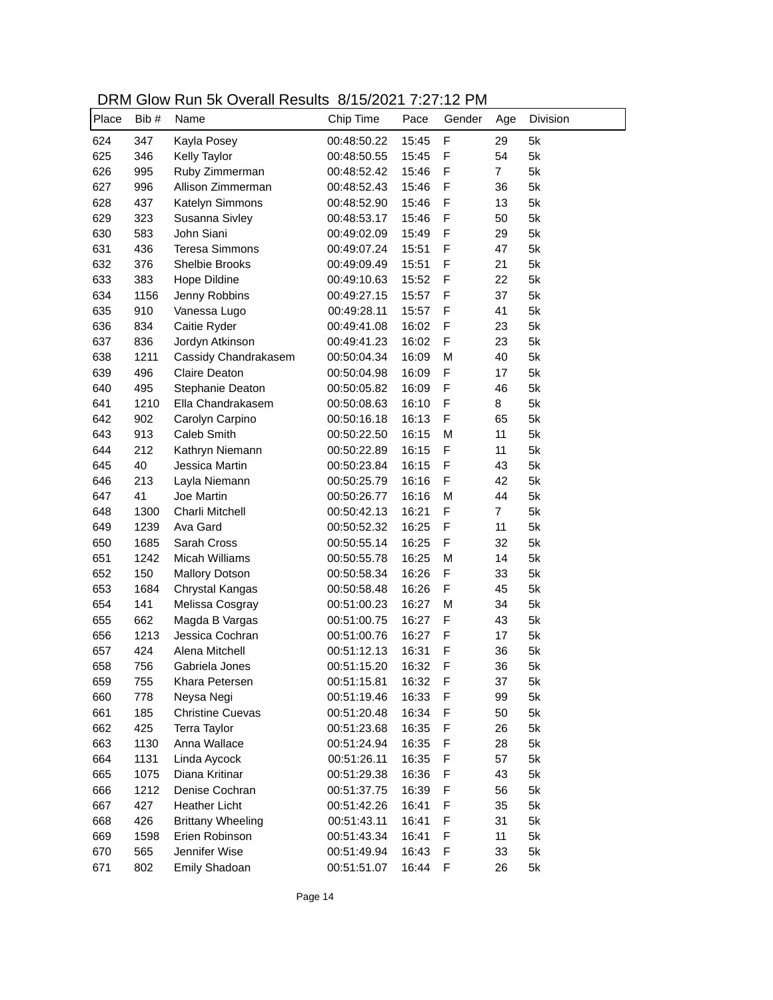| DRM Glow Run 5k Overall Results 8/15/2021 7:27:12 PM |  |
|------------------------------------------------------|--|
|------------------------------------------------------|--|

| Place | Bib# | Name                     | 0.1012021132112<br>Chip Time | Pace  | Gender | Age            | Division |
|-------|------|--------------------------|------------------------------|-------|--------|----------------|----------|
| 624   | 347  | Kayla Posey              | 00:48:50.22                  | 15:45 | F      | 29             | 5k       |
| 625   | 346  | Kelly Taylor             | 00:48:50.55                  | 15:45 | F      | 54             | 5k       |
| 626   | 995  | Ruby Zimmerman           | 00:48:52.42                  | 15:46 | F      | $\overline{7}$ | 5k       |
| 627   | 996  | Allison Zimmerman        | 00:48:52.43                  | 15:46 | F      | 36             | 5k       |
| 628   | 437  | Katelyn Simmons          | 00:48:52.90                  | 15:46 | F      | 13             | 5k       |
| 629   | 323  | Susanna Sivley           | 00:48:53.17                  | 15:46 | F      | 50             | 5k       |
| 630   | 583  | John Siani               | 00:49:02.09                  | 15:49 | F      | 29             | 5k       |
| 631   | 436  | <b>Teresa Simmons</b>    | 00:49:07.24                  | 15:51 | F      | 47             | 5k       |
| 632   | 376  | Shelbie Brooks           | 00:49:09.49                  | 15:51 | F      | 21             | 5k       |
| 633   | 383  | Hope Dildine             | 00:49:10.63                  | 15:52 | F      | 22             | 5k       |
| 634   | 1156 | Jenny Robbins            | 00:49:27.15                  | 15:57 | F      | 37             | 5k       |
| 635   | 910  | Vanessa Lugo             | 00:49:28.11                  | 15:57 | F      | 41             | 5k       |
| 636   | 834  | Caitie Ryder             | 00:49:41.08                  | 16:02 | F      | 23             | 5k       |
| 637   | 836  | Jordyn Atkinson          | 00:49:41.23                  | 16:02 | F      | 23             | 5k       |
| 638   | 1211 | Cassidy Chandrakasem     | 00:50:04.34                  | 16:09 | M      | 40             | 5k       |
| 639   | 496  | Claire Deaton            | 00:50:04.98                  | 16:09 | F      | 17             | 5k       |
| 640   | 495  | Stephanie Deaton         | 00:50:05.82                  | 16:09 | F      | 46             | 5k       |
| 641   | 1210 | Ella Chandrakasem        | 00:50:08.63                  | 16:10 | F      | 8              | 5k       |
| 642   | 902  | Carolyn Carpino          | 00:50:16.18                  | 16:13 | F      | 65             | 5k       |
| 643   | 913  | <b>Caleb Smith</b>       | 00:50:22.50                  | 16:15 | M      | 11             | 5k       |
| 644   | 212  | Kathryn Niemann          | 00:50:22.89                  | 16:15 | F      | 11             | 5k       |
| 645   | 40   | Jessica Martin           | 00:50:23.84                  | 16:15 | F      | 43             | 5k       |
| 646   | 213  | Layla Niemann            | 00:50:25.79                  | 16:16 | F      | 42             | 5k       |
| 647   | 41   | Joe Martin               | 00:50:26.77                  | 16:16 | M      | 44             | 5k       |
| 648   | 1300 | Charli Mitchell          | 00:50:42.13                  | 16:21 | F      | $\overline{7}$ | 5k       |
| 649   | 1239 | Ava Gard                 | 00:50:52.32                  | 16:25 | F      | 11             | 5k       |
| 650   | 1685 | Sarah Cross              | 00:50:55.14                  | 16:25 | F      | 32             | 5k       |
| 651   | 1242 | Micah Williams           | 00:50:55.78                  | 16:25 | M      | 14             | 5k       |
| 652   | 150  | <b>Mallory Dotson</b>    | 00:50:58.34                  | 16:26 | F      | 33             | 5k       |
| 653   | 1684 | Chrystal Kangas          | 00:50:58.48                  | 16:26 | F      | 45             | 5k       |
| 654   | 141  | Melissa Cosgray          | 00:51:00.23                  | 16:27 | M      | 34             | 5k       |
| 655   | 662  | Magda B Vargas           | 00:51:00.75                  | 16:27 | F      | 43             | 5k       |
| 656   | 1213 | Jessica Cochran          | 00:51:00.76                  | 16:27 | F      | 17             | 5k       |
| 657   | 424  | Alena Mitchell           | 00:51:12.13                  | 16:31 | F      | 36             | 5k       |
| 658   | 756  | Gabriela Jones           | 00:51:15.20                  | 16:32 | F      | 36             | 5k       |
| 659   | 755  | Khara Petersen           | 00:51:15.81                  | 16:32 | F      | 37             | 5k       |
| 660   | 778  | Neysa Negi               | 00:51:19.46                  | 16:33 | F      | 99             | 5k       |
| 661   | 185  | <b>Christine Cuevas</b>  | 00:51:20.48                  | 16:34 | F      | 50             | 5k       |
| 662   | 425  | <b>Terra Taylor</b>      | 00:51:23.68                  | 16:35 | F      | 26             | 5k       |
| 663   | 1130 | Anna Wallace             | 00:51:24.94                  | 16:35 | F      | 28             | 5k       |
| 664   | 1131 | Linda Aycock             | 00:51:26.11                  | 16:35 | F      | 57             | 5k       |
| 665   | 1075 | Diana Kritinar           | 00:51:29.38                  | 16:36 | F      | 43             | 5k       |
| 666   | 1212 | Denise Cochran           | 00:51:37.75                  | 16:39 | F      | 56             | 5k       |
| 667   | 427  | <b>Heather Licht</b>     | 00:51:42.26                  | 16:41 | F      | 35             | 5k       |
| 668   | 426  | <b>Brittany Wheeling</b> | 00:51:43.11                  | 16:41 | F      | 31             | 5k       |
| 669   | 1598 | Erien Robinson           | 00:51:43.34                  | 16:41 | F      | 11             | 5k       |
| 670   | 565  | Jennifer Wise            | 00:51:49.94                  | 16:43 | F      | 33             | 5k       |
| 671   | 802  | Emily Shadoan            | 00:51:51.07                  | 16:44 | F      | 26             | 5k       |
|       |      |                          |                              |       |        |                |          |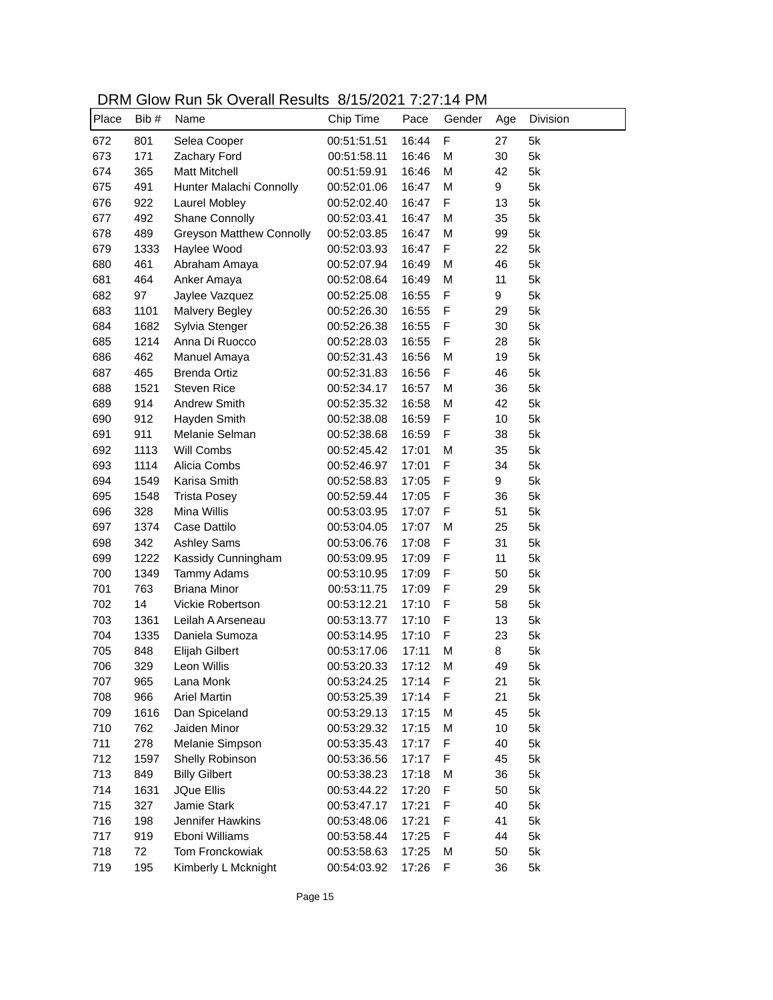| DRM Glow Run 5k Overall Results 8/15/2021 7:27:14 PM |  |
|------------------------------------------------------|--|
|------------------------------------------------------|--|

| F<br>5k<br>672<br>801<br>Selea Cooper<br>00:51:51.51<br>16:44<br>27<br>673<br>171<br>M<br>30<br>5k<br>Zachary Ford<br>00:51:58.11<br>16:46<br>5k<br>674<br><b>Matt Mitchell</b><br>M<br>42<br>365<br>00:51:59.91<br>16:46<br>5k<br>675<br>491<br>M<br>9<br>Hunter Malachi Connolly<br>00:52:01.06<br>16:47<br>F<br>5k<br>676<br>922<br>00:52:02.40<br>16:47<br>13<br>Laurel Mobley<br>677<br>M<br>35<br>5k<br>492<br><b>Shane Connolly</b><br>00:52:03.41<br>16:47<br>678<br>489<br><b>Greyson Matthew Connolly</b><br>M<br>99<br>5k<br>00:52:03.85<br>16:47<br>679<br>F<br>22<br>5k<br>1333<br>Haylee Wood<br>00:52:03.93<br>16:47<br>680<br>46<br>5k<br>461<br>Abraham Amaya<br>00:52:07.94<br>16:49<br>М<br>681<br>464<br>M<br>11<br>5k<br>Anker Amaya<br>00:52:08.64<br>16:49<br>682<br>16:55<br>F<br>9<br>5k<br>97<br>Jaylee Vazquez<br>00:52:25.08<br>683<br>16:55<br>F<br>5k<br>1101<br><b>Malvery Begley</b><br>00:52:26.30<br>29<br>684<br>1682<br>Sylvia Stenger<br>16:55<br>F<br>5k<br>00:52:26.38<br>30<br>685<br>Anna Di Ruocco<br>F<br>5k<br>1214<br>00:52:28.03<br>16:55<br>28<br>686<br>462<br>19<br>5k<br>Manuel Amaya<br>00:52:31.43<br>16:56<br>M<br>687<br>465<br><b>Brenda Ortiz</b><br>F<br>46<br>5k<br>00:52:31.83<br>16:56<br>688<br><b>Steven Rice</b><br>36<br>5k<br>1521<br>00:52:34.17<br>16:57<br>M<br>689<br><b>Andrew Smith</b><br>M<br>42<br>5k<br>914<br>00:52:35.32<br>16:58<br>F<br>Hayden Smith<br>10<br>5k<br>690<br>912<br>00:52:38.08<br>16:59<br>F<br>38<br>5k<br>691<br>911<br>Melanie Selman<br>00:52:38.68<br>16:59<br>35<br>5k<br>692<br>1113<br>Will Combs<br>00:52:45.42<br>17:01<br>M<br>F<br>693<br>1114<br>Alicia Combs<br>34<br>5k<br>00:52:46.97<br>17:01<br>F<br>9<br>694<br>Karisa Smith<br>5k<br>1549<br>00:52:58.83<br>17:05<br>695<br>F<br>36<br>5k<br>1548<br><b>Trista Posey</b><br>00:52:59.44<br>17:05<br>F<br>696<br>328<br>Mina Willis<br>51<br>5k<br>00:53:03.95<br>17:07<br>697<br>Case Dattilo<br>M<br>25<br>5k<br>1374<br>00:53:04.05<br>17:07<br>F<br>5k<br>698<br>342<br>31<br><b>Ashley Sams</b><br>00:53:06.76<br>17:08<br>F<br>5k<br>699<br>1222<br>11<br>Kassidy Cunningham<br>00:53:09.95<br>17:09<br>F<br>5k<br>700<br>Tammy Adams<br>50<br>1349<br>00:53:10.95<br>17:09<br>F<br>5k<br>701<br>763<br><b>Briana Minor</b><br>00:53:11.75<br>29<br>17:09<br>F<br>702<br>14<br>58<br>5k<br>Vickie Robertson<br>00:53:12.21<br>17:10<br>F<br>703<br>17:10<br>13<br>5k<br>1361<br>Leilah A Arseneau<br>00:53:13.77<br>F<br>704<br>Daniela Sumoza<br>23<br>5k<br>1335<br>00:53:14.95<br>17:10<br>705<br>17:11<br>M<br>8<br>5k<br>848<br>Elijah Gilbert<br>00:53:17.06<br>49<br>706<br>329<br>Leon Willis<br>00:53:20.33<br>17:12<br>М<br>5k |
|-----------------------------------------------------------------------------------------------------------------------------------------------------------------------------------------------------------------------------------------------------------------------------------------------------------------------------------------------------------------------------------------------------------------------------------------------------------------------------------------------------------------------------------------------------------------------------------------------------------------------------------------------------------------------------------------------------------------------------------------------------------------------------------------------------------------------------------------------------------------------------------------------------------------------------------------------------------------------------------------------------------------------------------------------------------------------------------------------------------------------------------------------------------------------------------------------------------------------------------------------------------------------------------------------------------------------------------------------------------------------------------------------------------------------------------------------------------------------------------------------------------------------------------------------------------------------------------------------------------------------------------------------------------------------------------------------------------------------------------------------------------------------------------------------------------------------------------------------------------------------------------------------------------------------------------------------------------------------------------------------------------------------------------------------------------------------------------------------------------------------------------------------------------------------------------------------------------------------------------------------------------------------------------------------------------------------------------------------------------------------------------------------------------------------------------------------------------------------------------------------------------------------------------------------------------------------------------------------------------------------------------------------------------------------------------------------------------------|
|                                                                                                                                                                                                                                                                                                                                                                                                                                                                                                                                                                                                                                                                                                                                                                                                                                                                                                                                                                                                                                                                                                                                                                                                                                                                                                                                                                                                                                                                                                                                                                                                                                                                                                                                                                                                                                                                                                                                                                                                                                                                                                                                                                                                                                                                                                                                                                                                                                                                                                                                                                                                                                                                                                                 |
|                                                                                                                                                                                                                                                                                                                                                                                                                                                                                                                                                                                                                                                                                                                                                                                                                                                                                                                                                                                                                                                                                                                                                                                                                                                                                                                                                                                                                                                                                                                                                                                                                                                                                                                                                                                                                                                                                                                                                                                                                                                                                                                                                                                                                                                                                                                                                                                                                                                                                                                                                                                                                                                                                                                 |
|                                                                                                                                                                                                                                                                                                                                                                                                                                                                                                                                                                                                                                                                                                                                                                                                                                                                                                                                                                                                                                                                                                                                                                                                                                                                                                                                                                                                                                                                                                                                                                                                                                                                                                                                                                                                                                                                                                                                                                                                                                                                                                                                                                                                                                                                                                                                                                                                                                                                                                                                                                                                                                                                                                                 |
|                                                                                                                                                                                                                                                                                                                                                                                                                                                                                                                                                                                                                                                                                                                                                                                                                                                                                                                                                                                                                                                                                                                                                                                                                                                                                                                                                                                                                                                                                                                                                                                                                                                                                                                                                                                                                                                                                                                                                                                                                                                                                                                                                                                                                                                                                                                                                                                                                                                                                                                                                                                                                                                                                                                 |
|                                                                                                                                                                                                                                                                                                                                                                                                                                                                                                                                                                                                                                                                                                                                                                                                                                                                                                                                                                                                                                                                                                                                                                                                                                                                                                                                                                                                                                                                                                                                                                                                                                                                                                                                                                                                                                                                                                                                                                                                                                                                                                                                                                                                                                                                                                                                                                                                                                                                                                                                                                                                                                                                                                                 |
|                                                                                                                                                                                                                                                                                                                                                                                                                                                                                                                                                                                                                                                                                                                                                                                                                                                                                                                                                                                                                                                                                                                                                                                                                                                                                                                                                                                                                                                                                                                                                                                                                                                                                                                                                                                                                                                                                                                                                                                                                                                                                                                                                                                                                                                                                                                                                                                                                                                                                                                                                                                                                                                                                                                 |
|                                                                                                                                                                                                                                                                                                                                                                                                                                                                                                                                                                                                                                                                                                                                                                                                                                                                                                                                                                                                                                                                                                                                                                                                                                                                                                                                                                                                                                                                                                                                                                                                                                                                                                                                                                                                                                                                                                                                                                                                                                                                                                                                                                                                                                                                                                                                                                                                                                                                                                                                                                                                                                                                                                                 |
|                                                                                                                                                                                                                                                                                                                                                                                                                                                                                                                                                                                                                                                                                                                                                                                                                                                                                                                                                                                                                                                                                                                                                                                                                                                                                                                                                                                                                                                                                                                                                                                                                                                                                                                                                                                                                                                                                                                                                                                                                                                                                                                                                                                                                                                                                                                                                                                                                                                                                                                                                                                                                                                                                                                 |
|                                                                                                                                                                                                                                                                                                                                                                                                                                                                                                                                                                                                                                                                                                                                                                                                                                                                                                                                                                                                                                                                                                                                                                                                                                                                                                                                                                                                                                                                                                                                                                                                                                                                                                                                                                                                                                                                                                                                                                                                                                                                                                                                                                                                                                                                                                                                                                                                                                                                                                                                                                                                                                                                                                                 |
|                                                                                                                                                                                                                                                                                                                                                                                                                                                                                                                                                                                                                                                                                                                                                                                                                                                                                                                                                                                                                                                                                                                                                                                                                                                                                                                                                                                                                                                                                                                                                                                                                                                                                                                                                                                                                                                                                                                                                                                                                                                                                                                                                                                                                                                                                                                                                                                                                                                                                                                                                                                                                                                                                                                 |
|                                                                                                                                                                                                                                                                                                                                                                                                                                                                                                                                                                                                                                                                                                                                                                                                                                                                                                                                                                                                                                                                                                                                                                                                                                                                                                                                                                                                                                                                                                                                                                                                                                                                                                                                                                                                                                                                                                                                                                                                                                                                                                                                                                                                                                                                                                                                                                                                                                                                                                                                                                                                                                                                                                                 |
|                                                                                                                                                                                                                                                                                                                                                                                                                                                                                                                                                                                                                                                                                                                                                                                                                                                                                                                                                                                                                                                                                                                                                                                                                                                                                                                                                                                                                                                                                                                                                                                                                                                                                                                                                                                                                                                                                                                                                                                                                                                                                                                                                                                                                                                                                                                                                                                                                                                                                                                                                                                                                                                                                                                 |
|                                                                                                                                                                                                                                                                                                                                                                                                                                                                                                                                                                                                                                                                                                                                                                                                                                                                                                                                                                                                                                                                                                                                                                                                                                                                                                                                                                                                                                                                                                                                                                                                                                                                                                                                                                                                                                                                                                                                                                                                                                                                                                                                                                                                                                                                                                                                                                                                                                                                                                                                                                                                                                                                                                                 |
|                                                                                                                                                                                                                                                                                                                                                                                                                                                                                                                                                                                                                                                                                                                                                                                                                                                                                                                                                                                                                                                                                                                                                                                                                                                                                                                                                                                                                                                                                                                                                                                                                                                                                                                                                                                                                                                                                                                                                                                                                                                                                                                                                                                                                                                                                                                                                                                                                                                                                                                                                                                                                                                                                                                 |
|                                                                                                                                                                                                                                                                                                                                                                                                                                                                                                                                                                                                                                                                                                                                                                                                                                                                                                                                                                                                                                                                                                                                                                                                                                                                                                                                                                                                                                                                                                                                                                                                                                                                                                                                                                                                                                                                                                                                                                                                                                                                                                                                                                                                                                                                                                                                                                                                                                                                                                                                                                                                                                                                                                                 |
|                                                                                                                                                                                                                                                                                                                                                                                                                                                                                                                                                                                                                                                                                                                                                                                                                                                                                                                                                                                                                                                                                                                                                                                                                                                                                                                                                                                                                                                                                                                                                                                                                                                                                                                                                                                                                                                                                                                                                                                                                                                                                                                                                                                                                                                                                                                                                                                                                                                                                                                                                                                                                                                                                                                 |
|                                                                                                                                                                                                                                                                                                                                                                                                                                                                                                                                                                                                                                                                                                                                                                                                                                                                                                                                                                                                                                                                                                                                                                                                                                                                                                                                                                                                                                                                                                                                                                                                                                                                                                                                                                                                                                                                                                                                                                                                                                                                                                                                                                                                                                                                                                                                                                                                                                                                                                                                                                                                                                                                                                                 |
|                                                                                                                                                                                                                                                                                                                                                                                                                                                                                                                                                                                                                                                                                                                                                                                                                                                                                                                                                                                                                                                                                                                                                                                                                                                                                                                                                                                                                                                                                                                                                                                                                                                                                                                                                                                                                                                                                                                                                                                                                                                                                                                                                                                                                                                                                                                                                                                                                                                                                                                                                                                                                                                                                                                 |
|                                                                                                                                                                                                                                                                                                                                                                                                                                                                                                                                                                                                                                                                                                                                                                                                                                                                                                                                                                                                                                                                                                                                                                                                                                                                                                                                                                                                                                                                                                                                                                                                                                                                                                                                                                                                                                                                                                                                                                                                                                                                                                                                                                                                                                                                                                                                                                                                                                                                                                                                                                                                                                                                                                                 |
|                                                                                                                                                                                                                                                                                                                                                                                                                                                                                                                                                                                                                                                                                                                                                                                                                                                                                                                                                                                                                                                                                                                                                                                                                                                                                                                                                                                                                                                                                                                                                                                                                                                                                                                                                                                                                                                                                                                                                                                                                                                                                                                                                                                                                                                                                                                                                                                                                                                                                                                                                                                                                                                                                                                 |
|                                                                                                                                                                                                                                                                                                                                                                                                                                                                                                                                                                                                                                                                                                                                                                                                                                                                                                                                                                                                                                                                                                                                                                                                                                                                                                                                                                                                                                                                                                                                                                                                                                                                                                                                                                                                                                                                                                                                                                                                                                                                                                                                                                                                                                                                                                                                                                                                                                                                                                                                                                                                                                                                                                                 |
|                                                                                                                                                                                                                                                                                                                                                                                                                                                                                                                                                                                                                                                                                                                                                                                                                                                                                                                                                                                                                                                                                                                                                                                                                                                                                                                                                                                                                                                                                                                                                                                                                                                                                                                                                                                                                                                                                                                                                                                                                                                                                                                                                                                                                                                                                                                                                                                                                                                                                                                                                                                                                                                                                                                 |
|                                                                                                                                                                                                                                                                                                                                                                                                                                                                                                                                                                                                                                                                                                                                                                                                                                                                                                                                                                                                                                                                                                                                                                                                                                                                                                                                                                                                                                                                                                                                                                                                                                                                                                                                                                                                                                                                                                                                                                                                                                                                                                                                                                                                                                                                                                                                                                                                                                                                                                                                                                                                                                                                                                                 |
|                                                                                                                                                                                                                                                                                                                                                                                                                                                                                                                                                                                                                                                                                                                                                                                                                                                                                                                                                                                                                                                                                                                                                                                                                                                                                                                                                                                                                                                                                                                                                                                                                                                                                                                                                                                                                                                                                                                                                                                                                                                                                                                                                                                                                                                                                                                                                                                                                                                                                                                                                                                                                                                                                                                 |
|                                                                                                                                                                                                                                                                                                                                                                                                                                                                                                                                                                                                                                                                                                                                                                                                                                                                                                                                                                                                                                                                                                                                                                                                                                                                                                                                                                                                                                                                                                                                                                                                                                                                                                                                                                                                                                                                                                                                                                                                                                                                                                                                                                                                                                                                                                                                                                                                                                                                                                                                                                                                                                                                                                                 |
|                                                                                                                                                                                                                                                                                                                                                                                                                                                                                                                                                                                                                                                                                                                                                                                                                                                                                                                                                                                                                                                                                                                                                                                                                                                                                                                                                                                                                                                                                                                                                                                                                                                                                                                                                                                                                                                                                                                                                                                                                                                                                                                                                                                                                                                                                                                                                                                                                                                                                                                                                                                                                                                                                                                 |
|                                                                                                                                                                                                                                                                                                                                                                                                                                                                                                                                                                                                                                                                                                                                                                                                                                                                                                                                                                                                                                                                                                                                                                                                                                                                                                                                                                                                                                                                                                                                                                                                                                                                                                                                                                                                                                                                                                                                                                                                                                                                                                                                                                                                                                                                                                                                                                                                                                                                                                                                                                                                                                                                                                                 |
|                                                                                                                                                                                                                                                                                                                                                                                                                                                                                                                                                                                                                                                                                                                                                                                                                                                                                                                                                                                                                                                                                                                                                                                                                                                                                                                                                                                                                                                                                                                                                                                                                                                                                                                                                                                                                                                                                                                                                                                                                                                                                                                                                                                                                                                                                                                                                                                                                                                                                                                                                                                                                                                                                                                 |
|                                                                                                                                                                                                                                                                                                                                                                                                                                                                                                                                                                                                                                                                                                                                                                                                                                                                                                                                                                                                                                                                                                                                                                                                                                                                                                                                                                                                                                                                                                                                                                                                                                                                                                                                                                                                                                                                                                                                                                                                                                                                                                                                                                                                                                                                                                                                                                                                                                                                                                                                                                                                                                                                                                                 |
|                                                                                                                                                                                                                                                                                                                                                                                                                                                                                                                                                                                                                                                                                                                                                                                                                                                                                                                                                                                                                                                                                                                                                                                                                                                                                                                                                                                                                                                                                                                                                                                                                                                                                                                                                                                                                                                                                                                                                                                                                                                                                                                                                                                                                                                                                                                                                                                                                                                                                                                                                                                                                                                                                                                 |
|                                                                                                                                                                                                                                                                                                                                                                                                                                                                                                                                                                                                                                                                                                                                                                                                                                                                                                                                                                                                                                                                                                                                                                                                                                                                                                                                                                                                                                                                                                                                                                                                                                                                                                                                                                                                                                                                                                                                                                                                                                                                                                                                                                                                                                                                                                                                                                                                                                                                                                                                                                                                                                                                                                                 |
|                                                                                                                                                                                                                                                                                                                                                                                                                                                                                                                                                                                                                                                                                                                                                                                                                                                                                                                                                                                                                                                                                                                                                                                                                                                                                                                                                                                                                                                                                                                                                                                                                                                                                                                                                                                                                                                                                                                                                                                                                                                                                                                                                                                                                                                                                                                                                                                                                                                                                                                                                                                                                                                                                                                 |
|                                                                                                                                                                                                                                                                                                                                                                                                                                                                                                                                                                                                                                                                                                                                                                                                                                                                                                                                                                                                                                                                                                                                                                                                                                                                                                                                                                                                                                                                                                                                                                                                                                                                                                                                                                                                                                                                                                                                                                                                                                                                                                                                                                                                                                                                                                                                                                                                                                                                                                                                                                                                                                                                                                                 |
|                                                                                                                                                                                                                                                                                                                                                                                                                                                                                                                                                                                                                                                                                                                                                                                                                                                                                                                                                                                                                                                                                                                                                                                                                                                                                                                                                                                                                                                                                                                                                                                                                                                                                                                                                                                                                                                                                                                                                                                                                                                                                                                                                                                                                                                                                                                                                                                                                                                                                                                                                                                                                                                                                                                 |
|                                                                                                                                                                                                                                                                                                                                                                                                                                                                                                                                                                                                                                                                                                                                                                                                                                                                                                                                                                                                                                                                                                                                                                                                                                                                                                                                                                                                                                                                                                                                                                                                                                                                                                                                                                                                                                                                                                                                                                                                                                                                                                                                                                                                                                                                                                                                                                                                                                                                                                                                                                                                                                                                                                                 |
|                                                                                                                                                                                                                                                                                                                                                                                                                                                                                                                                                                                                                                                                                                                                                                                                                                                                                                                                                                                                                                                                                                                                                                                                                                                                                                                                                                                                                                                                                                                                                                                                                                                                                                                                                                                                                                                                                                                                                                                                                                                                                                                                                                                                                                                                                                                                                                                                                                                                                                                                                                                                                                                                                                                 |
| F<br>21<br>707<br>965<br>Lana Monk<br>00:53:24.25<br>17:14<br>5k                                                                                                                                                                                                                                                                                                                                                                                                                                                                                                                                                                                                                                                                                                                                                                                                                                                                                                                                                                                                                                                                                                                                                                                                                                                                                                                                                                                                                                                                                                                                                                                                                                                                                                                                                                                                                                                                                                                                                                                                                                                                                                                                                                                                                                                                                                                                                                                                                                                                                                                                                                                                                                                |
| 708<br>966<br><b>Ariel Martin</b><br>17:14<br>F<br>21<br>5k<br>00:53:25.39                                                                                                                                                                                                                                                                                                                                                                                                                                                                                                                                                                                                                                                                                                                                                                                                                                                                                                                                                                                                                                                                                                                                                                                                                                                                                                                                                                                                                                                                                                                                                                                                                                                                                                                                                                                                                                                                                                                                                                                                                                                                                                                                                                                                                                                                                                                                                                                                                                                                                                                                                                                                                                      |
| 709<br>Dan Spiceland<br>17:15<br>45<br>5k<br>1616<br>00:53:29.13<br>М                                                                                                                                                                                                                                                                                                                                                                                                                                                                                                                                                                                                                                                                                                                                                                                                                                                                                                                                                                                                                                                                                                                                                                                                                                                                                                                                                                                                                                                                                                                                                                                                                                                                                                                                                                                                                                                                                                                                                                                                                                                                                                                                                                                                                                                                                                                                                                                                                                                                                                                                                                                                                                           |
| 710<br>Jaiden Minor<br>17:15<br>M<br>5k<br>762<br>00:53:29.32<br>10                                                                                                                                                                                                                                                                                                                                                                                                                                                                                                                                                                                                                                                                                                                                                                                                                                                                                                                                                                                                                                                                                                                                                                                                                                                                                                                                                                                                                                                                                                                                                                                                                                                                                                                                                                                                                                                                                                                                                                                                                                                                                                                                                                                                                                                                                                                                                                                                                                                                                                                                                                                                                                             |
| 711<br>278<br>Melanie Simpson<br>F<br>5k<br>00:53:35.43<br>17:17<br>40                                                                                                                                                                                                                                                                                                                                                                                                                                                                                                                                                                                                                                                                                                                                                                                                                                                                                                                                                                                                                                                                                                                                                                                                                                                                                                                                                                                                                                                                                                                                                                                                                                                                                                                                                                                                                                                                                                                                                                                                                                                                                                                                                                                                                                                                                                                                                                                                                                                                                                                                                                                                                                          |
| 712<br>F<br>45<br>5k<br>1597<br>Shelly Robinson<br>00:53:36.56<br>17:17                                                                                                                                                                                                                                                                                                                                                                                                                                                                                                                                                                                                                                                                                                                                                                                                                                                                                                                                                                                                                                                                                                                                                                                                                                                                                                                                                                                                                                                                                                                                                                                                                                                                                                                                                                                                                                                                                                                                                                                                                                                                                                                                                                                                                                                                                                                                                                                                                                                                                                                                                                                                                                         |
| 713<br><b>Billy Gilbert</b><br>36<br>5k<br>849<br>00:53:38.23<br>17:18<br>M                                                                                                                                                                                                                                                                                                                                                                                                                                                                                                                                                                                                                                                                                                                                                                                                                                                                                                                                                                                                                                                                                                                                                                                                                                                                                                                                                                                                                                                                                                                                                                                                                                                                                                                                                                                                                                                                                                                                                                                                                                                                                                                                                                                                                                                                                                                                                                                                                                                                                                                                                                                                                                     |
| 714<br><b>JQue Ellis</b><br>F<br>50<br>5k<br>1631<br>00:53:44.22<br>17:20                                                                                                                                                                                                                                                                                                                                                                                                                                                                                                                                                                                                                                                                                                                                                                                                                                                                                                                                                                                                                                                                                                                                                                                                                                                                                                                                                                                                                                                                                                                                                                                                                                                                                                                                                                                                                                                                                                                                                                                                                                                                                                                                                                                                                                                                                                                                                                                                                                                                                                                                                                                                                                       |
| 715<br>Jamie Stark<br>F<br>40<br>327<br>00:53:47.17<br>17:21<br>5k                                                                                                                                                                                                                                                                                                                                                                                                                                                                                                                                                                                                                                                                                                                                                                                                                                                                                                                                                                                                                                                                                                                                                                                                                                                                                                                                                                                                                                                                                                                                                                                                                                                                                                                                                                                                                                                                                                                                                                                                                                                                                                                                                                                                                                                                                                                                                                                                                                                                                                                                                                                                                                              |
| 716<br>Jennifer Hawkins<br>F<br>41<br>198<br>00:53:48.06<br>17:21<br>5k                                                                                                                                                                                                                                                                                                                                                                                                                                                                                                                                                                                                                                                                                                                                                                                                                                                                                                                                                                                                                                                                                                                                                                                                                                                                                                                                                                                                                                                                                                                                                                                                                                                                                                                                                                                                                                                                                                                                                                                                                                                                                                                                                                                                                                                                                                                                                                                                                                                                                                                                                                                                                                         |
| Eboni Williams<br>F<br>717<br>919<br>00:53:58.44<br>17:25<br>44<br>5k                                                                                                                                                                                                                                                                                                                                                                                                                                                                                                                                                                                                                                                                                                                                                                                                                                                                                                                                                                                                                                                                                                                                                                                                                                                                                                                                                                                                                                                                                                                                                                                                                                                                                                                                                                                                                                                                                                                                                                                                                                                                                                                                                                                                                                                                                                                                                                                                                                                                                                                                                                                                                                           |
|                                                                                                                                                                                                                                                                                                                                                                                                                                                                                                                                                                                                                                                                                                                                                                                                                                                                                                                                                                                                                                                                                                                                                                                                                                                                                                                                                                                                                                                                                                                                                                                                                                                                                                                                                                                                                                                                                                                                                                                                                                                                                                                                                                                                                                                                                                                                                                                                                                                                                                                                                                                                                                                                                                                 |
| 718<br>Tom Fronckowiak<br>5k<br>72<br>00:53:58.63<br>17:25<br>M<br>50                                                                                                                                                                                                                                                                                                                                                                                                                                                                                                                                                                                                                                                                                                                                                                                                                                                                                                                                                                                                                                                                                                                                                                                                                                                                                                                                                                                                                                                                                                                                                                                                                                                                                                                                                                                                                                                                                                                                                                                                                                                                                                                                                                                                                                                                                                                                                                                                                                                                                                                                                                                                                                           |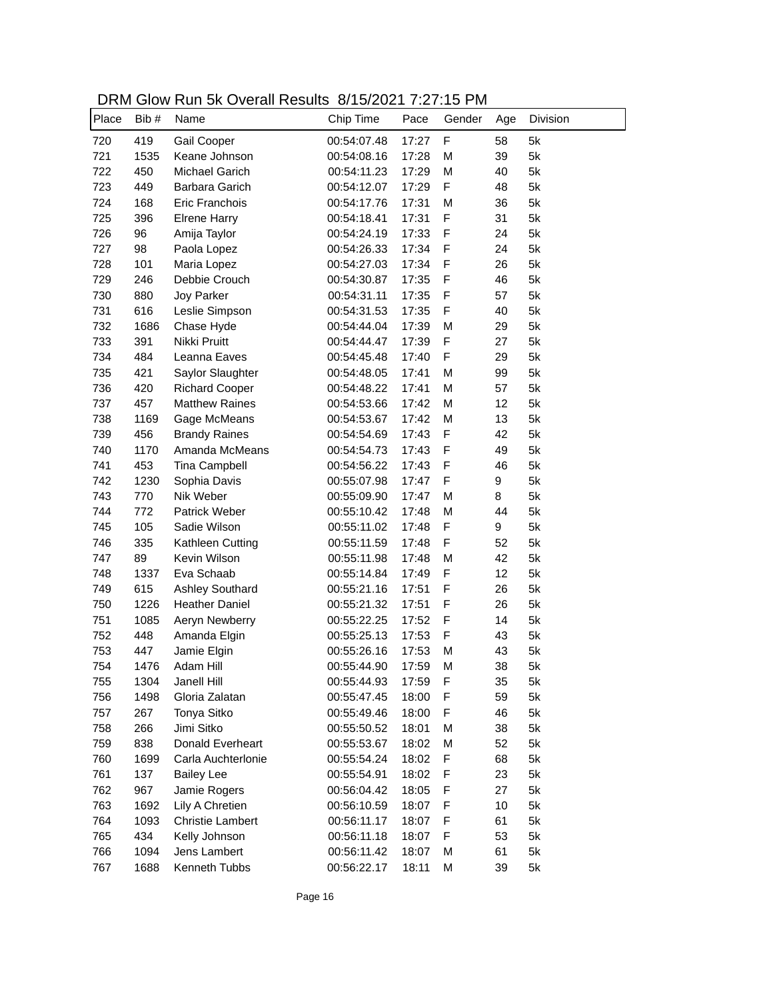| DRM Glow Run 5k Overall Results 8/15/2021 7:27:15 PM |  |
|------------------------------------------------------|--|
|------------------------------------------------------|--|

| Place | Bib# | <b>SIOW INGHI ON OVOIGHT NOOGHO</b><br>Name | 0.1012021132110<br>Chip Time | Pace  | Gender       | Age | Division |
|-------|------|---------------------------------------------|------------------------------|-------|--------------|-----|----------|
| 720   | 419  | Gail Cooper                                 | 00:54:07.48                  | 17:27 | $\mathsf F$  | 58  | 5k       |
| 721   | 1535 | Keane Johnson                               | 00:54:08.16                  | 17:28 | M            | 39  | 5k       |
| 722   | 450  | Michael Garich                              | 00:54:11.23                  | 17:29 | M            | 40  | 5k       |
| 723   | 449  | Barbara Garich                              | 00:54:12.07                  | 17:29 | F            | 48  | 5k       |
| 724   | 168  | Eric Franchois                              | 00:54:17.76                  | 17:31 | M            | 36  | 5k       |
| 725   | 396  | <b>Elrene Harry</b>                         | 00:54:18.41                  | 17:31 | $\mathsf F$  | 31  | 5k       |
| 726   | 96   | Amija Taylor                                | 00:54:24.19                  | 17:33 | F            | 24  | 5k       |
| 727   | 98   | Paola Lopez                                 | 00:54:26.33                  | 17:34 | F            | 24  | 5k       |
| 728   | 101  | Maria Lopez                                 | 00:54:27.03                  | 17:34 | F            | 26  | 5k       |
| 729   | 246  | Debbie Crouch                               | 00:54:30.87                  | 17:35 | F            | 46  | 5k       |
| 730   | 880  | Joy Parker                                  | 00:54:31.11                  | 17:35 | F            | 57  | 5k       |
| 731   | 616  | Leslie Simpson                              | 00:54:31.53                  | 17:35 | F            | 40  | 5k       |
| 732   | 1686 | Chase Hyde                                  | 00:54:44.04                  | 17:39 | M            | 29  | 5k       |
| 733   | 391  | Nikki Pruitt                                | 00:54:44.47                  | 17:39 | F            | 27  | 5k       |
| 734   | 484  | Leanna Eaves                                | 00:54:45.48                  | 17:40 | F            | 29  | 5k       |
| 735   | 421  | Saylor Slaughter                            | 00:54:48.05                  | 17:41 | M            | 99  | 5k       |
| 736   | 420  | <b>Richard Cooper</b>                       | 00:54:48.22                  | 17:41 | M            | 57  | 5k       |
| 737   | 457  | <b>Matthew Raines</b>                       | 00:54:53.66                  | 17:42 | M            | 12  | 5k       |
| 738   | 1169 | Gage McMeans                                | 00:54:53.67                  | 17:42 | M            | 13  | 5k       |
| 739   | 456  | <b>Brandy Raines</b>                        | 00:54:54.69                  | 17:43 | $\mathsf F$  | 42  | 5k       |
| 740   | 1170 | Amanda McMeans                              | 00:54:54.73                  | 17:43 | $\mathsf F$  | 49  | 5k       |
| 741   | 453  | Tina Campbell                               | 00:54:56.22                  | 17:43 | $\mathsf F$  | 46  | 5k       |
| 742   | 1230 | Sophia Davis                                | 00:55:07.98                  | 17:47 | $\mathsf F$  | 9   | 5k       |
| 743   | 770  | Nik Weber                                   | 00:55:09.90                  | 17:47 | M            | 8   | 5k       |
| 744   | 772  | Patrick Weber                               | 00:55:10.42                  | 17:48 | M            | 44  | 5k       |
| 745   | 105  | Sadie Wilson                                | 00:55:11.02                  | 17:48 | F            | 9   | 5k       |
| 746   | 335  | Kathleen Cutting                            | 00:55:11.59                  | 17:48 | F            | 52  | 5k       |
| 747   | 89   | Kevin Wilson                                | 00:55:11.98                  | 17:48 | M            | 42  | 5k       |
| 748   | 1337 | Eva Schaab                                  | 00:55:14.84                  | 17:49 | F            | 12  | 5k       |
| 749   | 615  | <b>Ashley Southard</b>                      | 00:55:21.16                  | 17:51 | F            | 26  | 5k       |
| 750   | 1226 | <b>Heather Daniel</b>                       | 00:55:21.32                  | 17:51 | $\mathsf{F}$ | 26  | 5k       |
| 751   | 1085 | Aeryn Newberry                              | 00:55:22.25                  | 17:52 | $\mathsf{F}$ | 14  | 5k       |
| 752   | 448  | Amanda Elgin                                | 00:55:25.13                  | 17:53 | F            | 43  | 5k       |
| 753   | 447  | Jamie Elgin                                 | 00:55:26.16                  | 17:53 | M            | 43  | 5k       |
| 754   | 1476 | Adam Hill                                   | 00:55:44.90                  | 17:59 | M            | 38  | 5k       |
| 755   | 1304 | Janell Hill                                 | 00:55:44.93                  | 17:59 | F            | 35  | 5k       |
| 756   | 1498 | Gloria Zalatan                              | 00:55:47.45                  | 18:00 | F            | 59  | 5k       |
| 757   | 267  | Tonya Sitko                                 | 00:55:49.46                  | 18:00 | F            | 46  | 5k       |
| 758   | 266  | Jimi Sitko                                  | 00:55:50.52                  | 18:01 | M            | 38  | 5k       |
| 759   | 838  | Donald Everheart                            | 00:55:53.67                  | 18:02 | M            | 52  | 5k       |
| 760   | 1699 | Carla Auchterlonie                          | 00:55:54.24                  | 18:02 | F            | 68  | 5k       |
| 761   | 137  | <b>Bailey Lee</b>                           | 00:55:54.91                  | 18:02 | F            | 23  | 5k       |
| 762   | 967  | Jamie Rogers                                | 00:56:04.42                  | 18:05 | F            | 27  | 5k       |
| 763   | 1692 | Lily A Chretien                             | 00:56:10.59                  | 18:07 | F            | 10  | 5k       |
| 764   | 1093 | <b>Christie Lambert</b>                     | 00:56:11.17                  | 18:07 | F            | 61  | 5k       |
| 765   | 434  | Kelly Johnson                               | 00:56:11.18                  | 18:07 | F            | 53  | 5k       |
| 766   | 1094 | Jens Lambert                                | 00:56:11.42                  | 18:07 | M            | 61  | 5k       |
| 767   | 1688 | Kenneth Tubbs                               | 00:56:22.17                  | 18:11 | M            | 39  | 5k       |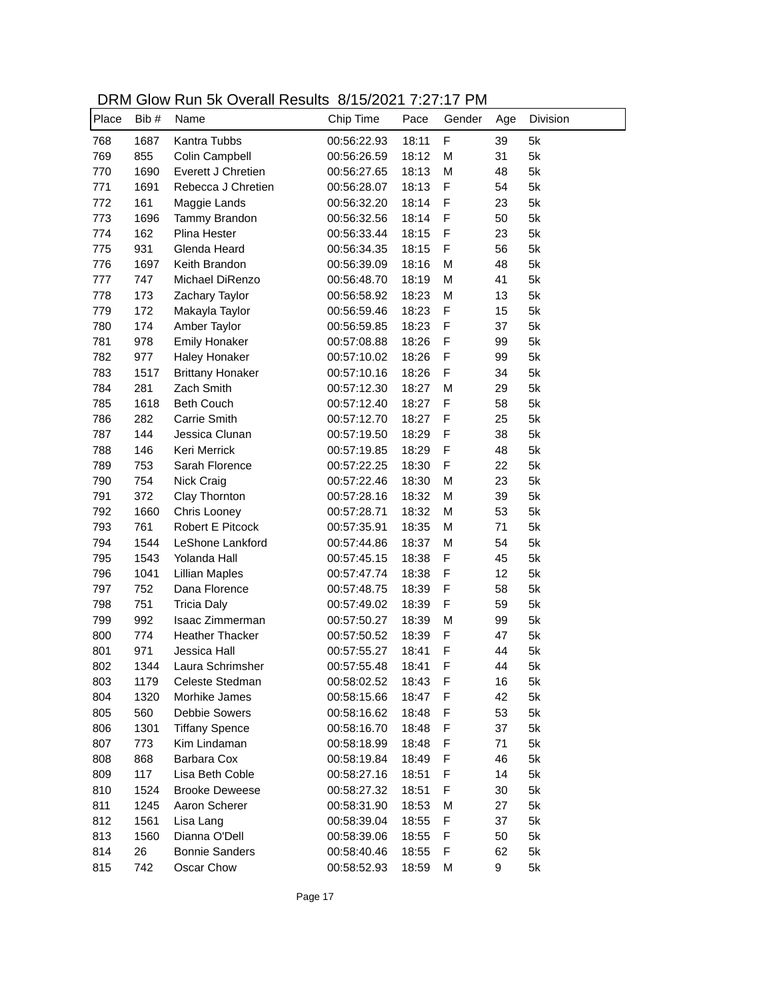| DRM Glow Run 5k Overall Results 8/15/2021 7:27:17 PM |  |
|------------------------------------------------------|--|
|------------------------------------------------------|--|

| Place | Bib# | <u>Sion Itali on Ovolali Robalto</u><br>Name | 0.1012021132111<br>Chip Time | Pace  | Gender       | Age | Division |
|-------|------|----------------------------------------------|------------------------------|-------|--------------|-----|----------|
| 768   | 1687 | Kantra Tubbs                                 | 00:56:22.93                  | 18:11 | F            | 39  | 5k       |
| 769   | 855  | Colin Campbell                               | 00:56:26.59                  | 18:12 | M            | 31  | 5k       |
| 770   | 1690 | Everett J Chretien                           | 00:56:27.65                  | 18:13 | M            | 48  | 5k       |
| 771   | 1691 | Rebecca J Chretien                           | 00:56:28.07                  | 18:13 | F            | 54  | 5k       |
| 772   | 161  | Maggie Lands                                 | 00:56:32.20                  | 18:14 | F            | 23  | 5k       |
| 773   | 1696 | Tammy Brandon                                | 00:56:32.56                  | 18:14 | F            | 50  | 5k       |
| 774   | 162  | Plina Hester                                 | 00:56:33.44                  | 18:15 | F            | 23  | 5k       |
| 775   | 931  | Glenda Heard                                 | 00:56:34.35                  | 18:15 | F            | 56  | 5k       |
| 776   | 1697 | Keith Brandon                                | 00:56:39.09                  | 18:16 | M            | 48  | 5k       |
| 777   | 747  | Michael DiRenzo                              | 00:56:48.70                  | 18:19 | M            | 41  | 5k       |
| 778   | 173  | Zachary Taylor                               | 00:56:58.92                  | 18:23 | M            | 13  | 5k       |
| 779   | 172  | Makayla Taylor                               | 00:56:59.46                  | 18:23 | F            | 15  | 5k       |
| 780   | 174  | Amber Taylor                                 | 00:56:59.85                  | 18:23 | F            | 37  | 5k       |
| 781   | 978  | <b>Emily Honaker</b>                         | 00:57:08.88                  | 18:26 | F            | 99  | 5k       |
| 782   | 977  | <b>Haley Honaker</b>                         | 00:57:10.02                  | 18:26 | F            | 99  | 5k       |
| 783   | 1517 | <b>Brittany Honaker</b>                      | 00:57:10.16                  | 18:26 | F            | 34  | 5k       |
| 784   | 281  | Zach Smith                                   | 00:57:12.30                  | 18:27 | M            | 29  | 5k       |
| 785   | 1618 | <b>Beth Couch</b>                            | 00:57:12.40                  | 18:27 | F            | 58  | 5k       |
| 786   | 282  | <b>Carrie Smith</b>                          | 00:57:12.70                  | 18:27 | $\mathsf F$  | 25  | 5k       |
| 787   | 144  | Jessica Clunan                               | 00:57:19.50                  | 18:29 | $\mathsf F$  | 38  | 5k       |
| 788   | 146  | Keri Merrick                                 | 00:57:19.85                  | 18:29 | $\mathsf{F}$ | 48  | 5k       |
| 789   | 753  | Sarah Florence                               | 00:57:22.25                  | 18:30 | F            | 22  | 5k       |
| 790   | 754  | Nick Craig                                   | 00:57:22.46                  | 18:30 | M            | 23  | 5k       |
| 791   | 372  | Clay Thornton                                | 00:57:28.16                  | 18:32 | M            | 39  | 5k       |
| 792   | 1660 | Chris Looney                                 | 00:57:28.71                  | 18:32 | M            | 53  | 5k       |
| 793   | 761  | Robert E Pitcock                             | 00:57:35.91                  | 18:35 | M            | 71  | 5k       |
| 794   | 1544 | LeShone Lankford                             | 00:57:44.86                  | 18:37 | M            | 54  | 5k       |
| 795   | 1543 | Yolanda Hall                                 | 00:57:45.15                  | 18:38 | $\mathsf{F}$ | 45  | 5k       |
| 796   | 1041 | <b>Lillian Maples</b>                        | 00:57:47.74                  | 18:38 | $\mathsf{F}$ | 12  | 5k       |
| 797   | 752  | Dana Florence                                | 00:57:48.75                  | 18:39 | F            | 58  | 5k       |
| 798   | 751  | <b>Tricia Daly</b>                           | 00:57:49.02                  | 18:39 | F            | 59  | 5k       |
| 799   | 992  | Isaac Zimmerman                              | 00:57:50.27                  | 18:39 | M            | 99  | 5k       |
| 800   | 774  | <b>Heather Thacker</b>                       | 00:57:50.52                  | 18:39 | F            | 47  | 5k       |
| 801   | 971  | Jessica Hall                                 | 00:57:55.27                  | 18:41 | F            | 44  | 5k       |
| 802   | 1344 | Laura Schrimsher                             | 00:57:55.48                  | 18:41 | F            | 44  | 5k       |
| 803   | 1179 | Celeste Stedman                              | 00:58:02.52                  | 18:43 | F            | 16  | 5k       |
| 804   | 1320 | Morhike James                                | 00:58:15.66                  | 18:47 | F            | 42  | 5k       |
| 805   | 560  | <b>Debbie Sowers</b>                         | 00:58:16.62                  | 18:48 | F            | 53  | 5k       |
| 806   | 1301 | <b>Tiffany Spence</b>                        | 00:58:16.70                  | 18:48 | F            | 37  | 5k       |
| 807   | 773  | Kim Lindaman                                 | 00:58:18.99                  | 18:48 | F            | 71  | 5k       |
| 808   | 868  | Barbara Cox                                  | 00:58:19.84                  | 18:49 | F            | 46  | 5k       |
| 809   | 117  | Lisa Beth Coble                              | 00:58:27.16                  | 18:51 | F            | 14  | 5k       |
| 810   |      | <b>Brooke Deweese</b>                        | 00:58:27.32                  |       | F            |     | 5k       |
|       | 1524 |                                              |                              | 18:51 |              | 30  |          |
| 811   | 1245 | Aaron Scherer                                | 00:58:31.90                  | 18:53 | M            | 27  | 5k       |
| 812   | 1561 | Lisa Lang                                    | 00:58:39.04                  | 18:55 | F            | 37  | 5k       |
| 813   | 1560 | Dianna O'Dell                                | 00:58:39.06                  | 18:55 | F            | 50  | 5k       |
| 814   | 26   | <b>Bonnie Sanders</b>                        | 00:58:40.46                  | 18:55 | F            | 62  | 5k       |
| 815   | 742  | Oscar Chow                                   | 00:58:52.93                  | 18:59 | M            | 9   | 5k       |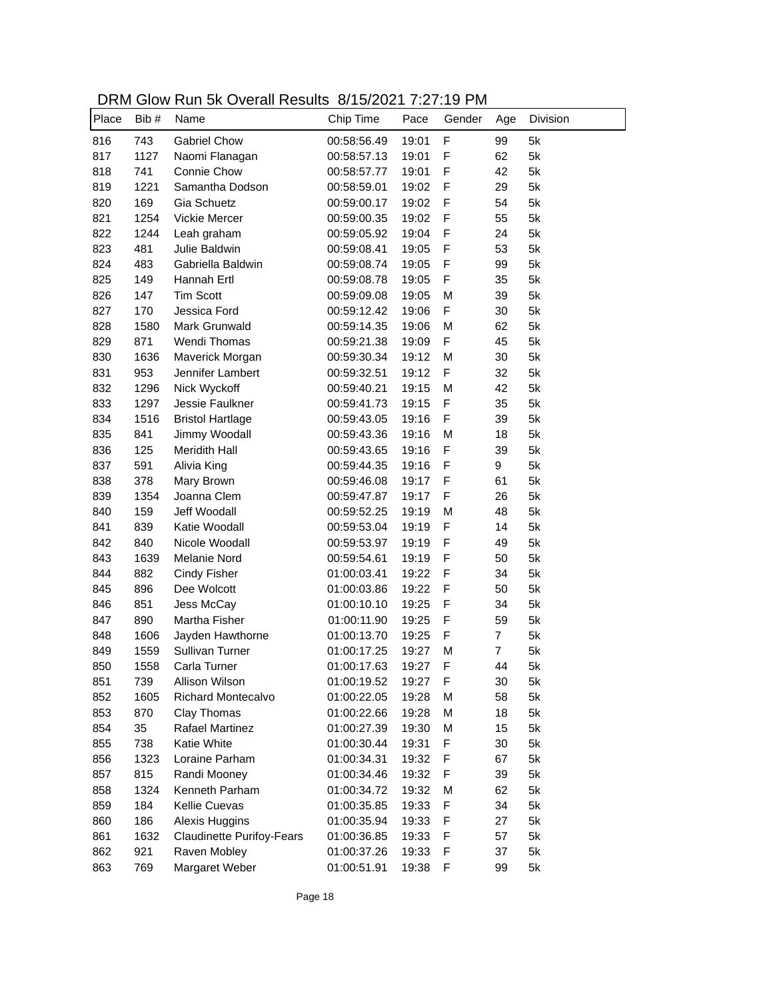| DRM Glow Run 5k Overall Results 8/15/2021 7:27:19 PM |  |
|------------------------------------------------------|--|
|------------------------------------------------------|--|

| Place | Bib#         | Name                                | 0.10720211321.10<br>Chip Time | Pace           | Gender | Age            | Division |
|-------|--------------|-------------------------------------|-------------------------------|----------------|--------|----------------|----------|
| 816   | 743          | <b>Gabriel Chow</b>                 | 00:58:56.49                   | 19:01          | F      | 99             | 5k       |
| 817   | 1127         | Naomi Flanagan                      | 00:58:57.13                   | 19:01          | F      | 62             | 5k       |
| 818   | 741          | Connie Chow                         | 00:58:57.77                   | 19:01          | F      | 42             | 5k       |
| 819   | 1221         | Samantha Dodson                     | 00:58:59.01                   | 19:02          | F      | 29             | 5k       |
| 820   | 169          | Gia Schuetz                         | 00:59:00.17                   | 19:02          | F      | 54             | 5k       |
| 821   | 1254         | Vickie Mercer                       | 00:59:00.35                   | 19:02          | F      | 55             | 5k       |
| 822   | 1244         | Leah graham                         | 00:59:05.92                   | 19:04          | F      | 24             | 5k       |
| 823   | 481          | Julie Baldwin                       | 00:59:08.41                   | 19:05          | F      | 53             | 5k       |
| 824   | 483          | Gabriella Baldwin                   | 00:59:08.74                   | 19:05          | F      | 99             | 5k       |
| 825   | 149          | Hannah Ertl                         | 00:59:08.78                   | 19:05          | F      | 35             | 5k       |
| 826   | 147          | <b>Tim Scott</b>                    | 00:59:09.08                   | 19:05          | M      | 39             | 5k       |
| 827   | 170          | Jessica Ford                        | 00:59:12.42                   | 19:06          | F      | 30             | 5k       |
| 828   | 1580         | Mark Grunwald                       | 00:59:14.35                   | 19:06          | M      | 62             | 5k       |
| 829   | 871          | Wendi Thomas                        | 00:59:21.38                   | 19:09          | F      | 45             | 5k       |
| 830   | 1636         | Maverick Morgan                     | 00:59:30.34                   | 19:12          | M      | 30             | 5k       |
| 831   | 953          | Jennifer Lambert                    | 00:59:32.51                   | 19:12          | F      | 32             | 5k       |
| 832   | 1296         | Nick Wyckoff                        | 00:59:40.21                   | 19:15          | M      | 42             | 5k       |
| 833   | 1297         | Jessie Faulkner                     | 00:59:41.73                   | 19:15          | F      | 35             | 5k       |
| 834   | 1516         | <b>Bristol Hartlage</b>             | 00:59:43.05                   | 19:16          | F      | 39             | 5k       |
| 835   | 841          | Jimmy Woodall                       | 00:59:43.36                   | 19:16          | M      | 18             | 5k       |
| 836   | 125          | <b>Meridith Hall</b>                | 00:59:43.65                   | 19:16          | F      | 39             | 5k       |
| 837   | 591          | Alivia King                         | 00:59:44.35                   | 19:16          | F      | 9              | 5k       |
| 838   | 378          | Mary Brown                          | 00:59:46.08                   | 19:17          | F      | 61             | 5k       |
| 839   | 1354         | Joanna Clem                         | 00:59:47.87                   | 19:17          | F      | 26             | 5k       |
| 840   | 159          | Jeff Woodall                        | 00:59:52.25                   | 19:19          | M      | 48             | 5k       |
| 841   | 839          | Katie Woodall                       | 00:59:53.04                   | 19:19          | F      | 14             | 5k       |
| 842   | 840          | Nicole Woodall                      | 00:59:53.97                   | 19:19          | F      | 49             | 5k       |
| 843   | 1639         | Melanie Nord                        | 00:59:54.61                   | 19:19          | F      | 50             | 5k       |
| 844   | 882          | <b>Cindy Fisher</b>                 | 01:00:03.41                   | 19:22          | F      | 34             | 5k       |
| 845   | 896          | Dee Wolcott                         | 01:00:03.86                   | 19:22          | F      | 50             | 5k       |
| 846   | 851          | Jess McCay                          | 01:00:10.10                   | 19:25          | F      | 34             | 5k       |
| 847   | 890          | Martha Fisher                       | 01:00:11.90                   | 19:25          | F      | 59             | 5k       |
| 848   |              |                                     | 01:00:13.70                   |                | F      | 7              | 5k       |
| 849   | 1606<br>1559 | Jayden Hawthorne<br>Sullivan Turner | 01:00:17.25                   | 19:25<br>19:27 | M      | $\overline{7}$ | 5k       |
| 850   | 1558         |                                     | 01:00:17.63                   | 19:27          | F      | 44             | 5k       |
|       |              | Carla Turner                        |                               |                |        |                |          |
| 851   | 739          | Allison Wilson                      | 01:00:19.52                   | 19:27          | F      | 30             | 5k       |
| 852   | 1605         | Richard Montecalvo                  | 01:00:22.05                   | 19:28          | M      | 58             | 5k       |
| 853   | 870          | Clay Thomas                         | 01:00:22.66                   | 19:28          | M      | 18             | 5k       |
| 854   | 35           | Rafael Martinez                     | 01:00:27.39                   | 19:30          | М      | 15             | 5k       |
| 855   | 738          | Katie White                         | 01:00:30.44                   | 19:31          | F      | 30             | 5k       |
| 856   | 1323         | Loraine Parham                      | 01:00:34.31                   | 19:32          | F      | 67             | 5k       |
| 857   | 815          | Randi Mooney                        | 01:00:34.46                   | 19:32          | F      | 39             | 5k       |
| 858   | 1324         | Kenneth Parham                      | 01:00:34.72                   | 19:32          | M      | 62             | 5k       |
| 859   | 184          | <b>Kellie Cuevas</b>                | 01:00:35.85                   | 19:33          | F      | 34             | 5k       |
| 860   | 186          | Alexis Huggins                      | 01:00:35.94                   | 19:33          | F      | 27             | 5k       |
| 861   | 1632         | <b>Claudinette Purifoy-Fears</b>    | 01:00:36.85                   | 19:33          | F      | 57             | 5k       |
| 862   | 921          | Raven Mobley                        | 01:00:37.26                   | 19:33          | F      | 37             | 5k       |
| 863   | 769          | Margaret Weber                      | 01:00:51.91                   | 19:38          | F      | 99             | 5k       |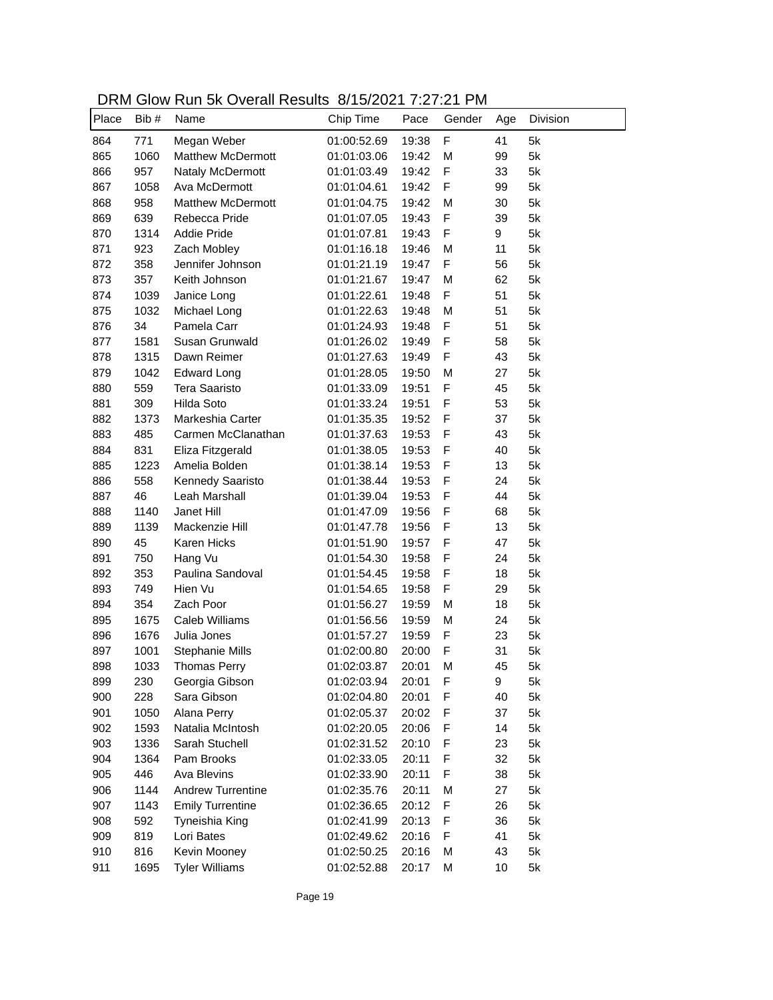DRM Glow Run 5k Overall Results 8/15/2021 7:27:21 PM

| Place | Bib # | <u>Sion Itali on Ovolali Roodito</u><br>Name | 0.101202113212<br>Chip Time | Pace  | Gender       | Age | Division |
|-------|-------|----------------------------------------------|-----------------------------|-------|--------------|-----|----------|
| 864   | 771   | Megan Weber                                  | 01:00:52.69                 | 19:38 | $\mathsf F$  | 41  | 5k       |
| 865   | 1060  | Matthew McDermott                            | 01:01:03.06                 | 19:42 | M            | 99  | 5k       |
| 866   | 957   | <b>Nataly McDermott</b>                      | 01:01:03.49                 | 19:42 | F            | 33  | 5k       |
| 867   | 1058  | Ava McDermott                                | 01:01:04.61                 | 19:42 | F            | 99  | 5k       |
| 868   | 958   | <b>Matthew McDermott</b>                     | 01:01:04.75                 | 19:42 | M            | 30  | 5k       |
| 869   | 639   | Rebecca Pride                                | 01:01:07.05                 | 19:43 | F            | 39  | 5k       |
| 870   | 1314  | <b>Addie Pride</b>                           | 01:01:07.81                 | 19:43 | F            | 9   | 5k       |
| 871   | 923   | Zach Mobley                                  | 01:01:16.18                 | 19:46 | M            | 11  | 5k       |
| 872   | 358   | Jennifer Johnson                             | 01:01:21.19                 | 19:47 | F            | 56  | 5k       |
| 873   | 357   | Keith Johnson                                | 01:01:21.67                 | 19:47 | M            | 62  | 5k       |
| 874   | 1039  | Janice Long                                  | 01:01:22.61                 | 19:48 | F            | 51  | 5k       |
| 875   | 1032  | Michael Long                                 | 01:01:22.63                 | 19:48 | M            | 51  | 5k       |
| 876   | 34    | Pamela Carr                                  | 01:01:24.93                 | 19:48 | F            | 51  | 5k       |
| 877   | 1581  | Susan Grunwald                               | 01:01:26.02                 | 19:49 | F            | 58  | 5k       |
| 878   | 1315  | Dawn Reimer                                  | 01:01:27.63                 | 19:49 | F            | 43  | 5k       |
| 879   | 1042  | <b>Edward Long</b>                           | 01:01:28.05                 | 19:50 | M            | 27  | 5k       |
| 880   | 559   | <b>Tera Saaristo</b>                         | 01:01:33.09                 | 19:51 | F            | 45  | 5k       |
| 881   | 309   | Hilda Soto                                   | 01:01:33.24                 | 19:51 | F            | 53  | 5k       |
| 882   | 1373  | Markeshia Carter                             | 01:01:35.35                 | 19:52 | $\mathsf F$  | 37  | 5k       |
| 883   | 485   | Carmen McClanathan                           | 01:01:37.63                 | 19:53 | F            | 43  | 5k       |
| 884   | 831   | Eliza Fitzgerald                             | 01:01:38.05                 | 19:53 | $\mathsf{F}$ | 40  | 5k       |
| 885   | 1223  | Amelia Bolden                                | 01:01:38.14                 | 19:53 | $\mathsf{F}$ | 13  | 5k       |
| 886   | 558   | Kennedy Saaristo                             | 01:01:38.44                 | 19:53 | F            | 24  | 5k       |
| 887   | 46    | Leah Marshall                                | 01:01:39.04                 | 19:53 | $\mathsf{F}$ | 44  | 5k       |
| 888   | 1140  | Janet Hill                                   | 01:01:47.09                 | 19:56 | $\mathsf{F}$ | 68  | 5k       |
| 889   | 1139  | Mackenzie Hill                               | 01:01:47.78                 | 19:56 | $\mathsf{F}$ | 13  | 5k       |
| 890   | 45    | Karen Hicks                                  | 01:01:51.90                 | 19:57 | $\mathsf{F}$ | 47  | 5k       |
| 891   | 750   | Hang Vu                                      | 01:01:54.30                 | 19:58 | $\mathsf F$  | 24  | 5k       |
| 892   | 353   | Paulina Sandoval                             | 01:01:54.45                 | 19:58 | F            | 18  | 5k       |
| 893   | 749   | Hien Vu                                      | 01:01:54.65                 | 19:58 | F            | 29  | 5k       |
| 894   | 354   | Zach Poor                                    | 01:01:56.27                 | 19:59 | M            | 18  | 5k       |
| 895   | 1675  | Caleb Williams                               | 01:01:56.56                 | 19:59 | M            | 24  | 5k       |
| 896   | 1676  | Julia Jones                                  | 01:01:57.27                 | 19:59 | F            | 23  | 5k       |
| 897   | 1001  | Stephanie Mills                              | 01:02:00.80                 | 20:00 | F            | 31  | 5k       |
| 898   | 1033  | <b>Thomas Perry</b>                          | 01:02:03.87                 | 20:01 | М            | 45  | 5k       |
| 899   | 230   | Georgia Gibson                               | 01:02:03.94                 | 20:01 | F            | 9   | 5k       |
| 900   | 228   | Sara Gibson                                  | 01:02:04.80                 | 20:01 | F            | 40  | 5k       |
| 901   | 1050  | Alana Perry                                  | 01:02:05.37                 | 20:02 | F            | 37  | 5k       |
| 902   | 1593  | Natalia McIntosh                             | 01:02:20.05                 | 20:06 | F            | 14  | 5k       |
| 903   | 1336  | Sarah Stuchell                               | 01:02:31.52                 | 20:10 | F            | 23  | 5k       |
| 904   | 1364  | Pam Brooks                                   | 01:02:33.05                 | 20:11 | F            | 32  | 5k       |
| 905   | 446   | Ava Blevins                                  | 01:02:33.90                 | 20:11 | F            | 38  | 5k       |
| 906   | 1144  | Andrew Turrentine                            | 01:02:35.76                 | 20:11 | M            | 27  | 5k       |
| 907   | 1143  | <b>Emily Turrentine</b>                      | 01:02:36.65                 | 20:12 | F            | 26  | 5k       |
| 908   | 592   | Tyneishia King                               | 01:02:41.99                 | 20:13 | F            | 36  | 5k       |
| 909   | 819   | Lori Bates                                   | 01:02:49.62                 | 20:16 | F            | 41  | 5k       |
| 910   | 816   | Kevin Mooney                                 | 01:02:50.25                 | 20:16 | M            | 43  | 5k       |
| 911   | 1695  | <b>Tyler Williams</b>                        | 01:02:52.88                 | 20:17 | M            | 10  | 5k       |
|       |       |                                              |                             |       |              |     |          |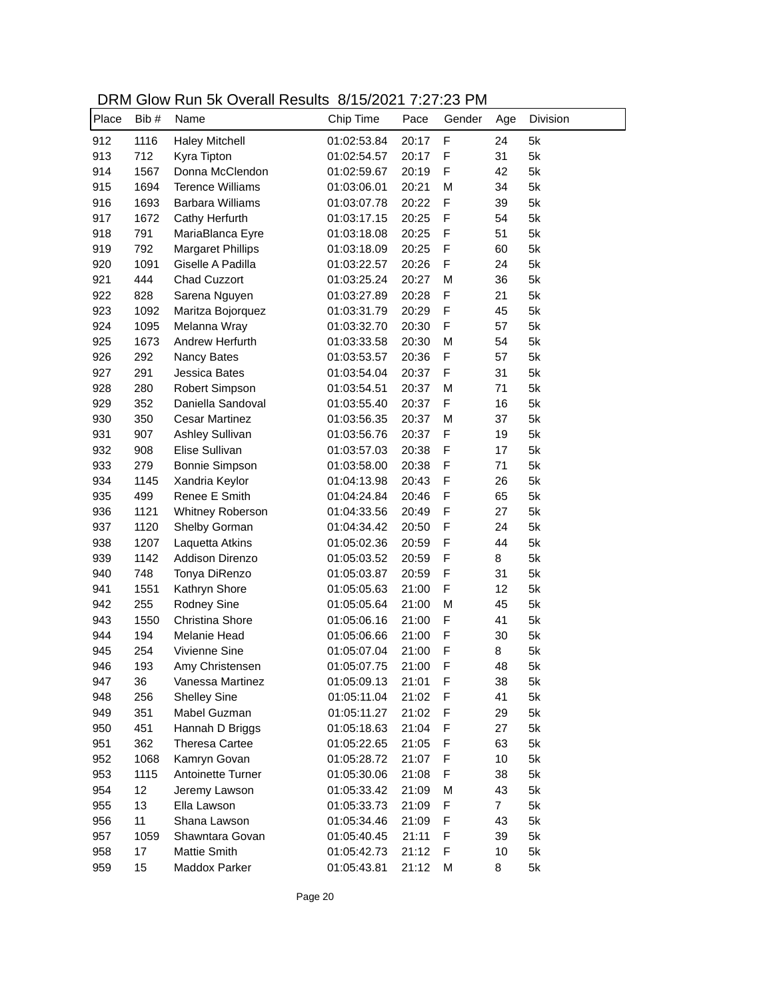DRM Glow Run 5k Overall Results 8/15/2021 7:27:23 PM

| Place | Bib # | <u>Sion Itali on Ovolali Roodito</u><br>Name | 0.10120211320<br>Chip Time | Pace  | Gender      | Age            | Division |
|-------|-------|----------------------------------------------|----------------------------|-------|-------------|----------------|----------|
| 912   | 1116  | <b>Haley Mitchell</b>                        | 01:02:53.84                | 20:17 | F           | 24             | 5k       |
| 913   | 712   | Kyra Tipton                                  | 01:02:54.57                | 20:17 | F           | 31             | 5k       |
| 914   | 1567  | Donna McClendon                              | 01:02:59.67                | 20:19 | F           | 42             | 5k       |
| 915   | 1694  | <b>Terence Williams</b>                      | 01:03:06.01                | 20:21 | M           | 34             | 5k       |
| 916   | 1693  | <b>Barbara Williams</b>                      | 01:03:07.78                | 20:22 | F           | 39             | 5k       |
| 917   | 1672  | Cathy Herfurth                               | 01:03:17.15                | 20:25 | F           | 54             | 5k       |
| 918   | 791   | MariaBlanca Eyre                             | 01:03:18.08                | 20:25 | $\mathsf F$ | 51             | 5k       |
| 919   | 792   | <b>Margaret Phillips</b>                     | 01:03:18.09                | 20:25 | $\mathsf F$ | 60             | 5k       |
| 920   | 1091  | Giselle A Padilla                            | 01:03:22.57                | 20:26 | F           | 24             | 5k       |
| 921   | 444   | <b>Chad Cuzzort</b>                          | 01:03:25.24                | 20:27 | M           | 36             | 5k       |
| 922   | 828   | Sarena Nguyen                                | 01:03:27.89                | 20:28 | F           | 21             | 5k       |
| 923   | 1092  | Maritza Bojorquez                            | 01:03:31.79                | 20:29 | F           | 45             | 5k       |
| 924   | 1095  | Melanna Wray                                 | 01:03:32.70                | 20:30 | F           | 57             | 5k       |
| 925   | 1673  | Andrew Herfurth                              | 01:03:33.58                | 20:30 | M           | 54             | 5k       |
| 926   | 292   | Nancy Bates                                  | 01:03:53.57                | 20:36 | F           | 57             | 5k       |
| 927   | 291   | Jessica Bates                                | 01:03:54.04                | 20:37 | F           | 31             | 5k       |
| 928   | 280   | Robert Simpson                               | 01:03:54.51                | 20:37 | M           | 71             | 5k       |
| 929   | 352   | Daniella Sandoval                            | 01:03:55.40                | 20:37 | F           | 16             | 5k       |
| 930   | 350   | <b>Cesar Martinez</b>                        | 01:03:56.35                | 20:37 | M           | 37             | 5k       |
| 931   | 907   | Ashley Sullivan                              | 01:03:56.76                | 20:37 | F           | 19             | 5k       |
| 932   | 908   | Elise Sullivan                               | 01:03:57.03                | 20:38 | $\mathsf F$ | 17             | 5k       |
| 933   | 279   | Bonnie Simpson                               | 01:03:58.00                | 20:38 | F           | 71             | 5k       |
| 934   | 1145  | Xandria Keylor                               | 01:04:13.98                | 20:43 | F           | 26             | 5k       |
| 935   | 499   | Renee E Smith                                | 01:04:24.84                | 20:46 | $\mathsf F$ | 65             | 5k       |
| 936   | 1121  | Whitney Roberson                             | 01:04:33.56                | 20:49 | $\mathsf F$ | 27             | 5k       |
| 937   | 1120  | Shelby Gorman                                | 01:04:34.42                | 20:50 | $\mathsf F$ | 24             | 5k       |
| 938   | 1207  | Laquetta Atkins                              | 01:05:02.36                | 20:59 | $\mathsf F$ | 44             | 5k       |
| 939   | 1142  | Addison Direnzo                              | 01:05:03.52                | 20:59 | $\mathsf F$ | 8              | 5k       |
| 940   | 748   | Tonya DiRenzo                                | 01:05:03.87                | 20:59 | F           | 31             | 5k       |
| 941   | 1551  | Kathryn Shore                                | 01:05:05.63                | 21:00 | F           | 12             | 5k       |
| 942   | 255   | <b>Rodney Sine</b>                           | 01:05:05.64                | 21:00 | M           | 45             | 5k       |
| 943   | 1550  | Christina Shore                              | 01:05:06.16                | 21:00 | F           | 41             | 5k       |
| 944   | 194   | Melanie Head                                 | 01:05:06.66                | 21:00 | F           | 30             | 5k       |
| 945   | 254   | Vivienne Sine                                | 01:05:07.04                | 21:00 | F           | 8              | 5k       |
| 946   | 193   | Amy Christensen                              | 01:05:07.75                | 21:00 | F           | 48             | 5k       |
| 947   | 36    | Vanessa Martinez                             | 01:05:09.13                | 21:01 | F           | 38             | 5k       |
| 948   | 256   | <b>Shelley Sine</b>                          | 01:05:11.04                | 21:02 | F           | 41             | 5k       |
| 949   | 351   | Mabel Guzman                                 | 01:05:11.27                | 21:02 | F           | 29             | 5k       |
| 950   | 451   | Hannah D Briggs                              | 01:05:18.63                | 21:04 | F           | 27             | 5k       |
| 951   | 362   | <b>Theresa Cartee</b>                        | 01:05:22.65                | 21:05 | F           | 63             | 5k       |
| 952   | 1068  | Kamryn Govan                                 | 01:05:28.72                | 21:07 | F           | 10             | 5k       |
| 953   | 1115  | Antoinette Turner                            | 01:05:30.06                | 21:08 | F           | 38             | 5k       |
| 954   | 12    | Jeremy Lawson                                | 01:05:33.42                | 21:09 | M           | 43             | 5k       |
| 955   | 13    | Ella Lawson                                  | 01:05:33.73                | 21:09 | F           | $\overline{7}$ | 5k       |
| 956   | 11    | Shana Lawson                                 | 01:05:34.46                | 21:09 | F           | 43             | 5k       |
| 957   | 1059  | Shawntara Govan                              | 01:05:40.45                | 21:11 | F           | 39             | 5k       |
|       |       | Mattie Smith                                 |                            |       | F           | 10             |          |
| 958   | 17    | Maddox Parker                                | 01:05:42.73                | 21:12 |             |                | 5k       |
| 959   | 15    |                                              | 01:05:43.81                | 21:12 | M           | 8              | 5k       |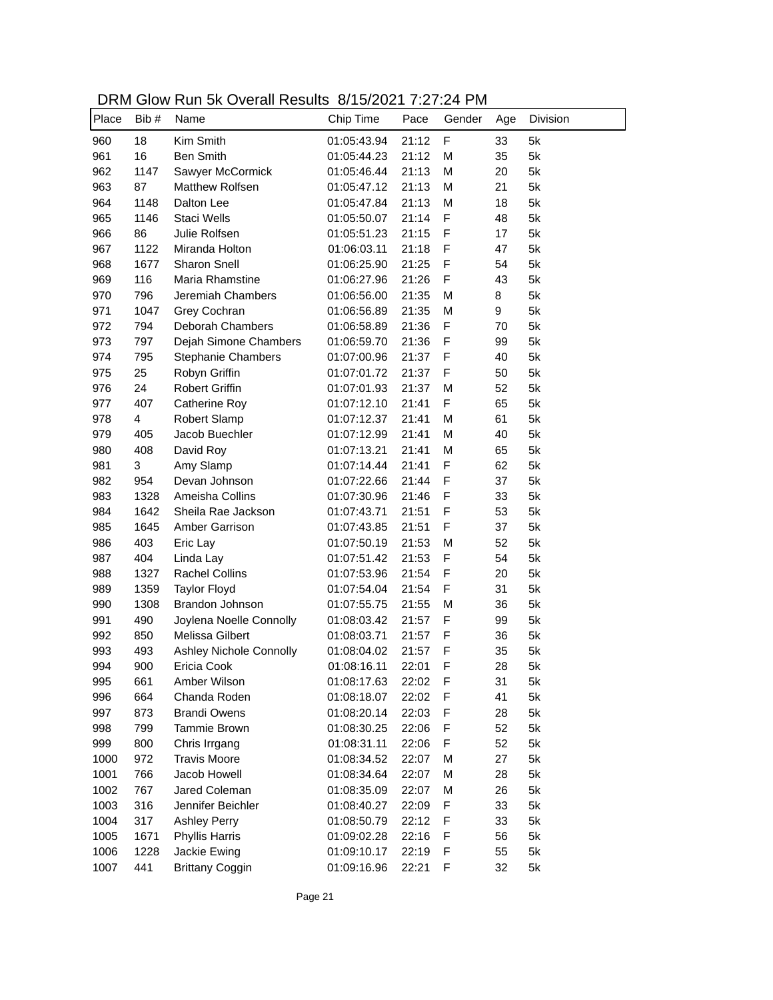DRM Glow Run 5k Overall Results 8/15/2021 7:27:24 PM

| Place | Bib #                   | Name                      | Chip Time   | Pace  | Gender      | Age | Division |
|-------|-------------------------|---------------------------|-------------|-------|-------------|-----|----------|
| 960   | 18                      | Kim Smith                 | 01:05:43.94 | 21:12 | $\mathsf F$ | 33  | 5k       |
| 961   | 16                      | <b>Ben Smith</b>          | 01:05:44.23 | 21:12 | M           | 35  | 5k       |
| 962   | 1147                    | Sawyer McCormick          | 01:05:46.44 | 21:13 | M           | 20  | 5k       |
| 963   | 87                      | Matthew Rolfsen           | 01:05:47.12 | 21:13 | M           | 21  | 5k       |
| 964   | 1148                    | Dalton Lee                | 01:05:47.84 | 21:13 | M           | 18  | 5k       |
| 965   | 1146                    | Staci Wells               | 01:05:50.07 | 21:14 | F           | 48  | 5k       |
| 966   | 86                      | Julie Rolfsen             | 01:05:51.23 | 21:15 | $\mathsf F$ | 17  | 5k       |
| 967   | 1122                    | Miranda Holton            | 01:06:03.11 | 21:18 | $\mathsf F$ | 47  | 5k       |
| 968   | 1677                    | Sharon Snell              | 01:06:25.90 | 21:25 | F           | 54  | 5k       |
| 969   | 116                     | Maria Rhamstine           | 01:06:27.96 | 21:26 | F           | 43  | 5k       |
| 970   | 796                     | Jeremiah Chambers         | 01:06:56.00 | 21:35 | M           | 8   | 5k       |
| 971   | 1047                    | Grey Cochran              | 01:06:56.89 | 21:35 | M           | 9   | 5k       |
| 972   | 794                     | Deborah Chambers          | 01:06:58.89 | 21:36 | F           | 70  | 5k       |
| 973   | 797                     | Dejah Simone Chambers     | 01:06:59.70 | 21:36 | F           | 99  | 5k       |
| 974   | 795                     | <b>Stephanie Chambers</b> | 01:07:00.96 | 21:37 | F           | 40  | 5k       |
| 975   | 25                      | Robyn Griffin             | 01:07:01.72 | 21:37 | F           | 50  | 5k       |
| 976   | 24                      | <b>Robert Griffin</b>     | 01:07:01.93 | 21:37 | M           | 52  | 5k       |
| 977   | 407                     | <b>Catherine Roy</b>      | 01:07:12.10 | 21:41 | F           | 65  | 5k       |
| 978   | $\overline{\mathbf{4}}$ | Robert Slamp              | 01:07:12.37 | 21:41 | M           | 61  | 5k       |
| 979   | 405                     | Jacob Buechler            | 01:07:12.99 | 21:41 | M           | 40  | 5k       |
| 980   | 408                     | David Roy                 | 01:07:13.21 | 21:41 | M           | 65  | 5k       |
| 981   | 3                       | Amy Slamp                 | 01:07:14.44 | 21:41 | F           | 62  | 5k       |
| 982   | 954                     | Devan Johnson             | 01:07:22.66 | 21:44 | F           | 37  | 5k       |
| 983   | 1328                    | Ameisha Collins           | 01:07:30.96 | 21:46 | F           | 33  | 5k       |
| 984   | 1642                    | Sheila Rae Jackson        | 01:07:43.71 | 21:51 | F           | 53  | 5k       |
| 985   | 1645                    | Amber Garrison            | 01:07:43.85 | 21:51 | F           | 37  | 5k       |
| 986   | 403                     | Eric Lay                  | 01:07:50.19 | 21:53 | M           | 52  | 5k       |
| 987   | 404                     | Linda Lay                 | 01:07:51.42 | 21:53 | $\mathsf F$ | 54  | 5k       |
| 988   | 1327                    | <b>Rachel Collins</b>     | 01:07:53.96 | 21:54 | F           | 20  | 5k       |
| 989   | 1359                    | <b>Taylor Floyd</b>       | 01:07:54.04 | 21:54 | F           | 31  | 5k       |
| 990   | 1308                    | Brandon Johnson           | 01:07:55.75 | 21:55 | M           | 36  | 5k       |
| 991   | 490                     | Joylena Noelle Connolly   | 01:08:03.42 | 21:57 | $\mathsf F$ | 99  | 5k       |
| 992   | 850                     | Melissa Gilbert           | 01:08:03.71 | 21:57 | F           | 36  | 5k       |
| 993   | 493                     | Ashley Nichole Connolly   | 01:08:04.02 | 21:57 | F           | 35  | 5k       |
| 994   | 900                     | Ericia Cook               | 01:08:16.11 | 22:01 | F           | 28  | 5k       |
| 995   | 661                     | Amber Wilson              | 01:08:17.63 | 22:02 | F           | 31  | 5k       |
| 996   | 664                     | Chanda Roden              | 01:08:18.07 | 22:02 | F           | 41  | 5k       |
| 997   | 873                     | <b>Brandi Owens</b>       | 01:08:20.14 | 22:03 | F           | 28  | 5k       |
| 998   | 799                     | Tammie Brown              | 01:08:30.25 | 22:06 | F           | 52  | 5k       |
| 999   | 800                     | Chris Irrgang             | 01:08:31.11 | 22:06 | F           | 52  | 5k       |
| 1000  | 972                     | <b>Travis Moore</b>       | 01:08:34.52 | 22:07 | M           | 27  | 5k       |
| 1001  | 766                     | Jacob Howell              | 01:08:34.64 | 22:07 | M           | 28  | 5k       |
| 1002  | 767                     | Jared Coleman             | 01:08:35.09 | 22:07 | M           | 26  | 5k       |
| 1003  | 316                     | Jennifer Beichler         | 01:08:40.27 | 22:09 | F           | 33  | 5k       |
| 1004  | 317                     | <b>Ashley Perry</b>       | 01:08:50.79 | 22:12 | F           | 33  | 5k       |
| 1005  | 1671                    | <b>Phyllis Harris</b>     | 01:09:02.28 | 22:16 | F           | 56  | 5k       |
| 1006  | 1228                    | Jackie Ewing              | 01:09:10.17 | 22:19 | F           | 55  | 5k       |
| 1007  | 441                     | <b>Brittany Coggin</b>    | 01:09:16.96 | 22:21 | F           | 32  | 5k       |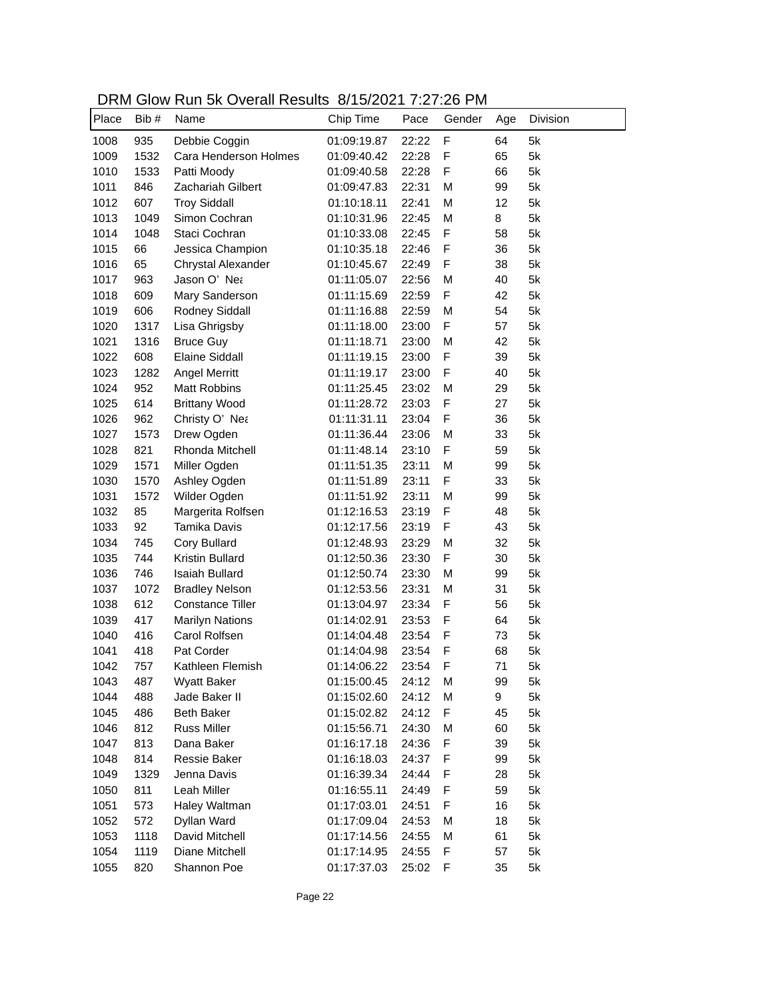| DRM Glow Run 5k Overall Results 8/15/2021 7:27:26 PM |  |
|------------------------------------------------------|--|
|------------------------------------------------------|--|

|       |       | 0.011 1.011 011 0701 011 1.0001 1.0 | 0.10120211321320 |       |             |     |          |
|-------|-------|-------------------------------------|------------------|-------|-------------|-----|----------|
| Place | Bib # | Name                                | Chip Time        | Pace  | Gender      | Age | Division |
| 1008  | 935   | Debbie Coggin                       | 01:09:19.87      | 22:22 | $\mathsf F$ | 64  | 5k       |
| 1009  | 1532  | Cara Henderson Holmes               | 01:09:40.42      | 22:28 | $\mathsf F$ | 65  | 5k       |
| 1010  | 1533  | Patti Moody                         | 01:09:40.58      | 22:28 | F           | 66  | 5k       |
| 1011  | 846   | Zachariah Gilbert                   | 01:09:47.83      | 22:31 | M           | 99  | 5k       |
| 1012  | 607   | <b>Troy Siddall</b>                 | 01:10:18.11      | 22:41 | M           | 12  | 5k       |
| 1013  | 1049  | Simon Cochran                       | 01:10:31.96      | 22:45 | M           | 8   | 5k       |
| 1014  | 1048  | Staci Cochran                       | 01:10:33.08      | 22:45 | $\mathsf F$ | 58  | 5k       |
| 1015  | 66    | Jessica Champion                    | 01:10:35.18      | 22:46 | $\mathsf F$ | 36  | 5k       |
| 1016  | 65    | Chrystal Alexander                  | 01:10:45.67      | 22:49 | F           | 38  | 5k       |
| 1017  | 963   | Jason O' Nea                        | 01:11:05.07      | 22:56 | M           | 40  | 5k       |
| 1018  | 609   | Mary Sanderson                      | 01:11:15.69      | 22:59 | F           | 42  | 5k       |
| 1019  | 606   | Rodney Siddall                      | 01:11:16.88      | 22:59 | M           | 54  | 5k       |
| 1020  | 1317  | Lisa Ghrigsby                       | 01:11:18.00      | 23:00 | F           | 57  | 5k       |
| 1021  | 1316  | <b>Bruce Guy</b>                    | 01:11:18.71      | 23:00 | M           | 42  | 5k       |
| 1022  | 608   | <b>Elaine Siddall</b>               | 01:11:19.15      | 23:00 | F           | 39  | 5k       |
| 1023  | 1282  | Angel Merritt                       | 01:11:19.17      | 23:00 | F           | 40  | 5k       |
| 1024  | 952   | <b>Matt Robbins</b>                 | 01:11:25.45      | 23:02 | M           | 29  | 5k       |
| 1025  | 614   | <b>Brittany Wood</b>                | 01:11:28.72      | 23:03 | F           | 27  | 5k       |
| 1026  | 962   | Christy O' Nea                      | 01:11:31.11      | 23:04 | $\mathsf F$ | 36  | 5k       |
| 1027  | 1573  | Drew Ogden                          | 01:11:36.44      | 23:06 | M           | 33  | 5k       |
| 1028  | 821   | Rhonda Mitchell                     | 01:11:48.14      | 23:10 | F           | 59  | 5k       |
| 1029  | 1571  | Miller Ogden                        | 01:11:51.35      | 23:11 | M           | 99  | 5k       |
| 1030  | 1570  | Ashley Ogden                        | 01:11:51.89      | 23:11 | $\mathsf F$ | 33  | 5k       |
| 1031  | 1572  | Wilder Ogden                        | 01:11:51.92      | 23:11 | M           | 99  | 5k       |
| 1032  | 85    | Margerita Rolfsen                   | 01:12:16.53      | 23:19 | $\mathsf F$ | 48  | 5k       |
| 1033  | 92    | Tamika Davis                        | 01:12:17.56      | 23:19 | $\mathsf F$ | 43  | 5k       |
| 1034  | 745   | Cory Bullard                        | 01:12:48.93      | 23:29 | M           | 32  | 5k       |
| 1035  | 744   | Kristin Bullard                     | 01:12:50.36      | 23:30 | F           | 30  | 5k       |
| 1036  | 746   | <b>Isaiah Bullard</b>               | 01:12:50.74      | 23:30 | M           | 99  | 5k       |
| 1037  | 1072  | <b>Bradley Nelson</b>               | 01:12:53.56      | 23:31 | M           | 31  | 5k       |
| 1038  | 612   | <b>Constance Tiller</b>             | 01:13:04.97      | 23:34 | F           | 56  | 5k       |
| 1039  | 417   | <b>Marilyn Nations</b>              | 01:14:02.91      | 23:53 | $\mathsf F$ | 64  | 5k       |
| 1040  | 416   | Carol Rolfsen                       | 01:14:04.48      | 23:54 | $\mathsf F$ | 73  | 5k       |
| 1041  | 418   | Pat Corder                          | 01:14:04.98      | 23:54 | F           | 68  | 5k       |
| 1042  | 757   | Kathleen Flemish                    | 01:14:06.22      | 23:54 | F           | 71  | 5k       |
| 1043  | 487   | <b>Wyatt Baker</b>                  | 01:15:00.45      | 24:12 | M           | 99  | 5k       |
| 1044  | 488   | Jade Baker II                       | 01:15:02.60      | 24:12 | M           | 9   | 5k       |
| 1045  | 486   | <b>Beth Baker</b>                   | 01:15:02.82      | 24:12 | F           | 45  | 5k       |
| 1046  | 812   | <b>Russ Miller</b>                  | 01:15:56.71      | 24:30 | M           | 60  | 5k       |
| 1047  | 813   | Dana Baker                          | 01:16:17.18      | 24:36 | F           | 39  | 5k       |
| 1048  | 814   | Ressie Baker                        | 01:16:18.03      | 24:37 | F           | 99  | 5k       |
| 1049  | 1329  | Jenna Davis                         | 01:16:39.34      | 24:44 | F           | 28  | 5k       |
| 1050  | 811   | Leah Miller                         | 01:16:55.11      | 24:49 | F           | 59  | 5k       |
| 1051  | 573   | Haley Waltman                       | 01:17:03.01      | 24:51 | $\mathsf F$ | 16  | 5k       |
| 1052  | 572   | Dyllan Ward                         | 01:17:09.04      | 24:53 | M           | 18  | 5k       |
| 1053  | 1118  | David Mitchell                      | 01:17:14.56      | 24:55 | M           | 61  | 5k       |
| 1054  | 1119  | Diane Mitchell                      | 01:17:14.95      | 24:55 | F           | 57  | 5k       |
| 1055  | 820   | Shannon Poe                         | 01:17:37.03      | 25:02 | F           | 35  | 5k       |
|       |       |                                     |                  |       |             |     |          |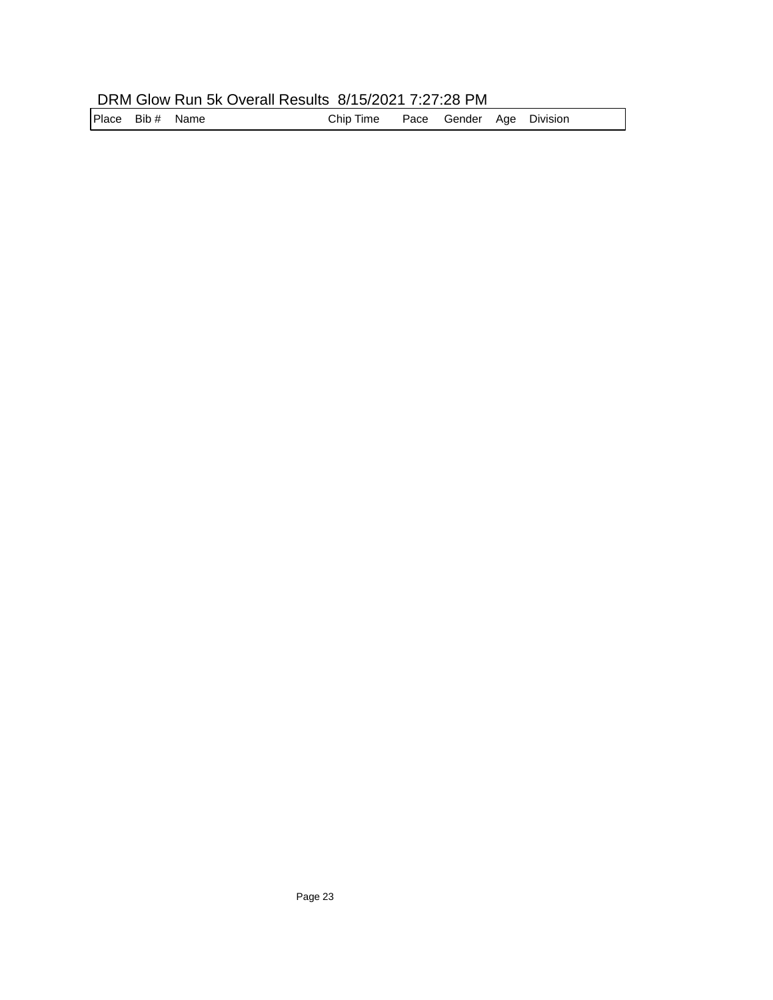## DRM Glow Run 5k Overall Results 8/15/2021 7:27:28 PM

Place Bib # Name **Chip Time** Pace Gender Age Division